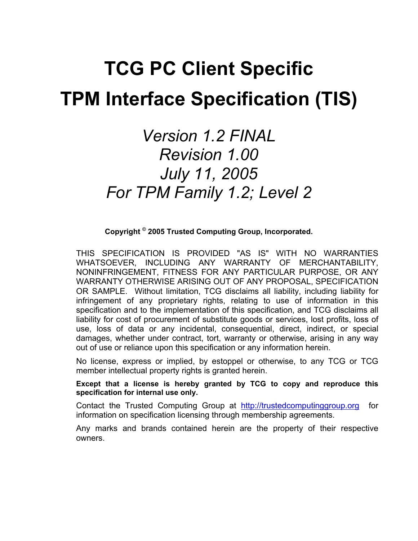# **TCG PC Client Specific TPM Interface Specification (TIS)**

# *Version 1.2 FINAL Revision 1.00 July 11, 2005 For TPM Family 1.2; Level 2*

**Copyright © 2005 Trusted Computing Group, Incorporated.** 

THIS SPECIFICATION IS PROVIDED "AS IS" WITH NO WARRANTIES WHATSOEVER, INCLUDING ANY WARRANTY OF MERCHANTABILITY, NONINFRINGEMENT, FITNESS FOR ANY PARTICULAR PURPOSE, OR ANY WARRANTY OTHERWISE ARISING OUT OF ANY PROPOSAL, SPECIFICATION OR SAMPLE. Without limitation, TCG disclaims all liability, including liability for infringement of any proprietary rights, relating to use of information in this specification and to the implementation of this specification, and TCG disclaims all liability for cost of procurement of substitute goods or services, lost profits, loss of use, loss of data or any incidental, consequential, direct, indirect, or special damages, whether under contract, tort, warranty or otherwise, arising in any way out of use or reliance upon this specification or any information herein.

No license, express or implied, by estoppel or otherwise, to any TCG or TCG member intellectual property rights is granted herein.

**Except that a license is hereby granted by TCG to copy and reproduce this specification for internal use only.**

Contact the Trusted Computing Group at http://trustedcomputinggroup.org for information on specification licensing through membership agreements.

Any marks and brands contained herein are the property of their respective owners.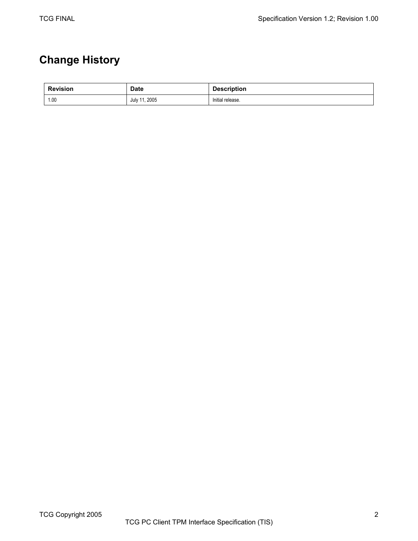## **Change History**

| <b>Revision</b> | <b>Date</b>   | <b>Description</b> |
|-----------------|---------------|--------------------|
| 1.00            | July 11, 2005 | Initial release.   |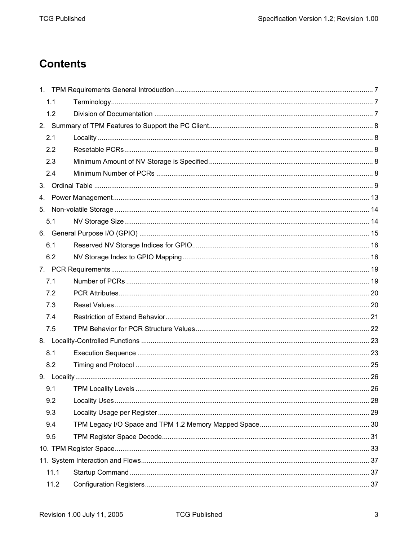## **Contents**

| 1.1  |  |
|------|--|
| 1.2  |  |
|      |  |
| 2.1  |  |
| 2.2  |  |
| 2.3  |  |
| 2.4  |  |
|      |  |
|      |  |
|      |  |
| 5.1  |  |
|      |  |
| 6.1  |  |
| 6.2  |  |
|      |  |
| 7.1  |  |
| 7.2  |  |
| 7.3  |  |
| 7.4  |  |
| 7.5  |  |
|      |  |
| 8.1  |  |
| 8.2  |  |
|      |  |
| 9.1  |  |
| 9.2  |  |
| 9.3  |  |
| 9.4  |  |
| 9.5  |  |
|      |  |
|      |  |
| 11.1 |  |
| 11.2 |  |
|      |  |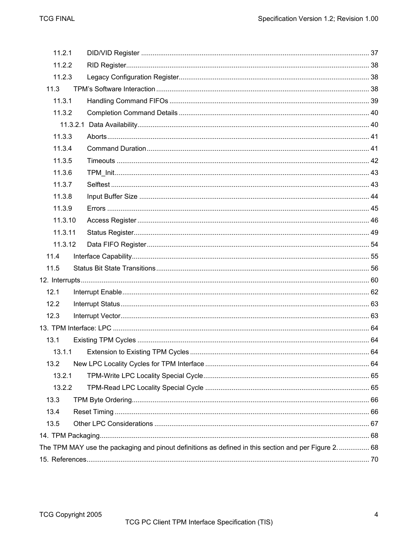| 11.2.1  |                                                                                                       |  |
|---------|-------------------------------------------------------------------------------------------------------|--|
| 11.2.2  |                                                                                                       |  |
| 11.2.3  |                                                                                                       |  |
| 11.3    |                                                                                                       |  |
| 11.3.1  |                                                                                                       |  |
| 11.3.2  |                                                                                                       |  |
|         |                                                                                                       |  |
| 11.3.3  |                                                                                                       |  |
| 11.3.4  |                                                                                                       |  |
| 11.3.5  |                                                                                                       |  |
| 11.3.6  |                                                                                                       |  |
| 11.3.7  |                                                                                                       |  |
| 11.3.8  |                                                                                                       |  |
| 11.3.9  |                                                                                                       |  |
| 11.3.10 |                                                                                                       |  |
| 11.3.11 |                                                                                                       |  |
| 11.3.12 |                                                                                                       |  |
| 11.4    |                                                                                                       |  |
| 11.5    |                                                                                                       |  |
|         |                                                                                                       |  |
| 12.1    |                                                                                                       |  |
| 12.2    |                                                                                                       |  |
| 12.3    |                                                                                                       |  |
|         |                                                                                                       |  |
| 13.1    |                                                                                                       |  |
| 13.1.1  |                                                                                                       |  |
| 13.2    |                                                                                                       |  |
| 13.2.1  |                                                                                                       |  |
| 13.2.2  |                                                                                                       |  |
| 13.3    |                                                                                                       |  |
| 13.4    |                                                                                                       |  |
| 13.5    |                                                                                                       |  |
|         |                                                                                                       |  |
|         | The TPM MAY use the packaging and pinout definitions as defined in this section and per Figure 2.  68 |  |
|         |                                                                                                       |  |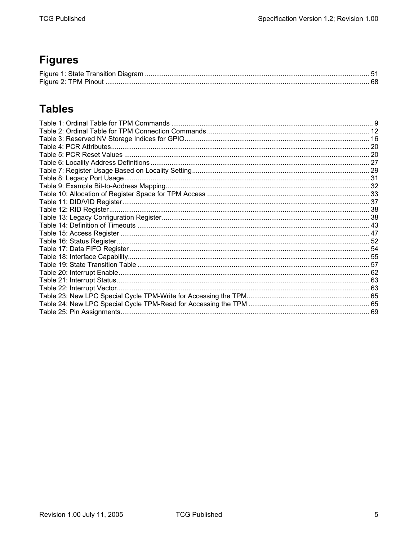## **Figures**

## **Tables**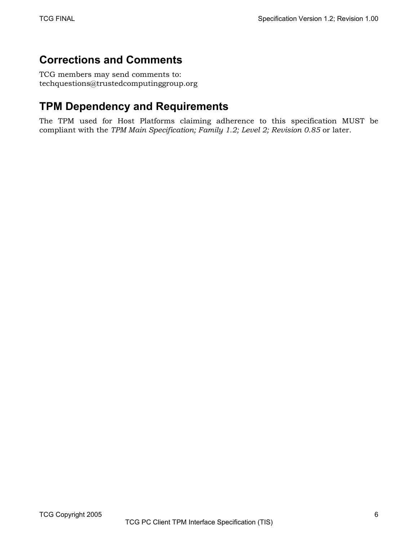### **Corrections and Comments**

TCG members may send comments to: techquestions@trustedcomputinggroup.org

## **TPM Dependency and Requirements**

The TPM used for Host Platforms claiming adherence to this specification MUST be compliant with the *TPM Main Specification; Family 1.2; Level 2; Revision 0.85* or later.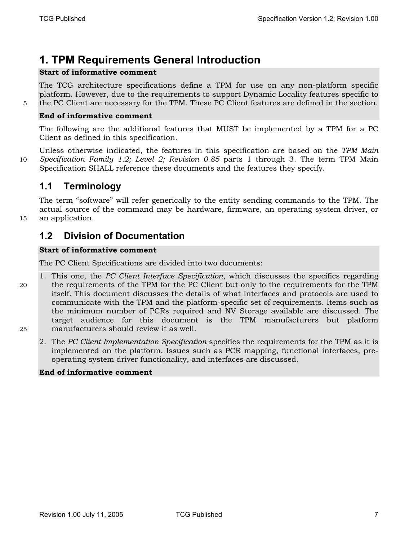### **1. TPM Requirements General Introduction**

### **Start of informative comment**

The TCG architecture specifications define a TPM for use on any non-platform specific platform. However, due to the requirements to support Dynamic Locality features specific to 5 the PC Client are necessary for the TPM. These PC Client features are defined in the section.

#### **End of informative comment**

The following are the additional features that MUST be implemented by a TPM for a PC Client as defined in this specification.

Unless otherwise indicated, the features in this specification are based on the *TPM Main*  10 *Specification Family 1.2; Level 2; Revision 0.85* parts 1 through 3. The term TPM Main Specification SHALL reference these documents and the features they specify.

### **1.1 Terminology**

The term "software" will refer generically to the entity sending commands to the TPM. The actual source of the command may be hardware, firmware, an operating system driver, or 15 an application.

### **1.2 Division of Documentation**

### **Start of informative comment**

The PC Client Specifications are divided into two documents:

- 1. This one, the *PC Client Interface Specification*, which discusses the specifics regarding 20 the requirements of the TPM for the PC Client but only to the requirements for the TPM itself. This document discusses the details of what interfaces and protocols are used to communicate with the TPM and the platform-specific set of requirements. Items such as the minimum number of PCRs required and NV Storage available are discussed. The target audience for this document is the TPM manufacturers but platform 25 manufacturers should review it as well.
	- 2. The *PC Client Implementation Specification* specifies the requirements for the TPM as it is implemented on the platform. Issues such as PCR mapping, functional interfaces, preoperating system driver functionality, and interfaces are discussed.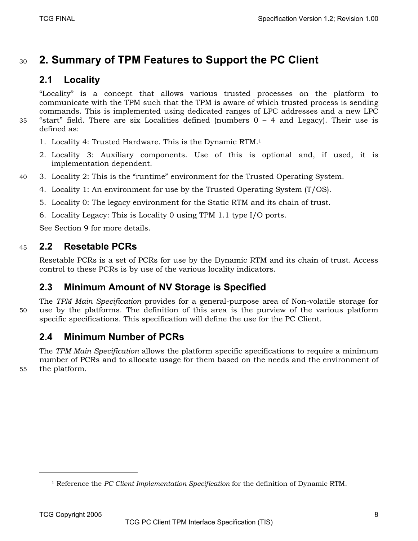### <sup>30</sup>**2. Summary of TPM Features to Support the PC Client**

### **2.1 Locality**

"Locality" is a concept that allows various trusted processes on the platform to communicate with the TPM such that the TPM is aware of which trusted process is sending commands. This is implemented using dedicated ranges of LPC addresses and a new LPC 35 "start" field. There are six Localities defined (numbers 0 – 4 and Legacy). Their use is defined as:

- 
- 1. Locality 4: Trusted Hardware. This is the Dynamic RTM.1
- 2. Locality 3: Auxiliary components. Use of this is optional and, if used, it is implementation dependent.
- 40 3. Locality 2: This is the "runtime" environment for the Trusted Operating System.
	- 4. Locality 1: An environment for use by the Trusted Operating System (T/OS).
	- 5. Locality 0: The legacy environment for the Static RTM and its chain of trust.
	- 6. Locality Legacy: This is Locality 0 using TPM 1.1 type I/O ports.

See Section 9 for more details.

### <sup>45</sup>**2.2 Resetable PCRs**

Resetable PCRs is a set of PCRs for use by the Dynamic RTM and its chain of trust. Access control to these PCRs is by use of the various locality indicators.

### **2.3 Minimum Amount of NV Storage is Specified**

The *TPM Main Specification* provides for a general-purpose area of Non-volatile storage for 50 use by the platforms. The definition of this area is the purview of the various platform specific specifications. This specification will define the use for the PC Client.

### **2.4 Minimum Number of PCRs**

The *TPM Main Specification* allows the platform specific specifications to require a minimum number of PCRs and to allocate usage for them based on the needs and the environment of 55 the platform.

<sup>1</sup> Reference the *PC Client Implementation Specification* for the definition of Dynamic RTM.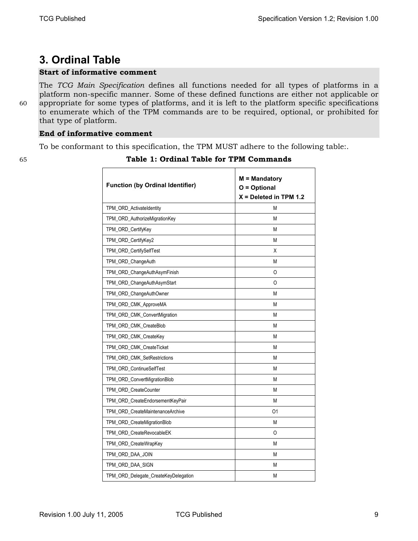### **3. Ordinal Table**

### **Start of informative comment**

The *TCG Main Specification* defines all functions needed for all types of platforms in a platform non-specific manner. Some of these defined functions are either not applicable or 60 appropriate for some types of platforms, and it is left to the platform specific specifications to enumerate which of the TPM commands are to be required, optional, or prohibited for that type of platform.

#### **End of informative comment**

To be conformant to this specification, the TPM MUST adhere to the following table:.

| <b>Function (by Ordinal Identifier)</b> | $M =$ Mandatory<br>$O = Optional$<br>$X =$ Deleted in TPM 1.2 |  |
|-----------------------------------------|---------------------------------------------------------------|--|
| TPM_ORD_ActivateIdentity                | M                                                             |  |
| TPM_ORD_AuthorizeMigrationKey           | M                                                             |  |
| TPM_ORD_CertifyKey                      | M                                                             |  |
| TPM_ORD_CertifyKey2                     | M                                                             |  |
| TPM_ORD_CertifySelfTest                 | Χ                                                             |  |
| TPM_ORD_ChangeAuth                      | M                                                             |  |
| TPM_ORD_ChangeAuthAsymFinish            | 0                                                             |  |
| TPM_ORD_ChangeAuthAsymStart             | 0                                                             |  |
| TPM_ORD_ChangeAuthOwner                 | M                                                             |  |
| TPM_ORD_CMK_ApproveMA                   | M                                                             |  |
| TPM_ORD_CMK_ConvertMigration            | M                                                             |  |
| TPM_ORD_CMK_CreateBlob                  | M                                                             |  |
| TPM_ORD_CMK_CreateKey                   | M                                                             |  |
| TPM_ORD_CMK_CreateTicket<br>M           |                                                               |  |
| TPM_ORD_CMK_SetRestrictions             | M                                                             |  |
| TPM ORD ContinueSelfTest                | M                                                             |  |
| TPM_ORD_ConvertMigrationBlob            | M                                                             |  |
| TPM_ORD_CreateCounter                   | M                                                             |  |
| TPM_ORD_CreateEndorsementKeyPair        | M                                                             |  |
| TPM_ORD_CreateMaintenanceArchive        | 01                                                            |  |
| TPM_ORD_CreateMigrationBlob             | M                                                             |  |
| TPM_ORD_CreateRevocableEK<br>O          |                                                               |  |
| TPM_ORD_CreateWrapKey                   | M                                                             |  |
| TPM ORD DAA JOIN                        | M                                                             |  |
| TPM_ORD_DAA_SIGN<br>M                   |                                                               |  |
| TPM_ORD_Delegate_CreateKeyDelegation    | M                                                             |  |

### 65 **Table 1: Ordinal Table for TPM Commands**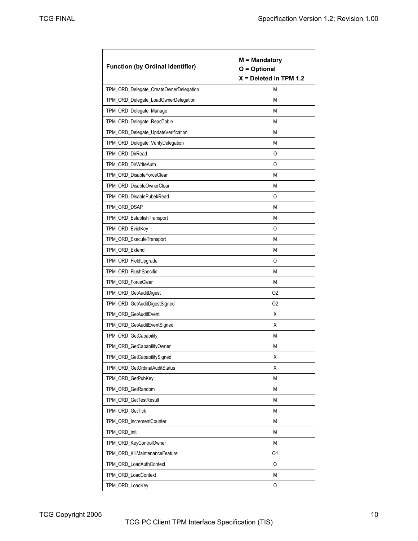| <b>Function (by Ordinal Identifier)</b> | $M =$ Mandatory<br>$O = Optional$<br>$X =$ Deleted in TPM 1.2 |  |
|-----------------------------------------|---------------------------------------------------------------|--|
| TPM_ORD_Delegate_CreateOwnerDelegation  | М                                                             |  |
| TPM_ORD_Delegate_LoadOwnerDelegation    | М                                                             |  |
| TPM_ORD_Delegate_Manage                 | М                                                             |  |
| TPM_ORD_Delegate_ReadTable              | М                                                             |  |
| TPM_ORD_Delegate_UpdateVerification     | М                                                             |  |
| TPM_ORD_Delegate_VerifyDelegation       | M                                                             |  |
| TPM_ORD_DirRead                         | 0                                                             |  |
| TPM_ORD_DirWriteAuth                    | O                                                             |  |
| TPM_ORD_DisableForceClear               | Μ                                                             |  |
| TPM ORD DisableOwnerClear               | М                                                             |  |
| TPM ORD DisablePubekRead                | O                                                             |  |
| TPM_ORD_DSAP                            | М                                                             |  |
| TPM_ORD_EstablishTransport              | М                                                             |  |
| TPM_ORD_EvictKey                        | O                                                             |  |
| TPM_ORD_ExecuteTransport                | М                                                             |  |
| TPM_ORD_Extend                          | M                                                             |  |
| TPM_ORD_FieldUpgrade                    | 0                                                             |  |
| TPM_ORD_FlushSpecific                   | M                                                             |  |
| TPM_ORD_ForceClear                      | M                                                             |  |
| TPM_ORD_GetAuditDigest                  | O2                                                            |  |
| TPM_ORD_GetAuditDigestSigned            | 02                                                            |  |
| TPM_ORD_GetAuditEvent                   | Χ                                                             |  |
| TPM ORD GetAuditEventSigned             | Χ                                                             |  |
| TPM_ORD_GetCapability                   | М                                                             |  |
| TPM_ORD_GetCapabilityOwner              | М                                                             |  |
| TPM_ORD_GetCapabilitySigned             | х                                                             |  |
| TPM_ORD_GetOrdinalAuditStatus           | Χ                                                             |  |
| TPM ORD GetPubKey                       | М                                                             |  |
| TPM_ORD_GetRandom                       | М                                                             |  |
| TPM_ORD_GetTestResult                   | M                                                             |  |
| TPM_ORD_GetTick                         | М                                                             |  |
| TPM_ORD_IncrementCounter                | М                                                             |  |
| TPM_ORD_Init                            | М                                                             |  |
| TPM ORD KeyControlOwner                 | Μ                                                             |  |
| TPM_ORD_KillMaintenanceFeature          | 01                                                            |  |
| TPM_ORD_LoadAuthContext                 | 0                                                             |  |
| TPM_ORD_LoadContext                     | М                                                             |  |
| TPM_ORD_LoadKey                         | 0                                                             |  |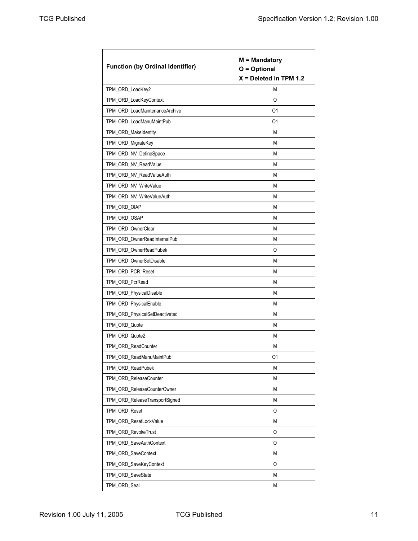| <b>Function (by Ordinal Identifier)</b> | $M =$ Mandatory<br>$O = Optional$<br>$X =$ Deleted in TPM 1.2 |  |
|-----------------------------------------|---------------------------------------------------------------|--|
| TPM_ORD_LoadKey2                        | М                                                             |  |
| TPM_ORD_LoadKeyContext                  | 0                                                             |  |
| TPM_ORD_LoadMaintenanceArchive          | O1                                                            |  |
| TPM_ORD_LoadManuMaintPub                | O1                                                            |  |
| TPM ORD Makeldentity                    | Μ                                                             |  |
| TPM_ORD_MigrateKey                      | М                                                             |  |
| TPM_ORD_NV_DefineSpace                  | М                                                             |  |
| TPM_ORD_NV_ReadValue                    | М                                                             |  |
| TPM_ORD_NV_ReadValueAuth                | М                                                             |  |
| TPM_ORD_NV_WriteValue                   | М                                                             |  |
| TPM_ORD_NV_WriteValueAuth               | М                                                             |  |
| TPM ORD OIAP                            | М                                                             |  |
| TPM_ORD_OSAP                            | М                                                             |  |
| TPM_ORD_OwnerClear                      | М                                                             |  |
| TPM_ORD_OwnerReadInternalPub            | М                                                             |  |
| TPM_ORD_OwnerReadPubek                  | 0                                                             |  |
| TPM_ORD_OwnerSetDisable                 | М                                                             |  |
| TPM_ORD_PCR_Reset                       | М                                                             |  |
| TPM_ORD_PcrRead                         | М                                                             |  |
| TPM_ORD_PhysicalDisable                 | М                                                             |  |
| TPM_ORD_PhysicalEnable                  | М                                                             |  |
| TPM_ORD_PhysicalSetDeactivated          | М                                                             |  |
| TPM_ORD_Quote                           | М                                                             |  |
| TPM_ORD_Quote2                          | М                                                             |  |
| TPM_ORD_ReadCounter                     | М                                                             |  |
| TPM_ORD_ReadManuMaintPub                | O1                                                            |  |
| TPM_ORD_ReadPubek                       | Μ                                                             |  |
| TPM ORD ReleaseCounter                  | М                                                             |  |
| TPM_ORD_ReleaseCounterOwner             | Μ                                                             |  |
| TPM ORD ReleaseTransportSigned          | Μ                                                             |  |
| TPM ORD Reset                           | 0                                                             |  |
| TPM_ORD_ResetLockValue                  | Μ                                                             |  |
| TPM_ORD_RevokeTrust                     | 0                                                             |  |
| TPM ORD SaveAuthContext                 | 0                                                             |  |
| TPM_ORD_SaveContext                     | Μ                                                             |  |
| TPM_ORD_SaveKeyContext                  | 0                                                             |  |
| TPM_ORD_SaveState                       | М                                                             |  |
| TPM_ORD_Seal                            | М                                                             |  |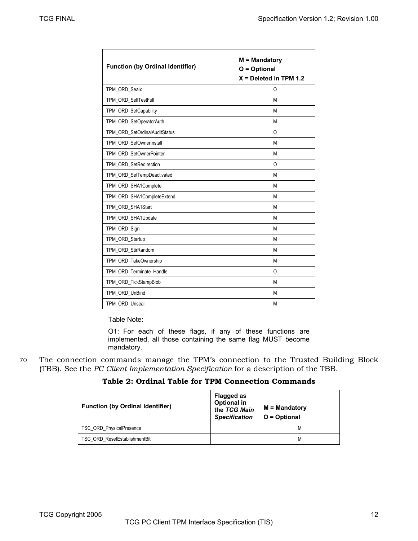| <b>Function (by Ordinal Identifier)</b> | $M =$ Mandatory<br>$O = Optional$<br>$X =$ Deleted in TPM 1.2 |  |
|-----------------------------------------|---------------------------------------------------------------|--|
| TPM ORD Sealx                           | 0                                                             |  |
| TPM ORD SelfTestFull                    | M                                                             |  |
| TPM_ORD_SetCapability                   | M                                                             |  |
| TPM_ORD_SetOperatorAuth                 | M                                                             |  |
| TPM_ORD_SetOrdinalAuditStatus           | $\Omega$                                                      |  |
| TPM ORD SetOwnerInstall                 | M                                                             |  |
| TPM_ORD_SetOwnerPointer                 | M                                                             |  |
| TPM_ORD_SetRedirection                  | $\Omega$                                                      |  |
| TPM_ORD_SetTempDeactivated              | M                                                             |  |
| TPM_ORD_SHA1Complete                    | M                                                             |  |
| TPM ORD SHA1CompleteExtend              | M                                                             |  |
| TPM_ORD_SHA1Start                       | M                                                             |  |
| TPM ORD SHA1Update                      | М                                                             |  |
| TPM ORD Sign                            | M                                                             |  |
| TPM ORD Startup                         | М                                                             |  |
| TPM ORD StirRandom                      | M                                                             |  |
| TPM_ORD_TakeOwnership                   | M                                                             |  |
| TPM_ORD_Terminate_Handle                | $\Omega$                                                      |  |
| TPM_ORD_TickStampBlob                   | M                                                             |  |
| TPM ORD UnBind                          | M                                                             |  |
| TPM ORD Unseal                          | M                                                             |  |

Table Note:

O1: For each of these flags, if any of these functions are implemented, all those containing the same flag MUST become mandatory.

70 The connection commands manage the TPM's connection to the Trusted Building Block (TBB). See the *PC Client Implementation Specification* for a description of the TBB.

### **Table 2: Ordinal Table for TPM Connection Commands**

| <b>Function (by Ordinal Identifier)</b> | <b>Flagged as</b><br><b>Optional in</b><br>the TCG Main<br><b>Specification</b> | $M =$ Mandatory<br>$O = Optional$ |
|-----------------------------------------|---------------------------------------------------------------------------------|-----------------------------------|
| TSC_ORD_PhysicalPresence                |                                                                                 | м                                 |
| TSC ORD ResetEstablishmentBit           |                                                                                 | М                                 |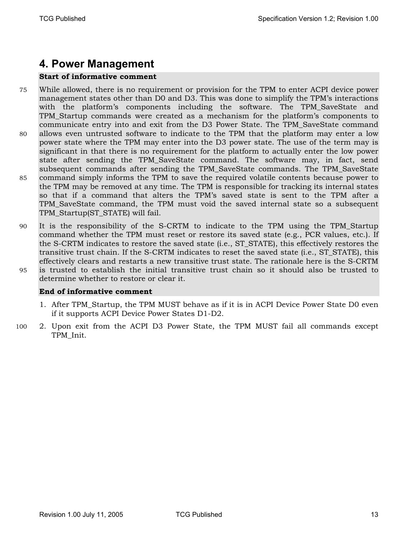### **4. Power Management**

### **Start of informative comment**

- 75 While allowed, there is no requirement or provision for the TPM to enter ACPI device power management states other than D0 and D3. This was done to simplify the TPM's interactions with the platform's components including the software. The TPM\_SaveState and TPM\_Startup commands were created as a mechanism for the platform's components to communicate entry into and exit from the D3 Power State. The TPM\_SaveState command 80 allows even untrusted software to indicate to the TPM that the platform may enter a low power state where the TPM may enter into the D3 power state. The use of the term may is significant in that there is no requirement for the platform to actually enter the low power state after sending the TPM\_SaveState command. The software may, in fact, send subsequent commands after sending the TPM\_SaveState commands. The TPM\_SaveState 85 command simply informs the TPM to save the required volatile contents because power to the TPM may be removed at any time. The TPM is responsible for tracking its internal states so that if a command that alters the TPM's saved state is sent to the TPM after a TPM\_SaveState command, the TPM must void the saved internal state so a subsequent TPM\_Startup(ST\_STATE) will fail.
- 90 It is the responsibility of the S-CRTM to indicate to the TPM using the TPM\_Startup command whether the TPM must reset or restore its saved state (e.g., PCR values, etc.). If the S-CRTM indicates to restore the saved state (i.e., ST\_STATE), this effectively restores the transitive trust chain. If the S-CRTM indicates to reset the saved state (i.e., ST\_STATE), this effectively clears and restarts a new transitive trust state. The rationale here is the S-CRTM 95 is trusted to establish the initial transitive trust chain so it should also be trusted to
- determine whether to restore or clear it.

- 1. After TPM\_Startup, the TPM MUST behave as if it is in ACPI Device Power State D0 even if it supports ACPI Device Power States D1-D2.
- 100 2. Upon exit from the ACPI D3 Power State, the TPM MUST fail all commands except TPM\_Init.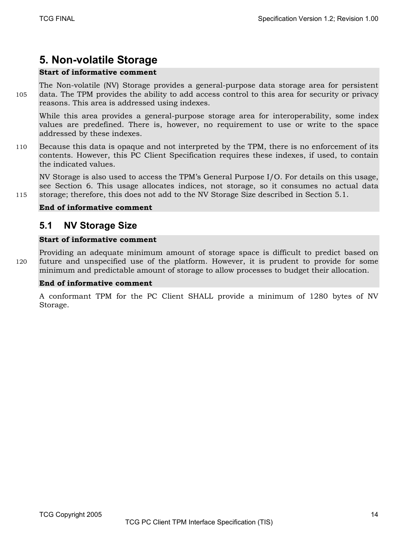### **5. Non-volatile Storage**

### **Start of informative comment**

The Non-volatile (NV) Storage provides a general-purpose data storage area for persistent 105 data. The TPM provides the ability to add access control to this area for security or privacy reasons. This area is addressed using indexes.

While this area provides a general-purpose storage area for interoperability, some index values are predefined. There is, however, no requirement to use or write to the space addressed by these indexes.

110 Because this data is opaque and not interpreted by the TPM, there is no enforcement of its contents. However, this PC Client Specification requires these indexes, if used, to contain the indicated values.

NV Storage is also used to access the TPM's General Purpose I/O. For details on this usage, see Section 6. This usage allocates indices, not storage, so it consumes no actual data 115 storage; therefore, this does not add to the NV Storage Size described in Section 5.1.

#### **End of informative comment**

### **5.1 NV Storage Size**

#### **Start of informative comment**

Providing an adequate minimum amount of storage space is difficult to predict based on 120 future and unspecified use of the platform. However, it is prudent to provide for some minimum and predictable amount of storage to allow processes to budget their allocation.

#### **End of informative comment**

A conformant TPM for the PC Client SHALL provide a minimum of 1280 bytes of NV Storage.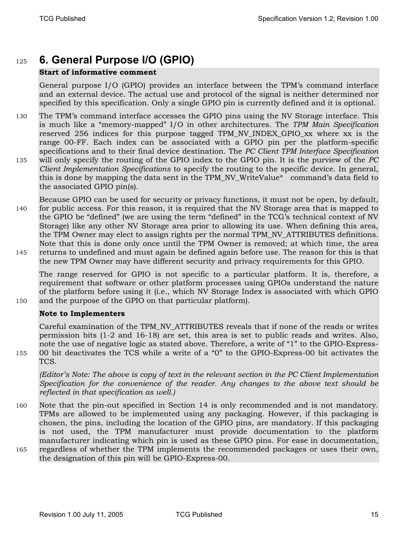### <sup>125</sup>**6. General Purpose I/O (GPIO)**

#### **Start of informative comment**

General purpose I/O (GPIO) provides an interface between the TPM's command interface and an external device. The actual use and protocol of the signal is neither determined nor specified by this specification. Only a single GPIO pin is currently defined and it is optional.

130 The TPM's command interface accesses the GPIO pins using the NV Storage interface. This is much like a "memory-mapped" I/O in other architectures. The *TPM Main Specification* reserved 256 indices for this purpose tagged TPM\_NV\_INDEX\_GPIO\_xx where xx is the range 00-FF. Each index can be associated with a GPIO pin per the platform-specific specifications and to their final device destination. The *PC Client TPM Interface Specification* 135 will only specify the routing of the GPIO index to the GPIO pin. It is the purview of the *PC Client Implementation Specifications* to specify the routing to the specific device. In general, this is done by mapping the data sent in the TPM\_NV\_WriteValue\* command's data field to the associated GPIO pin(s).

Because GPIO can be used for security or privacy functions, it must not be open, by default, 140 for public access. For this reason, it is required that the NV Storage area that is mapped to the GPIO be "defined" (we are using the term "defined" in the TCG's technical context of NV Storage) like any other NV Storage area prior to allowing its use. When defining this area, the TPM Owner may elect to assign rights per the normal TPM\_NV\_ATTRIBUTES definitions. Note that this is done only once until the TPM Owner is removed; at which time, the area 145 returns to undefined and must again be defined again before use. The reason for this is that the new TPM Owner may have different security and privacy requirements for this GPIO.

The range reserved for GPIO is not specific to a particular platform. It is, therefore, a requirement that software or other platform processes using GPIOs understand the nature of the platform before using it (i.e., which NV Storage Index is associated with which GPIO 150 and the purpose of the GPIO on that particular platform).

#### **Note to Implementers**

Careful examination of the TPM\_NV\_ATTRIBUTES reveals that if none of the reads or writes permission bits (1-2 and 16-18) are set, this area is set to public reads and writes. Also, note the use of negative logic as stated above. Therefore, a write of "1" to the GPIO-Express-155 00 bit deactivates the TCS while a write of a "0" to the GPIO-Express-00 bit activates the TCS.

*(Editor's Note: The above is copy of text in the relevant section in the PC Client Implementation Specification for the convenience of the reader. Any changes to the above text should be reflected in that specification as well.)* 

160 Note that the pin-out specified in Section 14 is only recommended and is not mandatory. TPMs are allowed to be implemented using any packaging. However, if this packaging is chosen, the pins, including the location of the GPIO pins, are mandatory. If this packaging is not used, the TPM manufacturer must provide documentation to the platform manufacturer indicating which pin is used as these GPIO pins. For ease in documentation, 165 regardless of whether the TPM implements the recommended packages or uses their own, the designation of this pin will be GPIO-Express-00.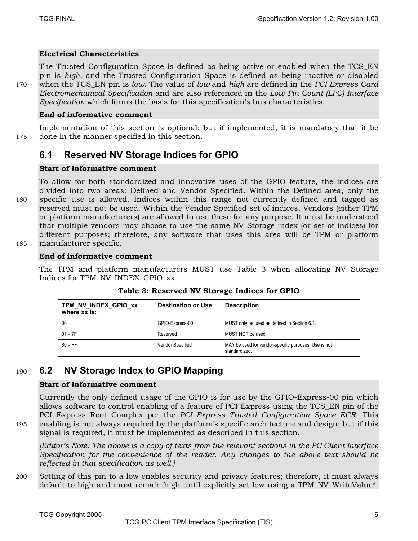### **Electrical Characteristics**

The Trusted Configuration Space is defined as being active or enabled when the TCS\_EN pin is *high*, and the Trusted Configuration Space is defined as being inactive or disabled 170 when the TCS\_EN pin is *low*. The value of *low* and *high* are defined in the *PCI Express Card Electromechanical Specification* and are also referenced in the *Low Pin Count (LPC) Interface Specification* which forms the basis for this specification's bus characteristics.

### **End of informative comment**

Implementation of this section is optional; but if implemented, it is mandatory that it be 175 done in the manner specified in this section.

### **6.1 Reserved NV Storage Indices for GPIO**

### **Start of informative comment**

To allow for both standardized and innovative uses of the GPIO feature, the indices are divided into two areas: Defined and Vendor Specified. Within the Defined area, only the 180 specific use is allowed. Indices within this range not currently defined and tagged as reserved must not be used. Within the Vendor Specified set of indices, Vendors (either TPM or platform manufacturers) are allowed to use these for any purpose. It must be understood that multiple vendors may choose to use the same NV Storage index (or set of indices) for different purposes; therefore, any software that uses this area will be TPM or platform 185 manufacturer specific.

### **End of informative comment**

The TPM and platform manufacturers MUST use Table 3 when allocating NV Storage Indices for TPM\_NV\_INDEX\_GPIO\_xx.

| TPM_NV_INDEX_GPIO_xx<br>where xx is: | <b>Destination or Use</b> | <b>Description</b>                                                    |  |
|--------------------------------------|---------------------------|-----------------------------------------------------------------------|--|
| 00                                   | GPIO-Express-00           | MUST only be used as defined in Section 6.1.                          |  |
| $01 - 7F$                            | Reserved                  | MUST NOT be used                                                      |  |
| $80 - FF$                            | Vendor Specified          | MAY be used for vendor-specific purposes. Use is not<br>standardized. |  |

**Table 3: Reserved NV Storage Indices for GPIO** 

### <sup>190</sup>**6.2 NV Storage Index to GPIO Mapping**

#### **Start of informative comment**

Currently the only defined usage of the GPIO is for use by the GPIO-Express-00 pin which allows software to control enabling of a feature of PCI Express using the TCS\_EN pin of the PCI Express Root Complex per the *PCI Express Trusted Configuration Space ECR*. This 195 enabling is not always required by the platform's specific architecture and design; but if this signal is required, it must be implemented as described in this section.

*[Editor's Note: The above is a copy of texts from the relevant sections in the PC Client Interface Specification for the convenience of the reader. Any changes to the above text should be reflected in that specification as well.]*

200 Setting of this pin to a low enables security and privacy features; therefore, it must always default to high and must remain high until explicitly set low using a TPM\_NV\_WriteValue\*.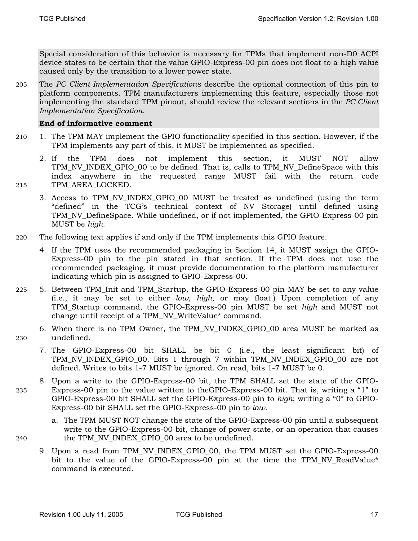Special consideration of this behavior is necessary for TPMs that implement non-D0 ACPI device states to be certain that the value GPIO-Express-00 pin does not float to a high value caused only by the transition to a lower power state.

205 The *PC Client Implementation Specifications* describe the optional connection of this pin to platform components. TPM manufacturers implementing this feature, especially those not implementing the standard TPM pinout, should review the relevant sections in the *PC Client Implementation Specification*.

- 210 1. The TPM MAY implement the GPIO functionality specified in this section. However, if the TPM implements any part of this, it MUST be implemented as specified.
- 2. If the TPM does not implement this section, it MUST NOT allow TPM\_NV\_INDEX\_GPIO\_00 to be defined. That is, calls to TPM\_NV\_DefineSpace with this index anywhere in the requested range MUST fail with the return code 215 TPM\_AREA\_LOCKED.
	- 3. Access to TPM\_NV\_INDEX\_GPIO\_00 MUST be treated as undefined (using the term "defined" in the TCG's technical context of NV Storage) until defined using TPM\_NV\_DefineSpace. While undefined, or if not implemented, the GPIO-Express-00 pin MUST be *high*.
- 220 The following text applies if and only if the TPM implements this GPIO feature.
	- 4. If the TPM uses the recommended packaging in Section 14, it MUST assign the GPIO-Express-00 pin to the pin stated in that section. If the TPM does not use the recommended packaging, it must provide documentation to the platform manufacturer indicating which pin is assigned to GPIO-Express-00.
- 225 5. Between TPM\_Init and TPM\_Startup, the GPIO-Express-00 pin MAY be set to any value (i.e., it may be set to either *low*, *high*, or may float.) Upon completion of any TPM\_Startup command, the GPIO-Express-00 pin MUST be set *high* and MUST not change until receipt of a TPM\_NV\_WriteValue\* command.
- 6. When there is no TPM Owner, the TPM\_NV\_INDEX\_GPIO\_00 area MUST be marked as 230 undefined.
	- 7. The GPIO-Express-00 bit SHALL be bit 0 (i.e., the least significant bit) of TPM\_NV\_INDEX\_GPIO\_00. Bits 1 through 7 within TPM\_NV\_INDEX\_GPIO\_00 are not defined. Writes to bits 1-7 MUST be ignored. On read, bits 1-7 MUST be 0.
- 8. Upon a write to the GPIO-Express-00 bit, the TPM SHALL set the state of the GPIO-235 Express-00 pin to the value written to theGPIO-Express-00 bit. That is, writing a "1" to GPIO-Express-00 bit SHALL set the GPIO-Express-00 pin to *high*; writing a "0" to GPIO-Express-00 bit SHALL set the GPIO-Express-00 pin to *low*.
- a. The TPM MUST NOT change the state of the GPIO-Express-00 pin until a subsequent write to the GPIO-Express-00 bit, change of power state, or an operation that causes 240 the TPM\_NV\_INDEX\_GPIO\_00 area to be undefined.
	- 9. Upon a read from TPM\_NV\_INDEX\_GPIO\_00, the TPM MUST set the GPIO-Express-00 bit to the value of the GPIO-Express-00 pin at the time the TPM\_NV\_ReadValue\* command is executed.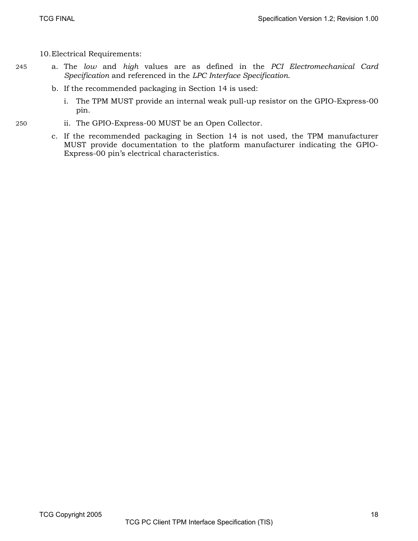10.Electrical Requirements:

- 245 a. The *low* and *high* values are as defined in the *PCI Electromechanical Card Specification* and referenced in the *LPC Interface Specification*.
	- b. If the recommended packaging in Section 14 is used:
		- i. The TPM MUST provide an internal weak pull-up resistor on the GPIO-Express-00 pin.
- 250 ii. The GPIO-Express-00 MUST be an Open Collector.
	- c. If the recommended packaging in Section 14 is not used, the TPM manufacturer MUST provide documentation to the platform manufacturer indicating the GPIO-Express-00 pin's electrical characteristics.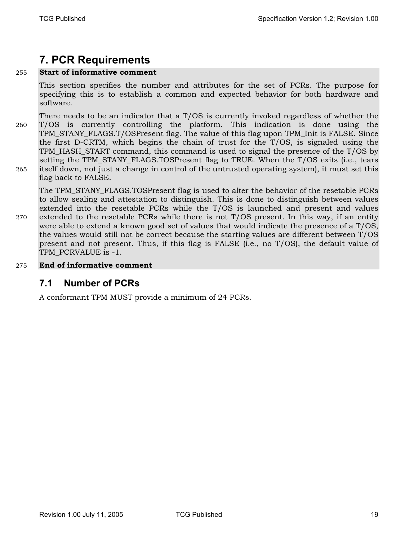### **7. PCR Requirements**

### 255 **Start of informative comment**

This section specifies the number and attributes for the set of PCRs. The purpose for specifying this is to establish a common and expected behavior for both hardware and software.

There needs to be an indicator that a T/OS is currently invoked regardless of whether the 260 T/OS is currently controlling the platform. This indication is done using the TPM\_STANY\_FLAGS.T/OSPresent flag. The value of this flag upon TPM\_Init is FALSE. Since the first D-CRTM, which begins the chain of trust for the T/OS, is signaled using the TPM\_HASH\_START command, this command is used to signal the presence of the T/OS by setting the TPM\_STANY\_FLAGS.TOSPresent flag to TRUE. When the T/OS exits (i.e., tears 265 itself down, not just a change in control of the untrusted operating system), it must set this flag back to FALSE.

The TPM\_STANY\_FLAGS.TOSPresent flag is used to alter the behavior of the resetable PCRs to allow sealing and attestation to distinguish. This is done to distinguish between values extended into the resetable PCRs while the T/OS is launched and present and values 270 extended to the resetable PCRs while there is not T/OS present. In this way, if an entity were able to extend a known good set of values that would indicate the presence of a T/OS, the values would still not be correct because the starting values are different between T/OS present and not present. Thus, if this flag is FALSE (i.e., no T/OS), the default value of TPM\_PCRVALUE is -1.

### 275 **End of informative comment**

### **7.1 Number of PCRs**

A conformant TPM MUST provide a minimum of 24 PCRs.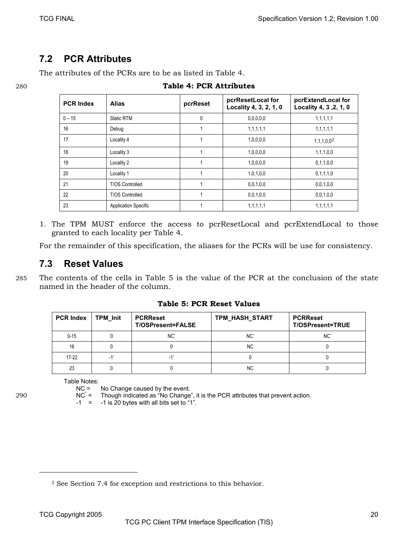### **7.2 PCR Attributes**

The attributes of the PCRs are to be as listed in Table 4.

| <b>PCR Index</b> | <b>Alias</b>                | pcrReset     | pcrResetLocal for<br>Locality 4, 3, 2, 1, 0 | pcrExtendLocal for<br>Locality 4, 3, 2, 1, 0 |
|------------------|-----------------------------|--------------|---------------------------------------------|----------------------------------------------|
| $0 - 15$         | <b>Static RTM</b>           | $\mathbf{0}$ | 0,0,0,0,0                                   | 1, 1, 1, 1, 1                                |
| 16               | Debug                       |              | 1, 1, 1, 1, 1                               | 1, 1, 1, 1, 1                                |
| 17               | Locality 4                  |              | 1,0,0,0,0                                   | $1,1,1,0,0^2$                                |
| 18               | Locality 3                  |              | 1,0,0,0,0                                   | 1.1.1.0.0                                    |
| 19               | Locality 2                  |              | 1,0,0,0,0                                   | 0.1, 1.0, 0                                  |
| 20               | Locality 1                  |              | 1,0,1,0,0                                   | 0, 1, 1, 1, 0                                |
| 21               | <b>T/OS Controlled</b>      |              | 0,0,1,0,0                                   | 0,0,1,0,0                                    |
| 22               | <b>T/OS Controlled</b>      |              | 0.0.1.0.0                                   | 0,0,1,0,0                                    |
| 23               | <b>Application Specific</b> |              | 1,1,1,1,1                                   | 1, 1, 1, 1, 1                                |

#### 280 **Table 4: PCR Attributes**

1. The TPM MUST enforce the access to pcrResetLocal and pcrExtendLocal to those granted to each locality per Table 4.

For the remainder of this specification, the aliases for the PCRs will be use for consistency.

### **7.3 Reset Values**

285 The contents of the cells in Table 5 is the value of the PCR at the conclusion of the state named in the header of the column.

**Table 5: PCR Reset Values** 

| <b>PCR Index</b> | TPM_Init | <b>PCRReset</b><br><b>T/OSPresent=FALSE</b> | TPM_HASH_START  | <b>PCRReset</b><br><b>T/OSPresent=TRUE</b> |
|------------------|----------|---------------------------------------------|-----------------|--------------------------------------------|
| $0 - 15$         |          | $NC^*$                                      | NC <sup>*</sup> | $NC^*$                                     |
| 16               |          |                                             | NC.             |                                            |
| $17-22$          |          |                                             |                 |                                            |
| 23               |          |                                             | NC.             |                                            |

Table Notes:

NC = No Change caused by the event.

290  $NC^* =$  Though indicated as "No Change", it is the PCR attributes that prevent action.

 $-1$  =  $-1$  is 20 bytes with all bits set to "1".

<sup>2</sup> See Section 7.4 for exception and restrictions to this behavior.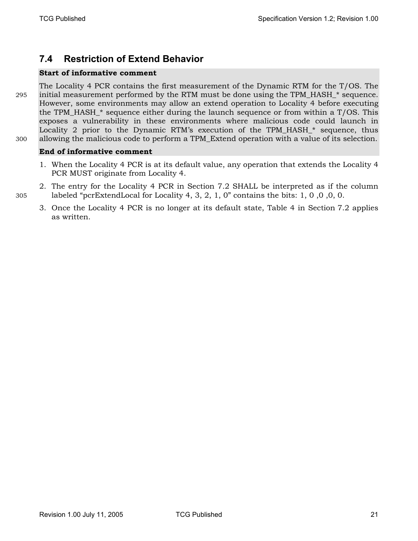### **7.4 Restriction of Extend Behavior**

### **Start of informative comment**

The Locality 4 PCR contains the first measurement of the Dynamic RTM for the T/OS. The 295 initial measurement performed by the RTM must be done using the TPM HASH  $*$  sequence. However, some environments may allow an extend operation to Locality 4 before executing the TPM\_HASH\_\* sequence either during the launch sequence or from within a T/OS. This exposes a vulnerability in these environments where malicious code could launch in Locality 2 prior to the Dynamic RTM's execution of the TPM\_HASH\_\* sequence, thus 300 allowing the malicious code to perform a TPM\_Extend operation with a value of its selection.

- 1. When the Locality 4 PCR is at its default value, any operation that extends the Locality 4 PCR MUST originate from Locality 4.
- 2. The entry for the Locality 4 PCR in Section 7.2 SHALL be interpreted as if the column 305 labeled "pcrExtendLocal for Locality 4, 3, 2, 1, 0" contains the bits: 1, 0 ,0 ,0, 0.
	- 3. Once the Locality 4 PCR is no longer at its default state, Table 4 in Section 7.2 applies as written.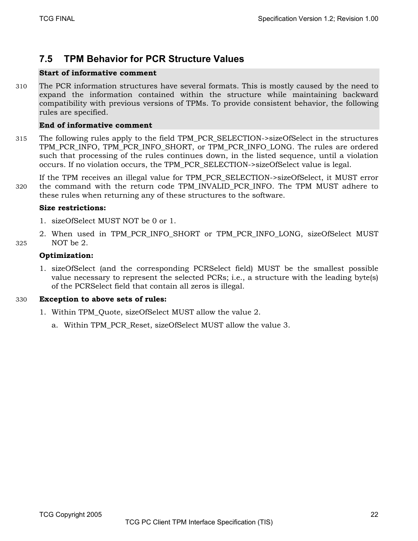### **7.5 TPM Behavior for PCR Structure Values**

### **Start of informative comment**

310 The PCR information structures have several formats. This is mostly caused by the need to expand the information contained within the structure while maintaining backward compatibility with previous versions of TPMs. To provide consistent behavior, the following rules are specified.

#### **End of informative comment**

315 The following rules apply to the field TPM\_PCR\_SELECTION->sizeOfSelect in the structures TPM\_PCR\_INFO, TPM\_PCR\_INFO\_SHORT, or TPM\_PCR\_INFO\_LONG. The rules are ordered such that processing of the rules continues down, in the listed sequence, until a violation occurs. If no violation occurs, the TPM\_PCR\_SELECTION->sizeOfSelect value is legal.

If the TPM receives an illegal value for TPM\_PCR\_SELECTION->sizeOfSelect, it MUST error 320 the command with the return code TPM\_INVALID\_PCR\_INFO. The TPM MUST adhere to these rules when returning any of these structures to the software.

#### **Size restrictions:**

- 1. sizeOfSelect MUST NOT be 0 or 1.
- 2. When used in TPM\_PCR\_INFO\_SHORT or TPM\_PCR\_INFO\_LONG, sizeOfSelect MUST 325 NOT be 2.

#### **Optimization:**

1. sizeOfSelect (and the corresponding PCRSelect field) MUST be the smallest possible value necessary to represent the selected PCRs; i.e., a structure with the leading byte(s) of the PCRSelect field that contain all zeros is illegal.

#### 330 **Exception to above sets of rules:**

- 1. Within TPM\_Quote, sizeOfSelect MUST allow the value 2.
	- a. Within TPM\_PCR\_Reset, sizeOfSelect MUST allow the value 3.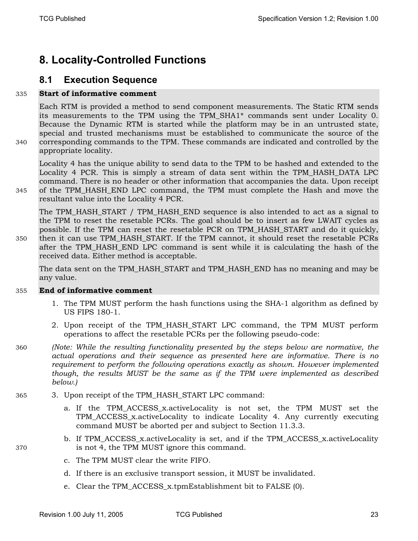### **8. Locality-Controlled Functions**

### **8.1 Execution Sequence**

### 335 **Start of informative comment**

Each RTM is provided a method to send component measurements. The Static RTM sends its measurements to the TPM using the TPM\_SHA1\* commands sent under Locality 0. Because the Dynamic RTM is started while the platform may be in an untrusted state, special and trusted mechanisms must be established to communicate the source of the 340 corresponding commands to the TPM. These commands are indicated and controlled by the appropriate locality.

Locality 4 has the unique ability to send data to the TPM to be hashed and extended to the Locality 4 PCR. This is simply a stream of data sent within the TPM\_HASH\_DATA LPC command. There is no header or other information that accompanies the data. Upon receipt 345 of the TPM\_HASH\_END LPC command, the TPM must complete the Hash and move the resultant value into the Locality 4 PCR.

The TPM\_HASH\_START / TPM\_HASH\_END sequence is also intended to act as a signal to the TPM to reset the resetable PCRs. The goal should be to insert as few LWAIT cycles as possible. If the TPM can reset the resetable PCR on TPM\_HASH\_START and do it quickly, 350 then it can use TPM\_HASH\_START. If the TPM cannot, it should reset the resetable PCRs after the TPM\_HASH\_END LPC command is sent while it is calculating the hash of the received data. Either method is acceptable.

The data sent on the TPM\_HASH\_START and TPM\_HASH\_END has no meaning and may be any value.

- 1. The TPM MUST perform the hash functions using the SHA-1 algorithm as defined by US FIPS 180-1.
- 2. Upon receipt of the TPM\_HASH\_START LPC command, the TPM MUST perform operations to affect the resetable PCRs per the following pseudo-code:
- 360 *(Note: While the resulting functionality presented by the steps below are normative, the actual operations and their sequence as presented here are informative. There is no requirement to perform the following operations exactly as shown. However implemented though, the results MUST be the same as if the TPM were implemented as described below.)*
- 365 3. Upon receipt of the TPM\_HASH\_START LPC command:
	- a. If the TPM\_ACCESS\_x.activeLocality is not set, the TPM MUST set the TPM\_ACCESS\_x.activeLocality to indicate Locality 4. Any currently executing command MUST be aborted per and subject to Section 11.3.3.
- b. If TPM\_ACCESS\_x.activeLocality is set, and if the TPM\_ACCESS\_x.activeLocality 370 is not 4, the TPM MUST ignore this command.
	- c. The TPM MUST clear the write FIFO.
	- d. If there is an exclusive transport session, it MUST be invalidated.
	- e. Clear the TPM\_ACCESS\_x.tpmEstablishment bit to FALSE (0).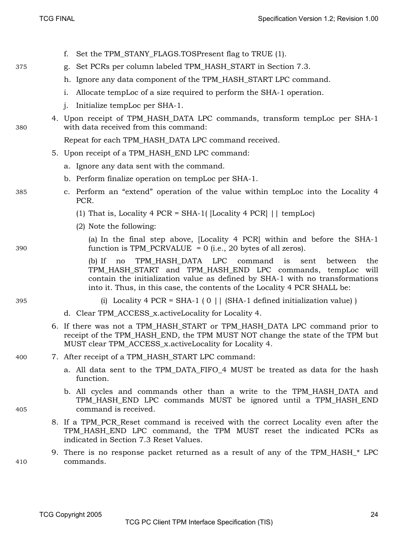|     | f. Set the TPM_STANY_FLAGS.TOSPresent flag to TRUE (1).                                                                                                                                                                                                                                                           |
|-----|-------------------------------------------------------------------------------------------------------------------------------------------------------------------------------------------------------------------------------------------------------------------------------------------------------------------|
| 375 | g. Set PCRs per column labeled TPM_HASH_START in Section 7.3.                                                                                                                                                                                                                                                     |
|     | h. Ignore any data component of the TPM_HASH_START LPC command.                                                                                                                                                                                                                                                   |
|     | Allocate tempLoc of a size required to perform the SHA-1 operation.<br>i.                                                                                                                                                                                                                                         |
|     | Initialize tempLoc per SHA-1.<br>i.                                                                                                                                                                                                                                                                               |
| 380 | 4. Upon receipt of TPM_HASH_DATA LPC commands, transform tempLoc per SHA-1<br>with data received from this command:                                                                                                                                                                                               |
|     | Repeat for each TPM_HASH_DATA LPC command received.                                                                                                                                                                                                                                                               |
|     | 5. Upon receipt of a TPM_HASH_END LPC command:                                                                                                                                                                                                                                                                    |
|     | a. Ignore any data sent with the command.                                                                                                                                                                                                                                                                         |
|     | b. Perform finalize operation on temploc per SHA-1.                                                                                                                                                                                                                                                               |
| 385 | c. Perform an "extend" operation of the value within temploc into the Locality 4<br>PCR.                                                                                                                                                                                                                          |
|     | (1) That is, Locality 4 PCR = SHA-1( $[Locality 4 PCR]$     tempLoc)                                                                                                                                                                                                                                              |
|     | (2) Note the following:                                                                                                                                                                                                                                                                                           |
| 390 | (a) In the final step above, [Locality 4 PCR] within and before the SHA-1<br>function is TPM_PCRVALUE = $0$ (i.e., 20 bytes of all zeros).                                                                                                                                                                        |
|     | TPM_HASH_DATA LPC command<br>$(b)$ If<br>$\frac{1}{1}$<br>no<br>sent<br>between<br>the<br>TPM_HASH_START and TPM_HASH_END LPC commands, tempLoc will<br>contain the initialization value as defined by SHA-1 with no transformations<br>into it. Thus, in this case, the contents of the Locality 4 PCR SHALL be: |
| 395 | (i) Locality 4 PCR = SHA-1 (0     (SHA-1 defined initialization value))                                                                                                                                                                                                                                           |
|     | d. Clear TPM_ACCESS_x.activeLocality for Locality 4.                                                                                                                                                                                                                                                              |
|     | 6. If there was not a TPM_HASH_START or TPM_HASH_DATA LPC command prior to<br>receipt of the TPM_HASH_END, the TPM MUST NOT change the state of the TPM but<br>MUST clear TPM_ACCESS_x.activeLocality for Locality 4.                                                                                             |
| 400 | 7. After receipt of a TPM_HASH_START LPC command:                                                                                                                                                                                                                                                                 |
|     | a. All data sent to the TPM_DATA_FIFO_4 MUST be treated as data for the hash<br>function.                                                                                                                                                                                                                         |
| 405 | b. All cycles and commands other than a write to the TPM_HASH_DATA and<br>TPM_HASH_END LPC commands MUST be ignored until a TPM_HASH_END<br>command is received.                                                                                                                                                  |
|     | 8. If a TPM PCR Reset command is received with the correct Locality even after the                                                                                                                                                                                                                                |

- 8. If a TPM\_PCR\_Reset command is received with the correct Locality even after the TPM\_HASH\_END LPC command, the TPM MUST reset the indicated PCRs as indicated in Section 7.3 Reset Values.
- 9. There is no response packet returned as a result of any of the TPM\_HASH\_\* LPC 410 commands.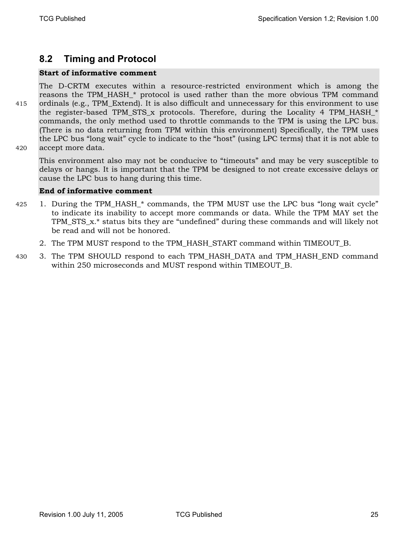### **8.2 Timing and Protocol**

#### **Start of informative comment**

The D-CRTM executes within a resource-restricted environment which is among the reasons the TPM\_HASH\_\* protocol is used rather than the more obvious TPM command 415 ordinals (e.g., TPM\_Extend). It is also difficult and unnecessary for this environment to use the register-based TPM\_STS\_x protocols. Therefore, during the Locality 4 TPM\_HASH\_\* commands, the only method used to throttle commands to the TPM is using the LPC bus. (There is no data returning from TPM within this environment) Specifically, the TPM uses the LPC bus "long wait" cycle to indicate to the "host" (using LPC terms) that it is not able to 420 accept more data.

This environment also may not be conducive to "timeouts" and may be very susceptible to delays or hangs. It is important that the TPM be designed to not create excessive delays or cause the LPC bus to hang during this time.

- 425 1. During the TPM HASH  $*$  commands, the TPM MUST use the LPC bus "long wait cycle" to indicate its inability to accept more commands or data. While the TPM MAY set the TPM\_STS\_x.\* status bits they are "undefined" during these commands and will likely not be read and will not be honored.
	- 2. The TPM MUST respond to the TPM\_HASH\_START command within TIMEOUT\_B.
- 430 3. The TPM SHOULD respond to each TPM\_HASH\_DATA and TPM\_HASH\_END command within 250 microseconds and MUST respond within TIMEOUT\_B.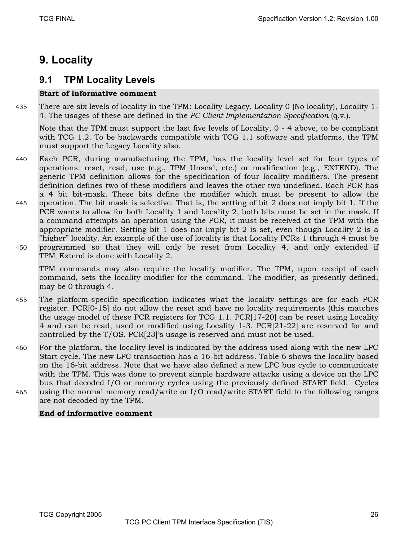### **9. Locality**

### **9.1 TPM Locality Levels**

### **Start of informative comment**

435 There are six levels of locality in the TPM: Locality Legacy, Locality 0 (No locality), Locality 1- 4. The usages of these are defined in the *PC Client Implementation Specification* (q.v.).

Note that the TPM must support the last five levels of Locality, 0 - 4 above, to be compliant with TCG 1.2. To be backwards compatible with TCG 1.1 software and platforms, the TPM must support the Legacy Locality also.

440 Each PCR, during manufacturing the TPM, has the locality level set for four types of operations: reset, read, use (e.g., TPM\_Unseal, etc.) or modification (e.g., EXTEND). The generic TPM definition allows for the specification of four locality modifiers. The present definition defines two of these modifiers and leaves the other two undefined. Each PCR has a 4 bit bit-mask. These bits define the modifier which must be present to allow the 445 operation. The bit mask is selective. That is, the setting of bit 2 does not imply bit 1. If the PCR wants to allow for both Locality 1 and Locality 2, both bits must be set in the mask. If a command attempts an operation using the PCR, it must be received at the TPM with the appropriate modifier. Setting bit 1 does not imply bit 2 is set, even though Locality 2 is a "higher" locality. An example of the use of locality is that Locality PCRs 1 through 4 must be 450 programmed so that they will only be reset from Locality 4, and only extended if TPM\_Extend is done with Locality 2.

TPM commands may also require the locality modifier. The TPM, upon receipt of each command, sets the locality modifier for the command. The modifier, as presently defined, may be 0 through 4.

- 455 The platform-specific specification indicates what the locality settings are for each PCR register. PCR[0-15] do not allow the reset and have no locality requirements (this matches the usage model of these PCR registers for TCG 1.1. PCR[17-20] can be reset using Locality 4 and can be read, used or modified using Locality 1-3. PCR[21-22] are reserved for and controlled by the T/OS. PCR[23]'s usage is reserved and must not be used.
- 460 For the platform, the locality level is indicated by the address used along with the new LPC Start cycle. The new LPC transaction has a 16-bit address. Table 6 shows the locality based on the 16-bit address. Note that we have also defined a new LPC bus cycle to communicate with the TPM. This was done to prevent simple hardware attacks using a device on the LPC bus that decoded I/O or memory cycles using the previously defined START field. Cycles 465 using the normal memory read/write or I/O read/write START field to the following ranges are not decoded by the TPM.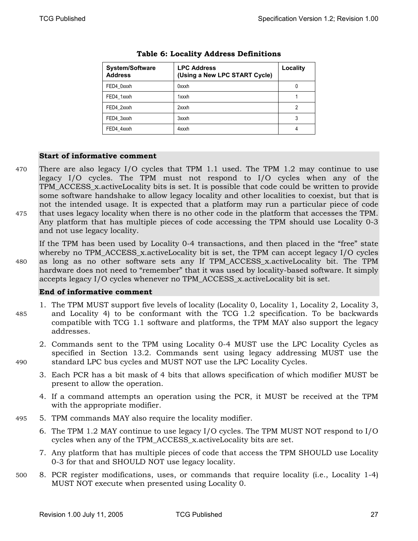| <b>System/Software</b><br><b>Address</b> | <b>LPC Address</b><br>(Using a New LPC START Cycle) | Locality |
|------------------------------------------|-----------------------------------------------------|----------|
| FED4 0xxxh                               | 0xxxh                                               |          |
| FED4 1xxxh                               | 1xxxh                                               |          |
| FED4 2xxxh                               | 2xxxh                                               |          |
| FED4 3xxxh                               | 3xxxh                                               |          |
| FED4 4xxxh                               | 4xxxh                                               |          |

### **Table 6: Locality Address Definitions**

#### **Start of informative comment**

470 There are also legacy I/O cycles that TPM 1.1 used. The TPM 1.2 may continue to use legacy I/O cycles. The TPM must not respond to I/O cycles when any of the TPM\_ACCESS\_x.activeLocality bits is set. It is possible that code could be written to provide some software handshake to allow legacy locality and other localities to coexist, but that is not the intended usage. It is expected that a platform may run a particular piece of code 475 that uses legacy locality when there is no other code in the platform that accesses the TPM. Any platform that has multiple pieces of code accessing the TPM should use Locality 0-3 and not use legacy locality.

If the TPM has been used by Locality 0-4 transactions, and then placed in the "free" state whereby no TPM ACCESS x.activeLocality bit is set, the TPM can accept legacy I/O cycles 480 as long as no other software sets any If TPM\_ACCESS\_x.activeLocality bit. The TPM hardware does not need to "remember" that it was used by locality-based software. It simply accepts legacy I/O cycles whenever no TPM\_ACCESS\_x.activeLocality bit is set.

- 1. The TPM MUST support five levels of locality (Locality 0, Locality 1, Locality 2, Locality 3, 485 and Locality 4) to be conformant with the TCG 1.2 specification. To be backwards compatible with TCG 1.1 software and platforms, the TPM MAY also support the legacy addresses.
- 2. Commands sent to the TPM using Locality 0-4 MUST use the LPC Locality Cycles as specified in Section 13.2. Commands sent using legacy addressing MUST use the 490 standard LPC bus cycles and MUST NOT use the LPC Locality Cycles.
	- 3. Each PCR has a bit mask of 4 bits that allows specification of which modifier MUST be present to allow the operation.
	- 4. If a command attempts an operation using the PCR, it MUST be received at the TPM with the appropriate modifier.
- 495 5. TPM commands MAY also require the locality modifier.
	- 6. The TPM 1.2 MAY continue to use legacy I/O cycles. The TPM MUST NOT respond to I/O cycles when any of the TPM\_ACCESS\_x.activeLocality bits are set.
	- 7. Any platform that has multiple pieces of code that access the TPM SHOULD use Locality 0-3 for that and SHOULD NOT use legacy locality.
- 500 8. PCR register modifications, uses, or commands that require locality (i.e., Locality 1-4) MUST NOT execute when presented using Locality 0.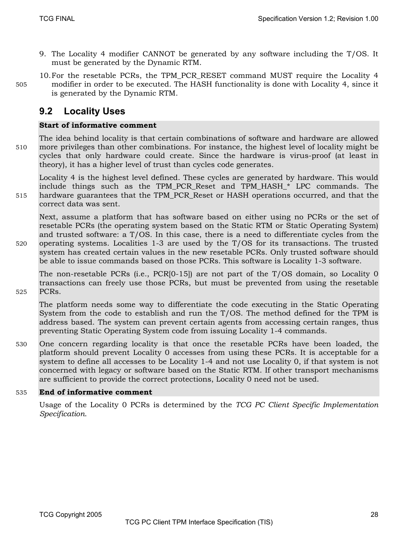- 9. The Locality 4 modifier CANNOT be generated by any software including the T/OS. It must be generated by the Dynamic RTM.
- 10.For the resetable PCRs, the TPM\_PCR\_RESET command MUST require the Locality 4 505 modifier in order to be executed. The HASH functionality is done with Locality 4, since it is generated by the Dynamic RTM.

### **9.2 Locality Uses**

### **Start of informative comment**

The idea behind locality is that certain combinations of software and hardware are allowed 510 more privileges than other combinations. For instance, the highest level of locality might be cycles that only hardware could create. Since the hardware is virus-proof (at least in theory), it has a higher level of trust than cycles code generates.

Locality 4 is the highest level defined. These cycles are generated by hardware. This would include things such as the TPM\_PCR\_Reset and TPM\_HASH\_\* LPC commands. The 515 hardware guarantees that the TPM\_PCR\_Reset or HASH operations occurred, and that the correct data was sent.

Next, assume a platform that has software based on either using no PCRs or the set of resetable PCRs (the operating system based on the Static RTM or Static Operating System) and trusted software: a T/OS. In this case, there is a need to differentiate cycles from the 520 operating systems. Localities 1-3 are used by the T/OS for its transactions. The trusted system has created certain values in the new resetable PCRs. Only trusted software should be able to issue commands based on those PCRs. This software is Locality 1-3 software.

The non-resetable PCRs (i.e., PCR[0-15]) are not part of the T/OS domain, so Locality 0 transactions can freely use those PCRs, but must be prevented from using the resetable 525 PCRs.

The platform needs some way to differentiate the code executing in the Static Operating System from the code to establish and run the T/OS. The method defined for the TPM is address based. The system can prevent certain agents from accessing certain ranges, thus preventing Static Operating System code from issuing Locality 1-4 commands.

530 One concern regarding locality is that once the resetable PCRs have been loaded, the platform should prevent Locality 0 accesses from using these PCRs. It is acceptable for a system to define all accesses to be Locality 1-4 and not use Locality 0, if that system is not concerned with legacy or software based on the Static RTM. If other transport mechanisms are sufficient to provide the correct protections, Locality 0 need not be used.

### 535 **End of informative comment**

Usage of the Locality 0 PCRs is determined by the *TCG PC Client Specific Implementation Specification*.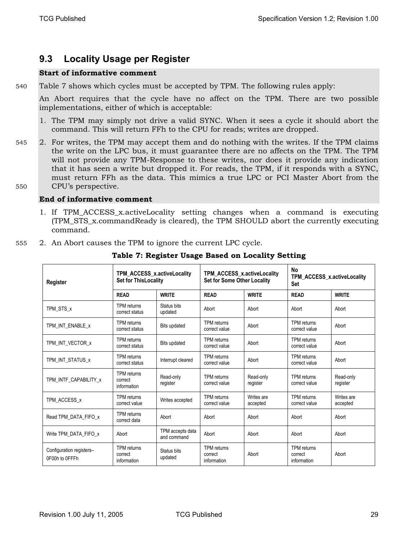### **9.3 Locality Usage per Register**

#### **Start of informative comment**

540 Table 7 shows which cycles must be accepted by TPM. The following rules apply:

An Abort requires that the cycle have no affect on the TPM. There are two possible implementations, either of which is acceptable:

- 1. The TPM may simply not drive a valid SYNC. When it sees a cycle it should abort the command. This will return FFh to the CPU for reads; writes are dropped.
- 545 2. For writes, the TPM may accept them and do nothing with the writes. If the TPM claims the write on the LPC bus, it must guarantee there are no affects on the TPM. The TPM will not provide any TPM-Response to these writes, nor does it provide any indication that it has seen a write but dropped it. For reads, the TPM, if it responds with a SYNC, must return FFh as the data. This mimics a true LPC or PCI Master Abort from the 550 CPU's perspective.

- 1. If TPM\_ACCESS\_x.activeLocality setting changes when a command is executing (TPM\_STS\_x.commandReady is cleared), the TPM SHOULD abort the currently executing command.
- 555 2. An Abort causes the TPM to ignore the current LPC cycle.

| Register                                   | TPM ACCESS x.activeLocality<br><b>Set for ThisLocality</b> |                                 | TPM_ACCESS_x.activeLocality<br><b>Set for Some Other Locality</b> |                        | Nο<br>TPM ACCESS x.activeLocality<br>Set     |                        |
|--------------------------------------------|------------------------------------------------------------|---------------------------------|-------------------------------------------------------------------|------------------------|----------------------------------------------|------------------------|
|                                            | <b>READ</b>                                                | <b>WRITE</b>                    | <b>READ</b>                                                       | <b>WRITE</b>           | <b>READ</b>                                  | <b>WRITE</b>           |
| TPM STS x                                  | <b>TPM</b> returns<br>correct status                       | Status bits<br>updated          | Abort                                                             | Abort                  | Abort                                        | Abort                  |
| TPM INT ENABLE x                           | <b>TPM</b> returns<br>correct status                       | <b>Bits updated</b>             | <b>TPM</b> returns<br>correct value                               | Abort                  | <b>TPM</b> returns<br>correct value          | Abort                  |
| TPM INT VECTOR x                           | <b>TPM</b> returns<br>correct status                       | <b>Bits updated</b>             | TPM returns<br>correct value                                      | Abort                  | <b>TPM</b> returns<br>correct value          | Abort                  |
| TPM INT STATUS x                           | <b>TPM</b> returns<br>correct status                       | Interrupt cleared               | TPM returns<br>correct value                                      | Abort                  | <b>TPM</b> returns<br>correct value          | Abort                  |
| TPM INTF CAPABILITY x                      | TPM returns<br>correct<br>information                      | Read-only<br>register           | <b>TPM</b> returns<br>correct value                               | Read-only<br>register  | <b>TPM</b> returns<br>correct value          | Read-only<br>register  |
| TPM ACCESS x                               | <b>TPM</b> returns<br>correct value                        | Writes accepted                 | TPM returns<br>correct value                                      | Writes are<br>accepted | <b>TPM</b> returns<br>correct value          | Writes are<br>accepted |
| Read TPM DATA FIFO x                       | <b>TPM</b> returns<br>correct data                         | Abort                           | Abort                                                             | Abort                  | Abort                                        | Abort                  |
| Write TPM DATA FIFO x                      | Abort                                                      | TPM accepts data<br>and command | Abort                                                             | Abort                  | Abort                                        | Abort                  |
| Configuration registers-<br>0F00h to 0FFFh | TPM returns<br>correct<br>information                      | Status bits<br>updated          | <b>TPM</b> returns<br>correct<br>information                      | Abort                  | <b>TPM</b> returns<br>correct<br>information | Abort                  |

**Table 7: Register Usage Based on Locality Setting**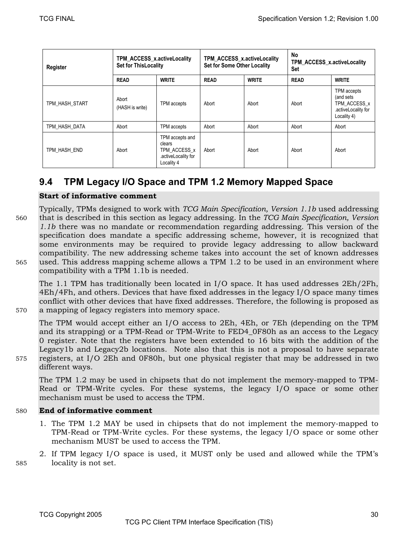| Register       | TPM ACCESS x.activeLocality<br><b>Set for ThisLocality</b> |                                                                                | TPM_ACCESS_x.activeLocality<br><b>Set for Some Other Locality</b> |              | No<br>TPM_ACCESS_x.activeLocality<br>Set |                                                                                |
|----------------|------------------------------------------------------------|--------------------------------------------------------------------------------|-------------------------------------------------------------------|--------------|------------------------------------------|--------------------------------------------------------------------------------|
|                | <b>READ</b>                                                | <b>WRITE</b>                                                                   | <b>READ</b>                                                       | <b>WRITE</b> | <b>READ</b>                              | <b>WRITE</b>                                                                   |
| TPM HASH START | Abort<br>(HASH is write)                                   | TPM accepts                                                                    | Abort                                                             | Abort        | Abort                                    | TPM accepts<br>(and sets<br>TPM ACCESS x<br>.activeLocality for<br>Locality 4) |
| TPM HASH DATA  | Abort                                                      | TPM accepts                                                                    | Abort                                                             | Abort        | Abort                                    | Abort                                                                          |
| TPM HASH END   | Abort                                                      | TPM accepts and<br>clears<br>TPM ACCESS x<br>.activeLocality for<br>Locality 4 | Abort                                                             | Abort        | Abort                                    | Abort                                                                          |

### **9.4 TPM Legacy I/O Space and TPM 1.2 Memory Mapped Space**

#### **Start of informative comment**

Typically, TPMs designed to work with *TCG Main Specification, Version 1.1b* used addressing 560 that is described in this section as legacy addressing. In the *TCG Main Specification, Version 1.1b* there was no mandate or recommendation regarding addressing. This version of the specification does mandate a specific addressing scheme, however, it is recognized that some environments may be required to provide legacy addressing to allow backward compatibility. The new addressing scheme takes into account the set of known addresses 565 used. This address mapping scheme allows a TPM 1.2 to be used in an environment where compatibility with a TPM 1.1b is needed.

The 1.1 TPM has traditionally been located in I/O space. It has used addresses 2Eh/2Fh, 4Eh/4Fh, and others. Devices that have fixed addresses in the legacy I/O space many times conflict with other devices that have fixed addresses. Therefore, the following is proposed as 570 a mapping of legacy registers into memory space.

The TPM would accept either an I/O access to 2Eh, 4Eh, or 7Eh (depending on the TPM and its strapping) or a TPM-Read or TPM-Write to FED4\_0F80h as an access to the Legacy 0 register. Note that the registers have been extended to 16 bits with the addition of the Legacy1b and Legacy2b locations. Note also that this is not a proposal to have separate 575 registers, at I/O 2Eh and 0F80h, but one physical register that may be addressed in two different ways.

The TPM 1.2 may be used in chipsets that do not implement the memory-mapped to TPM-Read or TPM-Write cycles. For these systems, the legacy I/O space or some other mechanism must be used to access the TPM.

- 1. The TPM 1.2 MAY be used in chipsets that do not implement the memory-mapped to TPM-Read or TPM-Write cycles. For these systems, the legacy I/O space or some other mechanism MUST be used to access the TPM.
- 2. If TPM legacy I/O space is used, it MUST only be used and allowed while the TPM's 585 locality is not set.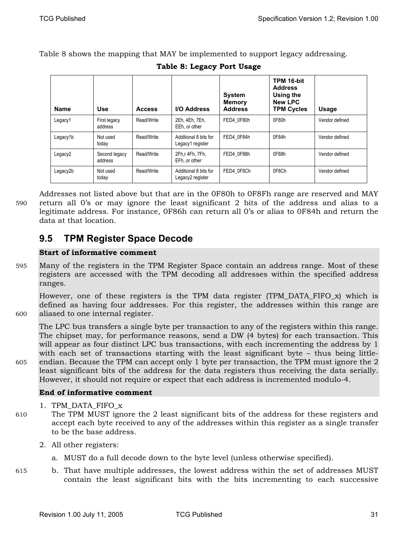Table 8 shows the mapping that MAY be implemented to support legacy addressing.

| <b>Name</b> | <b>Use</b>               | <b>Access</b> | I/O Address                               | <b>System</b><br><b>Memory</b><br><b>Address</b> | TPM 16-bit<br><b>Address</b><br>Using the<br><b>New LPC</b><br><b>TPM Cycles</b> | <b>Usage</b>   |
|-------------|--------------------------|---------------|-------------------------------------------|--------------------------------------------------|----------------------------------------------------------------------------------|----------------|
| Legacy1     | First legacy<br>address  | Read/Write    | 2Eh, 4Eh, 7Eh,<br>EEh, or other           | FED4 0F80h                                       | 0F80h                                                                            | Vendor defined |
| Legacy1b    | Not used<br>today        | Read/Write    | Additional 8 bits for<br>Legacy1 register | FED4 0F84h                                       | 0F84h                                                                            | Vendor defined |
| Legacy2     | Second legacy<br>address | Read/Write    | 2Fh,r 4Fh, 7Fh,<br>EFh. or other          | FED4 0F88h                                       | 0F88h                                                                            | Vendor defined |
| Legacy2b    | Not used<br>today        | Read/Write    | Additional 8 bits for<br>Legacy2 register | FED4 0F8Ch                                       | 0F8Ch                                                                            | Vendor defined |

**Table 8: Legacy Port Usage** 

Addresses not listed above but that are in the 0F80h to 0F8Fh range are reserved and MAY 590 return all 0's or may ignore the least significant 2 bits of the address and alias to a legitimate address. For instance, 0F86h can return all 0's or alias to 0F84h and return the data at that location.

### **9.5 TPM Register Space Decode**

#### **Start of informative comment**

595 Many of the registers in the TPM Register Space contain an address range. Most of these registers are accessed with the TPM decoding all addresses within the specified address ranges.

However, one of these registers is the TPM data register (TPM\_DATA\_FIFO\_x) which is defined as having four addresses. For this register, the addresses within this range are 600 aliased to one internal register.

The LPC bus transfers a single byte per transaction to any of the registers within this range. The chipset may, for performance reasons, send a DW (4 bytes) for each transaction. This will appear as four distinct LPC bus transactions, with each incrementing the address by 1 with each set of transactions starting with the least significant byte – thus being little-605 endian. Because the TPM can accept only 1 byte per transaction, the TPM must ignore the 2 least significant bits of the address for the data registers thus receiving the data serially. However, it should not require or expect that each address is incremented modulo-4.

#### **End of informative comment**

#### 1. TPM\_DATA\_FIFO\_x

610 The TPM MUST ignore the 2 least significant bits of the address for these registers and accept each byte received to any of the addresses within this register as a single transfer to be the base address.

- 2. All other registers:
	- a. MUST do a full decode down to the byte level (unless otherwise specified).
- 615 b. That have multiple addresses, the lowest address within the set of addresses MUST contain the least significant bits with the bits incrementing to each successive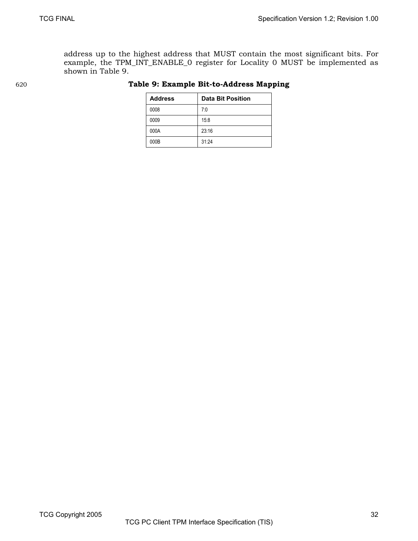address up to the highest address that MUST contain the most significant bits. For example, the TPM\_INT\_ENABLE\_0 register for Locality 0 MUST be implemented as shown in Table 9.

| <b>Address</b> | <b>Data Bit Position</b> |
|----------------|--------------------------|
| 0008           | 7:0                      |
| 0009           | 15:8                     |
| 000A           | 23:16                    |
| 000B           | 31:24                    |

### 620 **Table 9: Example Bit-to-Address Mapping**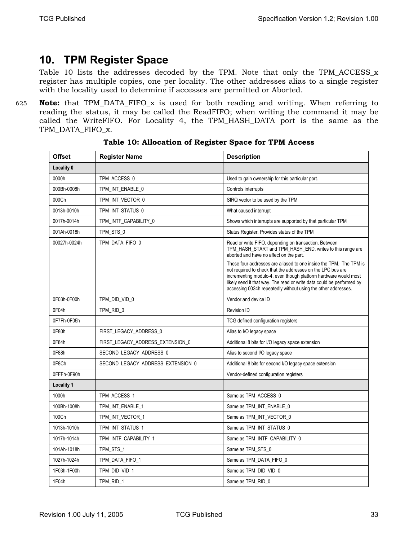### **10. TPM Register Space**

Table 10 lists the addresses decoded by the TPM. Note that only the TPM\_ACCESS\_x register has multiple copies, one per locality. The other addresses alias to a single register with the locality used to determine if accesses are permitted or Aborted.

625 **Note:** that TPM\_DATA\_FIFO\_x is used for both reading and writing. When referring to reading the status, it may be called the ReadFIFO; when writing the command it may be called the WriteFIFO. For Locality 4, the TPM\_HASH\_DATA port is the same as the TPM\_DATA\_FIFO\_x.

| <b>Offset</b>     | <b>Register Name</b>              | <b>Description</b>                                                                                                                                                                                                                                                                                                                             |
|-------------------|-----------------------------------|------------------------------------------------------------------------------------------------------------------------------------------------------------------------------------------------------------------------------------------------------------------------------------------------------------------------------------------------|
| Locality 0        |                                   |                                                                                                                                                                                                                                                                                                                                                |
| 0000h             | TPM_ACCESS_0                      | Used to gain ownership for this particular port.                                                                                                                                                                                                                                                                                               |
| 000Bh-0008h       | TPM_INT_ENABLE_0                  | Controls interrupts                                                                                                                                                                                                                                                                                                                            |
| 000Ch             | TPM_INT_VECTOR_0                  | SIRQ vector to be used by the TPM                                                                                                                                                                                                                                                                                                              |
| 0013h-0010h       | TPM_INT_STATUS_0                  | What caused interrupt                                                                                                                                                                                                                                                                                                                          |
| 0017h-0014h       | TPM_INTF_CAPABILITY_0             | Shows which interrupts are supported by that particular TPM                                                                                                                                                                                                                                                                                    |
| 001Ah-0018h       | TPM_STS_0                         | Status Register. Provides status of the TPM                                                                                                                                                                                                                                                                                                    |
| 00027h-0024h      | TPM_DATA_FIFO_0                   | Read or write FIFO, depending on transaction. Between<br>TPM_HASH_START and TPM_HASH_END, writes to this range are<br>aborted and have no affect on the part.                                                                                                                                                                                  |
|                   |                                   | These four addresses are aliased to one inside the TPM. The TPM is<br>not required to check that the addresses on the LPC bus are<br>incrementing modulo-4, even though platform hardware would most<br>likely send it that way. The read or write data could be performed by<br>accessing 0024h repeatedly without using the other addresses. |
| 0F03h-0F00h       | TPM_DID_VID_0                     | Vendor and device ID                                                                                                                                                                                                                                                                                                                           |
| 0F04h             | TPM_RID_0                         | <b>Revision ID</b>                                                                                                                                                                                                                                                                                                                             |
| 0F7Fh-0F05h       |                                   | TCG defined configuration registers                                                                                                                                                                                                                                                                                                            |
| 0F80h             | FIRST_LEGACY_ADDRESS_0            | Alias to I/O legacy space                                                                                                                                                                                                                                                                                                                      |
| 0F84h             | FIRST_LEGACY_ADDRESS_EXTENSION_0  | Additional 8 bits for I/O legacy space extension                                                                                                                                                                                                                                                                                               |
| 0F88h             | SECOND_LEGACY_ADDRESS_0           | Alias to second I/O legacy space                                                                                                                                                                                                                                                                                                               |
| 0F8Ch             | SECOND_LEGACY_ADDRESS_EXTENSION_0 | Additional 8 bits for second I/O legacy space extension                                                                                                                                                                                                                                                                                        |
| OFFFh-OF90h       |                                   | Vendor-defined configuration registers                                                                                                                                                                                                                                                                                                         |
| <b>Locality 1</b> |                                   |                                                                                                                                                                                                                                                                                                                                                |
| 1000h             | TPM_ACCESS_1                      | Same as TPM_ACCESS_0                                                                                                                                                                                                                                                                                                                           |
| 100Bh-1008h       | TPM_INT_ENABLE_1                  | Same as TPM_INT_ENABLE_0                                                                                                                                                                                                                                                                                                                       |
| 100Ch             | TPM_INT_VECTOR_1                  | Same as TPM_INT_VECTOR_0                                                                                                                                                                                                                                                                                                                       |
| 1013h-1010h       | TPM_INT_STATUS_1                  | Same as TPM_INT_STATUS_0                                                                                                                                                                                                                                                                                                                       |
| 1017h-1014h       | TPM_INTF_CAPABILITY_1             | Same as TPM_INTF_CAPABILITY_0                                                                                                                                                                                                                                                                                                                  |
| 101Ah-1018h       | TPM STS 1                         | Same as TPM STS 0                                                                                                                                                                                                                                                                                                                              |
| 1027h-1024h       | TPM_DATA_FIFO_1                   | Same as TPM_DATA_FIFO_0                                                                                                                                                                                                                                                                                                                        |
| 1F03h-1F00h       | TPM_DID_VID_1                     | Same as TPM_DID_VID_0                                                                                                                                                                                                                                                                                                                          |
| 1F04h             | TPM_RID_1                         | Same as TPM_RID_0                                                                                                                                                                                                                                                                                                                              |

**Table 10: Allocation of Register Space for TPM Access**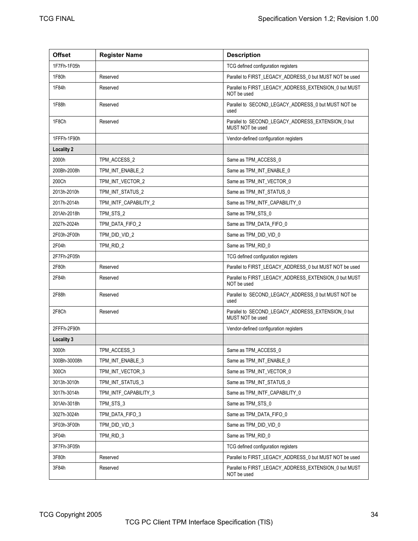| <b>Offset</b>     | <b>Register Name</b>  | <b>Description</b>                                                    |  |  |
|-------------------|-----------------------|-----------------------------------------------------------------------|--|--|
| 1F7Fh-1F05h       |                       | TCG defined configuration registers                                   |  |  |
| 1F80h             | Reserved              | Parallel to FIRST_LEGACY_ADDRESS_0 but MUST NOT be used               |  |  |
| 1F84h             | Reserved              | Parallel to FIRST_LEGACY_ADDRESS_EXTENSION_0 but MUST<br>NOT be used  |  |  |
| 1F88h             | Reserved              | Parallel to SECOND_LEGACY_ADDRESS_0 but MUST NOT be<br>used           |  |  |
| 1F8Ch             | Reserved              | Parallel to SECOND LEGACY ADDRESS EXTENSION 0 but<br>MUST NOT be used |  |  |
| 1FFFh-1F90h       |                       | Vendor-defined configuration registers                                |  |  |
| <b>Locality 2</b> |                       |                                                                       |  |  |
| 2000h             | TPM_ACCESS_2          | Same as TPM_ACCESS_0                                                  |  |  |
| 200Bh-2008h       | TPM_INT_ENABLE_2      | Same as TPM_INT_ENABLE_0                                              |  |  |
| 200Ch             | TPM_INT_VECTOR_2      | Same as TPM_INT_VECTOR_0                                              |  |  |
| 2013h-2010h       | TPM_INT_STATUS_2      | Same as TPM_INT_STATUS_0                                              |  |  |
| 2017h-2014h       | TPM_INTF_CAPABILITY_2 | Same as TPM INTF CAPABILITY 0                                         |  |  |
| 201Ah-2018h       | TPM_STS_2             | Same as TPM_STS_0                                                     |  |  |
| 2027h-2024h       | TPM DATA FIFO 2       | Same as TPM_DATA_FIFO_0                                               |  |  |
| 2F03h-2F00h       | TPM_DID_VID_2         | Same as TPM_DID_VID_0                                                 |  |  |
| 2F04h             | TPM RID 2             | Same as TPM_RID_0                                                     |  |  |
| 2F7Fh-2F05h       |                       | TCG defined configuration registers                                   |  |  |
| 2F80h             | Reserved              | Parallel to FIRST_LEGACY_ADDRESS_0 but MUST NOT be used               |  |  |
| 2F84h             | Reserved              | Parallel to FIRST_LEGACY_ADDRESS_EXTENSION_0 but MUST<br>NOT be used  |  |  |
| 2F88h             | Reserved              | Parallel to SECOND_LEGACY_ADDRESS_0 but MUST NOT be<br>used           |  |  |
| 2F8Ch             | Reserved              | Parallel to SECOND_LEGACY_ADDRESS_EXTENSION_0 but<br>MUST NOT be used |  |  |
| 2FFFh-2F90h       |                       | Vendor-defined configuration registers                                |  |  |
| Locality 3        |                       |                                                                       |  |  |
| 3000h             | TPM_ACCESS_3          | Same as TPM_ACCESS_0                                                  |  |  |
| 300Bh-30008h      | TPM_INT_ENABLE_3      | Same as TPM_INT_ENABLE_0                                              |  |  |
| 300Ch             | TPM_INT_VECTOR_3      | Same as TPM_INT_VECTOR_0                                              |  |  |
| 3013h-3010h       | TPM_INT_STATUS_3      | Same as TPM_INT_STATUS_0                                              |  |  |
| 3017h-3014h       | TPM_INTF_CAPABILITY_3 | Same as TPM_INTF_CAPABILITY_0                                         |  |  |
| 301Ah-3018h       | TPM_STS_3             | Same as TPM STS 0                                                     |  |  |
| 3027h-3024h       | TPM_DATA_FIFO_3       | Same as TPM_DATA_FIFO_0                                               |  |  |
| 3F03h-3F00h       | TPM_DID_VID_3         | Same as TPM_DID_VID_0                                                 |  |  |
| 3F04h             | TPM RID 3             | Same as TPM RID 0                                                     |  |  |
| 3F7Fh-3F05h       |                       | TCG defined configuration registers                                   |  |  |
| 3F80h             | Reserved              | Parallel to FIRST_LEGACY_ADDRESS_0 but MUST NOT be used               |  |  |
| 3F84h             | Reserved              | Parallel to FIRST_LEGACY_ADDRESS_EXTENSION_0 but MUST<br>NOT be used  |  |  |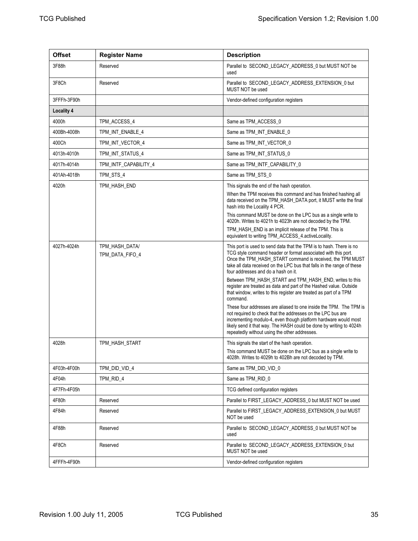| <b>Offset</b>     | <b>Register Name</b>              | <b>Description</b>                                                                                                                                                                                                                                                                                                           |
|-------------------|-----------------------------------|------------------------------------------------------------------------------------------------------------------------------------------------------------------------------------------------------------------------------------------------------------------------------------------------------------------------------|
| 3F88h             | Reserved                          | Parallel to SECOND_LEGACY_ADDRESS_0 but MUST NOT be<br>used                                                                                                                                                                                                                                                                  |
| 3F8Ch             | Reserved                          | Parallel to SECOND_LEGACY_ADDRESS_EXTENSION_0 but<br>MUST NOT be used                                                                                                                                                                                                                                                        |
| 3FFFh-3F90h       |                                   | Vendor-defined configuration registers                                                                                                                                                                                                                                                                                       |
| <b>Locality 4</b> |                                   |                                                                                                                                                                                                                                                                                                                              |
| 4000h             | TPM ACCESS 4                      | Same as TPM ACCESS 0                                                                                                                                                                                                                                                                                                         |
| 400Bh-4008h       | TPM_INT_ENABLE_4                  | Same as TPM_INT_ENABLE_0                                                                                                                                                                                                                                                                                                     |
| 400Ch             | TPM_INT_VECTOR_4                  | Same as TPM_INT_VECTOR_0                                                                                                                                                                                                                                                                                                     |
| 4013h-4010h       | TPM_INT_STATUS_4                  | Same as TPM_INT_STATUS_0                                                                                                                                                                                                                                                                                                     |
| 4017h-4014h       | TPM_INTF_CAPABILITY_4             | Same as TPM_INTF_CAPABILITY_0                                                                                                                                                                                                                                                                                                |
| 401Ah-4018h       | TPM_STS_4                         | Same as TPM_STS_0                                                                                                                                                                                                                                                                                                            |
| 4020h             | TPM_HASH_END                      | This signals the end of the hash operation.                                                                                                                                                                                                                                                                                  |
|                   |                                   | When the TPM receives this command and has finished hashing all<br>data received on the TPM_HASH_DATA port, it MUST write the final<br>hash into the Locality 4 PCR.                                                                                                                                                         |
|                   |                                   | This command MUST be done on the LPC bus as a single write to<br>4020h. Writes to 4021h to 4023h are not decoded by the TPM.                                                                                                                                                                                                 |
|                   |                                   | TPM HASH END is an implicit release of the TPM. This is<br>equivalent to writing TPM ACCESS 4.activeLocality.                                                                                                                                                                                                                |
| 4027h-4024h       | TPM_HASH_DATA/<br>TPM_DATA_FIFO_4 | This port is used to send data that the TPM is to hash. There is no<br>TCG style command header or format associated with this port.<br>Once the TPM_HASH_START command is received, the TPM MUST<br>take all data received on the LPC bus that falls in the range of these<br>four addresses and do a hash on it.           |
|                   |                                   | Between TPM_HASH_START and TPM_HASH_END, writes to this<br>register are treated as data and part of the Hashed value. Outside<br>that window, writes to this register are treated as part of a TPM<br>command.                                                                                                               |
|                   |                                   | These four addresses are aliased to one inside the TPM. The TPM is<br>not required to check that the addresses on the LPC bus are<br>incrementing modulo-4, even though platform hardware would most<br>likely send it that way. The HASH could be done by writing to 4024h<br>repeatedly without using the other addresses. |
| 4028h             | TPM_HASH_START                    | This signals the start of the hash operation.                                                                                                                                                                                                                                                                                |
|                   |                                   | This command MUST be done on the LPC bus as a single write to<br>4028h. Writes to 4029h to 402Bh are not decoded by TPM.                                                                                                                                                                                                     |
| 4F03h-4F00h       | TPM_DID_VID_4                     | Same as TPM DID VID 0                                                                                                                                                                                                                                                                                                        |
| 4F04h             | TPM_RID_4                         | Same as TPM_RID_0                                                                                                                                                                                                                                                                                                            |
| 4F7Fh-4F05h       |                                   | TCG defined configuration registers                                                                                                                                                                                                                                                                                          |
| 4F80h             | Reserved                          | Parallel to FIRST LEGACY ADDRESS 0 but MUST NOT be used                                                                                                                                                                                                                                                                      |
| 4F84h             | Reserved                          | Parallel to FIRST_LEGACY_ADDRESS_EXTENSION_0 but MUST<br>NOT be used                                                                                                                                                                                                                                                         |
| 4F88h             | Reserved                          | Parallel to SECOND LEGACY ADDRESS 0 but MUST NOT be<br>used                                                                                                                                                                                                                                                                  |
| 4F8Ch             | Reserved                          | Parallel to SECOND LEGACY ADDRESS EXTENSION 0 but<br>MUST NOT be used                                                                                                                                                                                                                                                        |
| 4FFFh-4F90h       |                                   | Vendor-defined configuration registers                                                                                                                                                                                                                                                                                       |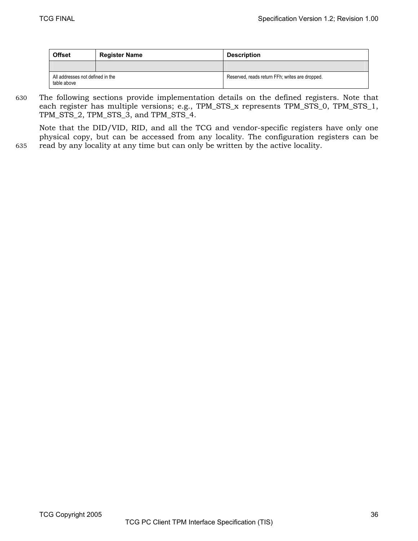| <b>Offset</b>                                   | <b>Register Name</b> | <b>Description</b>                              |
|-------------------------------------------------|----------------------|-------------------------------------------------|
|                                                 |                      |                                                 |
| All addresses not defined in the<br>table above |                      | Reserved, reads return FFh; writes are dropped. |

630 The following sections provide implementation details on the defined registers. Note that each register has multiple versions; e.g., TPM\_STS\_x represents TPM\_STS\_0, TPM\_STS\_1, TPM\_STS\_2, TPM\_STS\_3, and TPM\_STS\_4.

Note that the DID/VID, RID, and all the TCG and vendor-specific registers have only one physical copy, but can be accessed from any locality. The configuration registers can be 635 read by any locality at any time but can only be written by the active locality.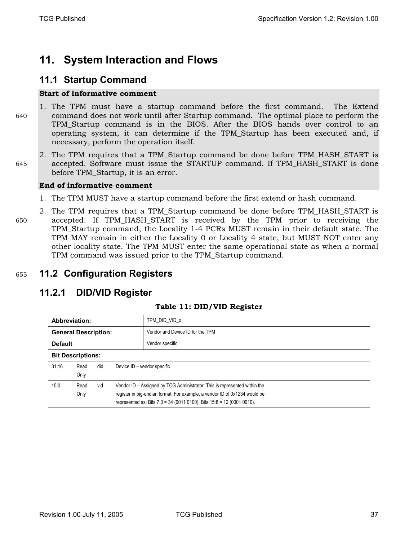### **11. System Interaction and Flows**

### **11.1 Startup Command**

### **Start of informative comment**

- 1. The TPM must have a startup command before the first command. The Extend 640 command does not work until after Startup command. The optimal place to perform the TPM\_Startup command is in the BIOS. After the BIOS hands over control to an operating system, it can determine if the TPM\_Startup has been executed and, if necessary, perform the operation itself.
- 2. The TPM requires that a TPM\_Startup command be done before TPM\_HASH\_START is 645 accepted. Software must issue the STARTUP command. If TPM\_HASH\_START is done before TPM\_Startup, it is an error.

#### **End of informative comment**

- 1. The TPM MUST have a startup command before the first extend or hash command.
- 2. The TPM requires that a TPM\_Startup command be done before TPM\_HASH\_START is 650 accepted. If TPM\_HASH\_START is received by the TPM prior to receiving the TPM\_Startup command, the Locality 1-4 PCRs MUST remain in their default state. The TPM MAY remain in either the Locality 0 or Locality 4 state, but MUST NOT enter any other locality state. The TPM MUST enter the same operational state as when a normal TPM command was issued prior to the TPM\_Startup command.

### <sup>655</sup>**11.2 Configuration Registers**

### **11.2.1 DID/VID Register**

#### **Table 11: DID/VID Register**

| Abbreviation:               |              |     |                                                                                                                                                                                                                                   | TPM DID VID x                    |  |  |
|-----------------------------|--------------|-----|-----------------------------------------------------------------------------------------------------------------------------------------------------------------------------------------------------------------------------------|----------------------------------|--|--|
| <b>General Description:</b> |              |     |                                                                                                                                                                                                                                   | Vendor and Device ID for the TPM |  |  |
| <b>Default</b>              |              |     |                                                                                                                                                                                                                                   | Vendor specific                  |  |  |
| <b>Bit Descriptions:</b>    |              |     |                                                                                                                                                                                                                                   |                                  |  |  |
| 31:16                       | Read<br>Only | did |                                                                                                                                                                                                                                   | Device ID - vendor specific      |  |  |
| 15:0                        | Read<br>Only | vid | Vendor ID - Assigned by TCG Administrator. This is represented within the<br>register in big-endian format. For example, a vendor ID of 0x1234 would be<br>represented as: Bits 7:0 = 34 (0011 0100); Bits 15:8 = 12 (0001 0010). |                                  |  |  |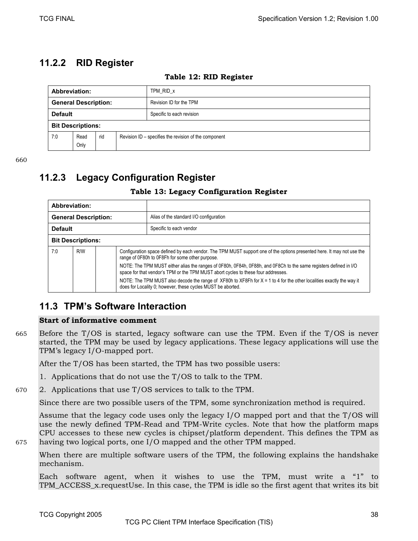### **11.2.2 RID Register**

### **Table 12: RID Register**

| Abbreviation:  |                             |     |                                                       | TPM RID x                 |  |  |
|----------------|-----------------------------|-----|-------------------------------------------------------|---------------------------|--|--|
|                | <b>General Description:</b> |     |                                                       | Revision ID for the TPM   |  |  |
| <b>Default</b> |                             |     |                                                       | Specific to each revision |  |  |
|                | <b>Bit Descriptions:</b>    |     |                                                       |                           |  |  |
| 7:0            | Read<br>Only                | rid | Revision ID – specifies the revision of the component |                           |  |  |

660

### **11.2.3 Legacy Configuration Register**

### **Table 13: Legacy Configuration Register**

| Abbreviation:               |                          |  |                                                                                                                                                                           |                                                                                                                                                                                                        |  |  |
|-----------------------------|--------------------------|--|---------------------------------------------------------------------------------------------------------------------------------------------------------------------------|--------------------------------------------------------------------------------------------------------------------------------------------------------------------------------------------------------|--|--|
| <b>General Description:</b> |                          |  |                                                                                                                                                                           | Alias of the standard I/O configuration                                                                                                                                                                |  |  |
| <b>Default</b>              |                          |  |                                                                                                                                                                           | Specific to each vendor                                                                                                                                                                                |  |  |
|                             | <b>Bit Descriptions:</b> |  |                                                                                                                                                                           |                                                                                                                                                                                                        |  |  |
| 7:0                         | R/W                      |  | Configuration space defined by each vendor. The TPM MUST support one of the options presented here. It may not use the<br>range of 0F80h to 0F8Fh for some other purpose. |                                                                                                                                                                                                        |  |  |
|                             |                          |  |                                                                                                                                                                           | NOTE: The TPM MUST either alias the ranges of 0F80h, 0F84h, 0F88h, and 0F8Ch to the same registers defined in I/O<br>space for that vendor's TPM or the TPM MUST abort cycles to these four addresses. |  |  |
|                             |                          |  |                                                                                                                                                                           | NOTE: The TPM MUST also decode the range of XF80h to XF8Fh for $X = 1$ to 4 for the other localities exactly the way it<br>does for Locality 0; however, these cycles MUST be aborted.                 |  |  |

### **11.3 TPM's Software Interaction**

### **Start of informative comment**

665 Before the T/OS is started, legacy software can use the TPM. Even if the T/OS is never started, the TPM may be used by legacy applications. These legacy applications will use the TPM's legacy I/O-mapped port.

After the T/OS has been started, the TPM has two possible users:

- 1. Applications that do not use the T/OS to talk to the TPM.
- 670 2. Applications that use T/OS services to talk to the TPM.

Since there are two possible users of the TPM, some synchronization method is required.

Assume that the legacy code uses only the legacy I/O mapped port and that the T/OS will use the newly defined TPM-Read and TPM-Write cycles. Note that how the platform maps CPU accesses to these new cycles is chipset/platform dependent. This defines the TPM as 675 having two logical ports, one I/O mapped and the other TPM mapped.

When there are multiple software users of the TPM, the following explains the handshake mechanism.

Each software agent, when it wishes to use the TPM, must write a "1" to TPM ACCESS x.requestUse. In this case, the TPM is idle so the first agent that writes its bit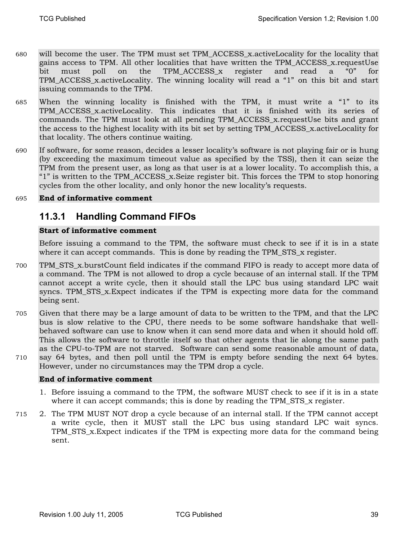- 680 will become the user. The TPM must set TPM\_ACCESS\_x.activeLocality for the locality that gains access to TPM. All other localities that have written the TPM\_ACCESS\_x.requestUse bit must poll on the TPM\_ACCESS\_x register and read a "0" for TPM\_ACCESS\_x.activeLocality. The winning locality will read a "1" on this bit and start issuing commands to the TPM.
- 685 When the winning locality is finished with the TPM, it must write a "1" to its TPM\_ACCESS\_x.activeLocality. This indicates that it is finished with its series of commands. The TPM must look at all pending TPM\_ACCESS\_x.requestUse bits and grant the access to the highest locality with its bit set by setting TPM\_ACCESS\_x.activeLocality for that locality. The others continue waiting.
- 690 If software, for some reason, decides a lesser locality's software is not playing fair or is hung (by exceeding the maximum timeout value as specified by the TSS), then it can seize the TPM from the present user, as long as that user is at a lower locality. To accomplish this, a "1" is written to the TPM\_ACCESS\_x.Seize register bit. This forces the TPM to stop honoring cycles from the other locality, and only honor the new locality's requests.

#### 695 **End of informative comment**

### **11.3.1 Handling Command FIFOs**

#### **Start of informative comment**

Before issuing a command to the TPM, the software must check to see if it is in a state where it can accept commands. This is done by reading the TPM STS x register.

- 700 TPM\_STS\_x.burstCount field indicates if the command FIFO is ready to accept more data of a command. The TPM is not allowed to drop a cycle because of an internal stall. If the TPM cannot accept a write cycle, then it should stall the LPC bus using standard LPC wait syncs. TPM\_STS\_x.Expect indicates if the TPM is expecting more data for the command being sent.
- 705 Given that there may be a large amount of data to be written to the TPM, and that the LPC bus is slow relative to the CPU, there needs to be some software handshake that wellbehaved software can use to know when it can send more data and when it should hold off. This allows the software to throttle itself so that other agents that lie along the same path as the CPU-to-TPM are not starved. Software can send some reasonable amount of data, 710 say 64 bytes, and then poll until the TPM is empty before sending the next 64 bytes. However, under no circumstances may the TPM drop a cycle.

- 1. Before issuing a command to the TPM, the software MUST check to see if it is in a state where it can accept commands; this is done by reading the TPM\_STS\_x register.
- 715 2. The TPM MUST NOT drop a cycle because of an internal stall. If the TPM cannot accept a write cycle, then it MUST stall the LPC bus using standard LPC wait syncs. TPM\_STS\_x.Expect indicates if the TPM is expecting more data for the command being sent.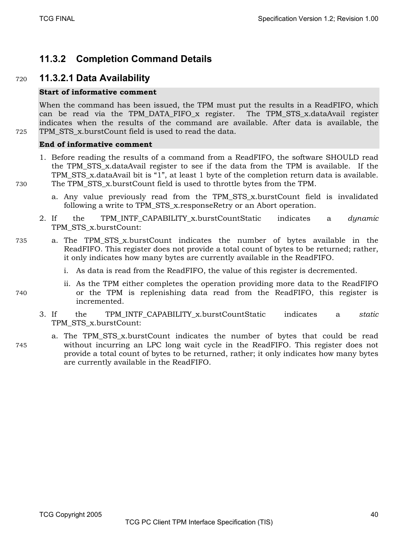### **11.3.2 Completion Command Details**

### <sup>720</sup>**11.3.2.1 Data Availability**

### **Start of informative comment**

When the command has been issued, the TPM must put the results in a ReadFIFO, which can be read via the TPM\_DATA\_FIFO\_x register. The TPM\_STS\_x.dataAvail register indicates when the results of the command are available. After data is available, the 725 TPM\_STS\_x.burstCount field is used to read the data.

- 1. Before reading the results of a command from a ReadFIFO, the software SHOULD read the TPM\_STS\_x.dataAvail register to see if the data from the TPM is available. If the TPM STS x.dataAvail bit is "1", at least 1 byte of the completion return data is available. 730 The TPM\_STS\_x.burstCount field is used to throttle bytes from the TPM.
	- a. Any value previously read from the TPM\_STS\_x.burstCount field is invalidated following a write to TPM\_STS\_x.responseRetry or an Abort operation.
	- 2. If the TPM\_INTF\_CAPABILITY\_x.burstCountStatic indicates a *dynamic* TPM\_STS\_x.burstCount:
- 735 a. The TPM\_STS\_x.burstCount indicates the number of bytes available in the ReadFIFO. This register does not provide a total count of bytes to be returned; rather, it only indicates how many bytes are currently available in the ReadFIFO.
	- i. As data is read from the ReadFIFO, the value of this register is decremented.
- ii. As the TPM either completes the operation providing more data to the ReadFIFO 740 or the TPM is replenishing data read from the ReadFIFO, this register is incremented.
	- 3. If the TPM\_INTF\_CAPABILITY\_x.burstCountStatic indicates a *static* TPM\_STS\_x.burstCount:
- a. The TPM\_STS\_x.burstCount indicates the number of bytes that could be read 745 without incurring an LPC long wait cycle in the ReadFIFO. This register does not provide a total count of bytes to be returned, rather; it only indicates how many bytes are currently available in the ReadFIFO.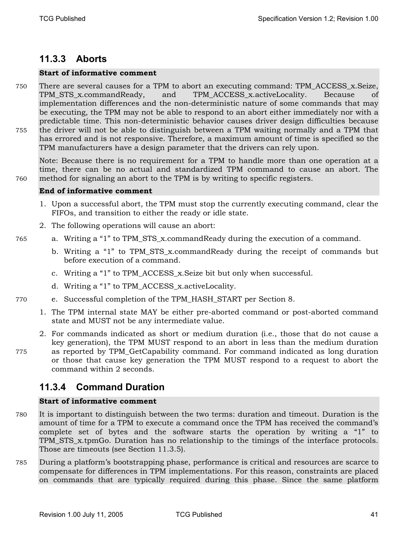### **11.3.3 Aborts**

#### **Start of informative comment**

750 There are several causes for a TPM to abort an executing command: TPM\_ACCESS\_x.Seize, TPM STS x.commandReady, and TPM ACCESS x.activeLocality. Because of implementation differences and the non-deterministic nature of some commands that may be executing, the TPM may not be able to respond to an abort either immediately nor with a predictable time. This non-deterministic behavior causes driver design difficulties because 755 the driver will not be able to distinguish between a TPM waiting normally and a TPM that has errored and is not responsive. Therefore, a maximum amount of time is specified so the TPM manufacturers have a design parameter that the drivers can rely upon.

Note: Because there is no requirement for a TPM to handle more than one operation at a time, there can be no actual and standardized TPM command to cause an abort. The 760 method for signaling an abort to the TPM is by writing to specific registers.

#### **End of informative comment**

- 1. Upon a successful abort, the TPM must stop the currently executing command, clear the FIFOs, and transition to either the ready or idle state.
- 2. The following operations will cause an abort:
- 765 a. Writing a "1" to TPM\_STS\_x.commandReady during the execution of a command.
	- b. Writing a "1" to TPM\_STS\_x.commandReady during the receipt of commands but before execution of a command.
	- c. Writing a "1" to TPM\_ACCESS\_x.Seize bit but only when successful.
	- d. Writing a "1" to TPM\_ACCESS\_x.activeLocality.
- 770 e. Successful completion of the TPM\_HASH\_START per Section 8.
	- 1. The TPM internal state MAY be either pre-aborted command or post-aborted command state and MUST not be any intermediate value.
- 2. For commands indicated as short or medium duration (i.e., those that do not cause a key generation), the TPM MUST respond to an abort in less than the medium duration 775 as reported by TPM\_GetCapability command. For command indicated as long duration or those that cause key generation the TPM MUST respond to a request to abort the command within 2 seconds.

### **11.3.4 Command Duration**

#### **Start of informative comment**

- 780 It is important to distinguish between the two terms: duration and timeout. Duration is the amount of time for a TPM to execute a command once the TPM has received the command's complete set of bytes and the software starts the operation by writing a "1" to TPM STS x.tpmGo. Duration has no relationship to the timings of the interface protocols. Those are timeouts (see Section 11.3.5).
- 785 During a platform's bootstrapping phase, performance is critical and resources are scarce to compensate for differences in TPM implementations. For this reason, constraints are placed on commands that are typically required during this phase. Since the same platform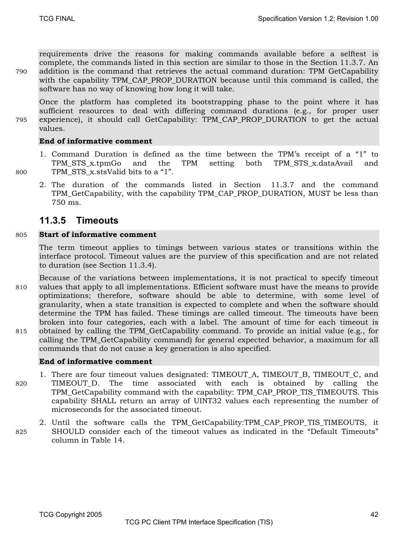requirements drive the reasons for making commands available before a selftest is complete, the commands listed in this section are similar to those in the Section 11.3.7. An 790 addition is the command that retrieves the actual command duration: TPM GetCapability with the capability TPM\_CAP\_PROP\_DURATION because until this command is called, the software has no way of knowing how long it will take.

Once the platform has completed its bootstrapping phase to the point where it has sufficient resources to deal with differing command durations (e.g., for proper user 795 experience), it should call GetCapability: TPM\_CAP\_PROP\_DURATION to get the actual values.

#### **End of informative comment**

- 1. Command Duration is defined as the time between the TPM's receipt of a "1" to TPM\_STS\_x.tpmGo and the TPM setting both TPM\_STS\_x.dataAvail and 800 TPM\_STS\_x.stsValid bits to a "1".
	- 2. The duration of the commands listed in Section 11.3.7 and the command TPM\_GetCapability, with the capability TPM\_CAP\_PROP\_DURATION, MUST be less than 750 ms.

### **11.3.5 Timeouts**

### 805 **Start of informative comment**

The term timeout applies to timings between various states or transitions within the interface protocol. Timeout values are the purview of this specification and are not related to duration (see Section 11.3.4).

Because of the variations between implementations, it is not practical to specify timeout 810 values that apply to all implementations. Efficient software must have the means to provide optimizations; therefore, software should be able to determine, with some level of granularity, when a state transition is expected to complete and when the software should determine the TPM has failed. These timings are called timeout. The timeouts have been broken into four categories, each with a label. The amount of time for each timeout is 815 obtained by calling the TPM\_GetCapability command. To provide an initial value (e.g., for calling the TPM\_GetCapability command) for general expected behavior, a maximum for all commands that do not cause a key generation is also specified.

- 1. There are four timeout values designated: TIMEOUT\_A, TIMEOUT\_B, TIMEOUT\_C, and 820 TIMEOUT\_D. The time associated with each is obtained by calling the TPM\_GetCapability command with the capability: TPM\_CAP\_PROP\_TIS\_TIMEOUTS. This capability SHALL return an array of UINT32 values each representing the number of microseconds for the associated timeout.
- 2. Until the software calls the TPM\_GetCapability:TPM\_CAP\_PROP\_TIS\_TIMEOUTS, it 825 SHOULD consider each of the timeout values as indicated in the "Default Timeouts" column in Table 14.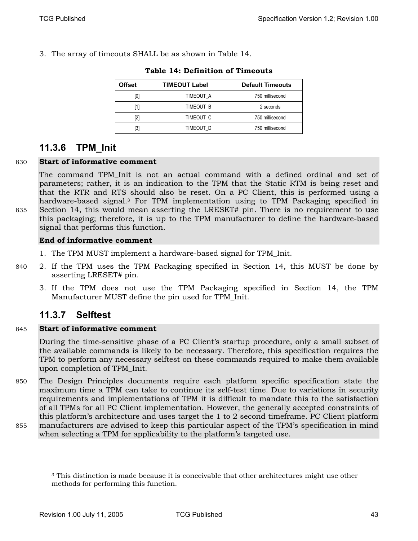3. The array of timeouts SHALL be as shown in Table 14.

| <b>Offset</b> | <b>TIMEOUT Label</b> | <b>Default Timeouts</b> |
|---------------|----------------------|-------------------------|
| וסן           | TIMEOUT A            | 750 millisecond         |
| [1]           | TIMEOUT B            | 2 seconds               |
| [2]           | TIMEOUT C            | 750 millisecond         |
| [3]           | TIMEOUT D            | 750 millisecond         |

|  | <b>Table 14: Definition of Timeouts</b> |
|--|-----------------------------------------|
|  |                                         |

### **11.3.6 TPM\_Init**

#### 830 **Start of informative comment**

The command TPM\_Init is not an actual command with a defined ordinal and set of parameters; rather, it is an indication to the TPM that the Static RTM is being reset and that the RTR and RTS should also be reset. On a PC Client, this is performed using a hardware-based signal.3 For TPM implementation using to TPM Packaging specified in 835 Section 14, this would mean asserting the LRESET# pin. There is no requirement to use this packaging; therefore, it is up to the TPM manufacturer to define the hardware-based signal that performs this function.

#### **End of informative comment**

- 1. The TPM MUST implement a hardware-based signal for TPM\_Init.
- 840 2. If the TPM uses the TPM Packaging specified in Section 14, this MUST be done by asserting LRESET# pin.
	- 3. If the TPM does not use the TPM Packaging specified in Section 14, the TPM Manufacturer MUST define the pin used for TPM\_Init.

### **11.3.7 Selftest**

845 **Start of informative comment** 

During the time-sensitive phase of a PC Client's startup procedure, only a small subset of the available commands is likely to be necessary. Therefore, this specification requires the TPM to perform any necessary selftest on these commands required to make them available upon completion of TPM\_Init.

850 The Design Principles documents require each platform specific specification state the maximum time a TPM can take to continue its self-test time. Due to variations in security requirements and implementations of TPM it is difficult to mandate this to the satisfaction of all TPMs for all PC Client implementation. However, the generally accepted constraints of this platform's architecture and uses target the 1 to 2 second timeframe. PC Client platform 855 manufacturers are advised to keep this particular aspect of the TPM's specification in mind when selecting a TPM for applicability to the platform's targeted use.

<sup>3</sup> This distinction is made because it is conceivable that other architectures might use other methods for performing this function.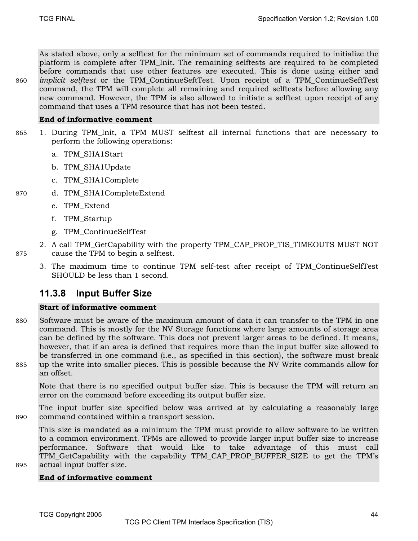As stated above, only a selftest for the minimum set of commands required to initialize the platform is complete after TPM\_Init. The remaining selftests are required to be completed before commands that use other features are executed. This is done using either and 860 *implicit selftest* or the TPM\_ContinueSeftTest. Upon receipt of a TPM\_ContinueSeftTest command, the TPM will complete all remaining and required selftests before allowing any new command. However, the TPM is also allowed to initiate a selftest upon receipt of any command that uses a TPM resource that has not been tested.

#### **End of informative comment**

- 865 1. During TPM\_Init, a TPM MUST selftest all internal functions that are necessary to perform the following operations:
	- a. TPM\_SHA1Start
	- b. TPM\_SHA1Update
	- c. TPM\_SHA1Complete
- 870 d. TPM\_SHA1CompleteExtend
	- e. TPM\_Extend
	- f. TPM\_Startup
	- g. TPM\_ContinueSelfTest
- 2. A call TPM\_GetCapability with the property TPM\_CAP\_PROP\_TIS\_TIMEOUTS MUST NOT 875 cause the TPM to begin a selftest.
	- 3. The maximum time to continue TPM self-test after receipt of TPM\_ContinueSelfTest SHOULD be less than 1 second.

### **11.3.8 Input Buffer Size**

#### **Start of informative comment**

880 Software must be aware of the maximum amount of data it can transfer to the TPM in one command. This is mostly for the NV Storage functions where large amounts of storage area can be defined by the software. This does not prevent larger areas to be defined. It means, however, that if an area is defined that requires more than the input buffer size allowed to be transferred in one command (i.e., as specified in this section), the software must break 885 up the write into smaller pieces. This is possible because the NV Write commands allow for an offset.

Note that there is no specified output buffer size. This is because the TPM will return an error on the command before exceeding its output buffer size.

The input buffer size specified below was arrived at by calculating a reasonably large 890 command contained within a transport session.

This size is mandated as a minimum the TPM must provide to allow software to be written to a common environment. TPMs are allowed to provide larger input buffer size to increase performance. Software that would like to take advantage of this must call TPM\_GetCapability with the capability TPM\_CAP\_PROP\_BUFFER\_SIZE to get the TPM's 895 actual input buffer size.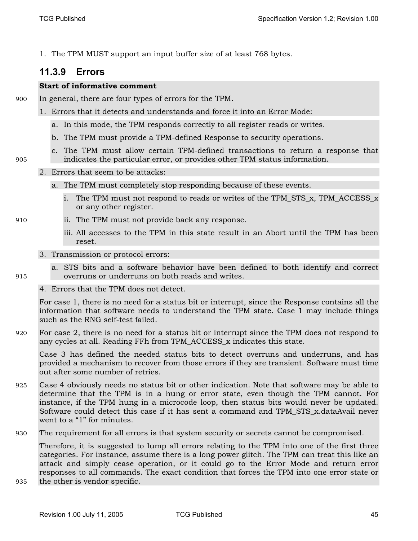1. The TPM MUST support an input buffer size of at least 768 bytes.

### **11.3.9 Errors**

#### **Start of informative comment**

900 In general, there are four types of errors for the TPM.

- 1. Errors that it detects and understands and force it into an Error Mode:
	- a. In this mode, the TPM responds correctly to all register reads or writes.
	- b. The TPM must provide a TPM-defined Response to security operations.
- c. The TPM must allow certain TPM-defined transactions to return a response that 905 indicates the particular error, or provides other TPM status information.
	- 2. Errors that seem to be attacks:
		- a. The TPM must completely stop responding because of these events.
			- i. The TPM must not respond to reads or writes of the TPM\_STS\_x, TPM\_ACCESS\_x or any other register.
- 910 ii. The TPM must not provide back any response.
	- iii. All accesses to the TPM in this state result in an Abort until the TPM has been reset.
	- 3. Transmission or protocol errors:
- a. STS bits and a software behavior have been defined to both identify and correct 915 overruns or underruns on both reads and writes.
	- 4. Errors that the TPM does not detect.

For case 1, there is no need for a status bit or interrupt, since the Response contains all the information that software needs to understand the TPM state. Case 1 may include things such as the RNG self-test failed.

920 For case 2, there is no need for a status bit or interrupt since the TPM does not respond to any cycles at all. Reading FFh from TPM\_ACCESS\_x indicates this state.

Case 3 has defined the needed status bits to detect overruns and underruns, and has provided a mechanism to recover from those errors if they are transient. Software must time out after some number of retries.

- 925 Case 4 obviously needs no status bit or other indication. Note that software may be able to determine that the TPM is in a hung or error state, even though the TPM cannot. For instance, if the TPM hung in a microcode loop, then status bits would never be updated. Software could detect this case if it has sent a command and TPM\_STS\_x.dataAvail never went to a "1" for minutes.
- 930 The requirement for all errors is that system security or secrets cannot be compromised.

Therefore, it is suggested to lump all errors relating to the TPM into one of the first three categories. For instance, assume there is a long power glitch. The TPM can treat this like an attack and simply cease operation, or it could go to the Error Mode and return error responses to all commands. The exact condition that forces the TPM into one error state or 935 the other is vendor specific.

Revision 1.00 July 11, 2005 TCG Published 45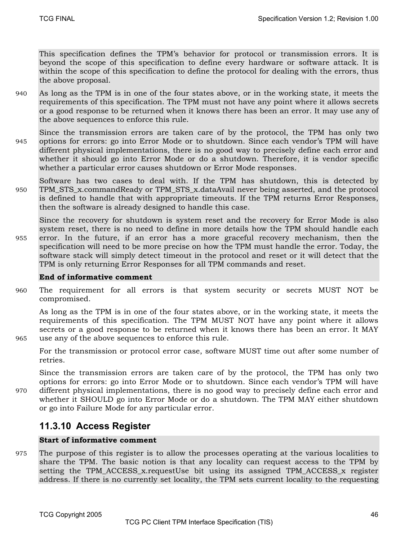This specification defines the TPM's behavior for protocol or transmission errors. It is beyond the scope of this specification to define every hardware or software attack. It is within the scope of this specification to define the protocol for dealing with the errors, thus the above proposal.

- 940 As long as the TPM is in one of the four states above, or in the working state, it meets the requirements of this specification. The TPM must not have any point where it allows secrets or a good response to be returned when it knows there has been an error. It may use any of the above sequences to enforce this rule.
- Since the transmission errors are taken care of by the protocol, the TPM has only two 945 options for errors: go into Error Mode or to shutdown. Since each vendor's TPM will have different physical implementations, there is no good way to precisely define each error and whether it should go into Error Mode or do a shutdown. Therefore, it is vendor specific whether a particular error causes shutdown or Error Mode responses.
- Software has two cases to deal with. If the TPM has shutdown, this is detected by 950 TPM\_STS\_x.commandReady or TPM\_STS\_x.dataAvail never being asserted, and the protocol is defined to handle that with appropriate timeouts. If the TPM returns Error Responses, then the software is already designed to handle this case.

Since the recovery for shutdown is system reset and the recovery for Error Mode is also system reset, there is no need to define in more details how the TPM should handle each 955 error. In the future, if an error has a more graceful recovery mechanism, then the specification will need to be more precise on how the TPM must handle the error. Today, the software stack will simply detect timeout in the protocol and reset or it will detect that the TPM is only returning Error Responses for all TPM commands and reset.

#### **End of informative comment**

960 The requirement for all errors is that system security or secrets MUST NOT be compromised.

As long as the TPM is in one of the four states above, or in the working state, it meets the requirements of this specification. The TPM MUST NOT have any point where it allows secrets or a good response to be returned when it knows there has been an error. It MAY 965 use any of the above sequences to enforce this rule.

For the transmission or protocol error case, software MUST time out after some number of retries.

Since the transmission errors are taken care of by the protocol, the TPM has only two options for errors: go into Error Mode or to shutdown. Since each vendor's TPM will have 970 different physical implementations, there is no good way to precisely define each error and whether it SHOULD go into Error Mode or do a shutdown. The TPM MAY either shutdown or go into Failure Mode for any particular error.

### **11.3.10 Access Register**

### **Start of informative comment**

975 The purpose of this register is to allow the processes operating at the various localities to share the TPM. The basic notion is that any locality can request access to the TPM by setting the TPM\_ACCESS\_x.requestUse bit using its assigned TPM\_ACCESS\_x register address. If there is no currently set locality, the TPM sets current locality to the requesting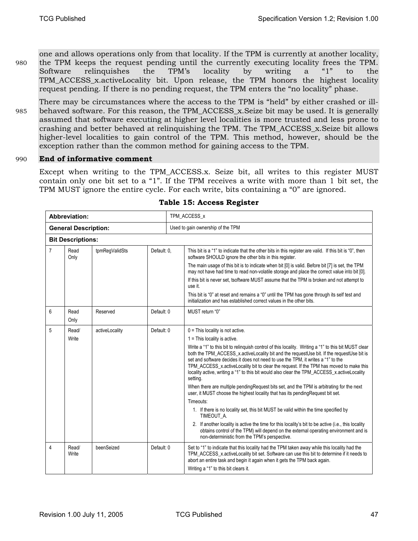one and allows operations only from that locality. If the TPM is currently at another locality, 980 the TPM keeps the request pending until the currently executing locality frees the TPM. Software relinquishes the TPM's locality by writing a "1" to the TPM\_ACCESS\_x.activeLocality bit. Upon release, the TPM honors the highest locality request pending. If there is no pending request, the TPM enters the "no locality" phase.

There may be circumstances where the access to the TPM is "held" by either crashed or ill-985 behaved software. For this reason, the TPM ACCESS x.Seize bit may be used. It is generally assumed that software executing at higher level localities is more trusted and less prone to crashing and better behaved at relinquishing the TPM. The TPM\_ACCESS\_x.Seize bit allows higher-level localities to gain control of the TPM. This method, however, should be the exception rather than the common method for gaining access to the TPM.

#### 990 **End of informative comment**

Except when writing to the TPM\_ACCESS.x. Seize bit, all writes to this register MUST contain only one bit set to a "1". If the TPM receives a write with more than 1 bit set, the TPM MUST ignore the entire cycle. For each write, bits containing a "0" are ignored.

| <b>Abbreviation:</b>        |                          |                |             |  | TPM ACCESS x                                                                                                                                                                                                                                                                                                                                                                                                                                                                                |  |  |
|-----------------------------|--------------------------|----------------|-------------|--|---------------------------------------------------------------------------------------------------------------------------------------------------------------------------------------------------------------------------------------------------------------------------------------------------------------------------------------------------------------------------------------------------------------------------------------------------------------------------------------------|--|--|
| <b>General Description:</b> |                          |                |             |  | Used to gain ownership of the TPM                                                                                                                                                                                                                                                                                                                                                                                                                                                           |  |  |
|                             | <b>Bit Descriptions:</b> |                |             |  |                                                                                                                                                                                                                                                                                                                                                                                                                                                                                             |  |  |
| $\overline{7}$              | Read<br>Only             | tpmRegValidSts | Default: 0. |  | This bit is a "1" to indicate that the other bits in this register are valid. If this bit is "0", then<br>software SHOULD ignore the other bits in this register.                                                                                                                                                                                                                                                                                                                           |  |  |
|                             |                          |                |             |  | The main usage of this bit is to indicate when bit [0] is valid. Before bit [7] is set, the TPM<br>may not have had time to read non-volatile storage and place the correct value into bit [0].                                                                                                                                                                                                                                                                                             |  |  |
|                             |                          |                |             |  | If this bit is never set, tsoftware MUST assume that the TPM is broken and not attempt to<br>use it.                                                                                                                                                                                                                                                                                                                                                                                        |  |  |
|                             |                          |                |             |  | This bit is "0" at reset and remains a "0" until the TPM has gone through its self test and<br>initialization and has established correct values in the other bits.                                                                                                                                                                                                                                                                                                                         |  |  |
| 6                           | Read<br>Only             | Reserved       | Default: 0  |  | MUST return "0"                                                                                                                                                                                                                                                                                                                                                                                                                                                                             |  |  |
| 5                           | Read/                    | activeLocality | Default: 0  |  | $0 =$ This locality is not active.                                                                                                                                                                                                                                                                                                                                                                                                                                                          |  |  |
|                             | Write                    |                |             |  | $1 =$ This locality is active.                                                                                                                                                                                                                                                                                                                                                                                                                                                              |  |  |
|                             |                          |                |             |  | Write a "1" to this bit to relinguish control of this locality. Writing a "1" to this bit MUST clear<br>both the TPM_ACCESS_x.activeLocality bit and the requestUse bit. If the requestUse bit is<br>set and software decides it does not need to use the TPM, it writes a "1" to the<br>TPM_ACCESS_x.activeLocality bit to clear the request. If the TPM has moved to make this<br>locality active, writing a "1" to this bit would also clear the TPM_ACCESS_x.activeLocality<br>setting. |  |  |
|                             |                          |                |             |  | When there are multiple pending Request bits set, and the TPM is arbitrating for the next<br>user, it MUST choose the highest locality that has its pendingRequest bit set.                                                                                                                                                                                                                                                                                                                 |  |  |
|                             |                          |                |             |  | Timeouts:                                                                                                                                                                                                                                                                                                                                                                                                                                                                                   |  |  |
|                             |                          |                |             |  | 1. If there is no locality set, this bit MUST be valid within the time specified by<br>TIMEOUT A.                                                                                                                                                                                                                                                                                                                                                                                           |  |  |
|                             |                          |                |             |  | 2. If another locality is active the time for this locality's bit to be active (i.e., this locality<br>obtains control of the TPM) will depend on the external operating environment and is<br>non-deterministic from the TPM's perspective.                                                                                                                                                                                                                                                |  |  |
| $\overline{4}$              | Read/<br>Write           | beenSeized     | Default: 0  |  | Set to "1" to indicate that this locality had the TPM taken away while this locality had the<br>TPM ACCESS x.activeLocality bit set. Software can use this bit to determine if it needs to<br>abort an entire task and begin it again when it gets the TPM back again.<br>Writing a "1" to this bit clears it.                                                                                                                                                                              |  |  |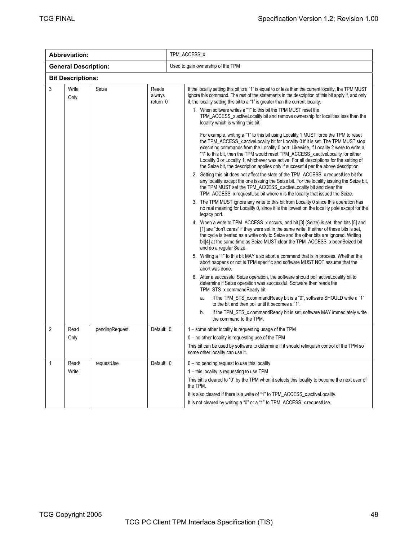| Abbreviation:               |               |                |                             | TPM_ACCESS_x                                                                                                                                                                                                                                                                                                                                                                                                                                                                                                                             |
|-----------------------------|---------------|----------------|-----------------------------|------------------------------------------------------------------------------------------------------------------------------------------------------------------------------------------------------------------------------------------------------------------------------------------------------------------------------------------------------------------------------------------------------------------------------------------------------------------------------------------------------------------------------------------|
| <b>General Description:</b> |               |                |                             | Used to gain ownership of the TPM                                                                                                                                                                                                                                                                                                                                                                                                                                                                                                        |
| <b>Bit Descriptions:</b>    |               |                |                             |                                                                                                                                                                                                                                                                                                                                                                                                                                                                                                                                          |
| 3                           | Write<br>Only | Seize          | Reads<br>always<br>return 0 | If the locality setting this bit to a "1" is equal to or less than the current locality, the TPM MUST<br>ignore this command. The rest of the statements in the description of this bit apply if, and only<br>if, the locality setting this bit to a "1" is greater than the current locality.                                                                                                                                                                                                                                           |
|                             |               |                |                             | 1. When software writes a "1" to this bit the TPM MUST reset the<br>TPM_ACCESS_x.activeLocality bit and remove ownership for localities less than the<br>locality which is writing this bit.                                                                                                                                                                                                                                                                                                                                             |
|                             |               |                |                             | For example, writing a "1" to this bit using Locality 1 MUST force the TPM to reset<br>the TPM_ACCESS_x.activeLocality bit for Locality 0 if it is set. The TPM MUST stop<br>executing commands from the Locality 0 port. Likewise, if Locality 2 were to write a<br>"1" to this bit, then the TPM would reset TPM_ACCESS_x.activeLocality for either<br>Locality 0 or Locality 1, whichever was active. For all descriptions for the setting of<br>the Seize bit, the description applies only if successful per the above description. |
|                             |               |                |                             | 2. Setting this bit does not affect the state of the TPM_ACCESS_x.requestUse bit for<br>any locality except the one issuing the Seize bit. For the locality issuing the Seize bit.<br>the TPM MUST set the TPM_ACCESS_x.activeLocality bit and clear the<br>TPM_ACCESS_x.requestUse bit where x is the locality that issued the Seize.                                                                                                                                                                                                   |
|                             |               |                |                             | 3. The TPM MUST ignore any write to this bit from Locality 0 since this operation has<br>no real meaning for Locality 0, since it is the lowest on the locality pole except for the<br>legacy port.                                                                                                                                                                                                                                                                                                                                      |
|                             |               |                |                             | 4. When a write to TPM_ACCESS_x occurs, and bit [3] (Seize) is set, then bits [5] and<br>[1] are "don't cares" if they were set in the same write. If either of these bits is set,<br>the cycle is treated as a write only to Seize and the other bits are ignored. Writing<br>bit[4] at the same time as Seize MUST clear the TPM_ACCESS_x.beenSeized bit<br>and do a regular Seize.                                                                                                                                                    |
|                             |               |                |                             | 5. Writing a "1" to this bit MAY also abort a command that is in process. Whether the<br>abort happens or not is TPM specific and software MUST NOT assume that the<br>abort was done.                                                                                                                                                                                                                                                                                                                                                   |
|                             |               |                |                             | 6. After a successful Seize operation, the software should poll active Locality bit to<br>determine if Seize operation was successful. Software then reads the<br>TPM_STS_x.commandReady bit.                                                                                                                                                                                                                                                                                                                                            |
|                             |               |                |                             | If the TPM_STS_x.commandReady bit is a "0", software SHOULD write a "1"<br>a.<br>to the bit and then poll until it becomes a "1".                                                                                                                                                                                                                                                                                                                                                                                                        |
|                             |               |                |                             | If the TPM_STS_x.commandReady bit is set, software MAY immediately write<br>b.<br>the command to the TPM.                                                                                                                                                                                                                                                                                                                                                                                                                                |
| $\overline{2}$              | Read          | pendingRequest | Default: 0                  | 1 – some other locality is requesting usage of the TPM                                                                                                                                                                                                                                                                                                                                                                                                                                                                                   |
|                             | Only          |                |                             | 0 - no other locality is requesting use of the TPM<br>This bit can be used by software to determine if it should relinguish control of the TPM so<br>some other locality can use it.                                                                                                                                                                                                                                                                                                                                                     |
| 1                           | Read/         | requestUse     | Default: 0                  | $0 - no$ pending request to use this locality                                                                                                                                                                                                                                                                                                                                                                                                                                                                                            |
|                             | Write         |                |                             | 1 – this locality is requesting to use TPM                                                                                                                                                                                                                                                                                                                                                                                                                                                                                               |
|                             |               |                |                             | This bit is cleared to "0" by the TPM when it selects this locality to become the next user of<br>the TPM.                                                                                                                                                                                                                                                                                                                                                                                                                               |
|                             |               |                |                             | It is also cleared if there is a write of "1" to TPM_ACCESS_x.activeLocality.                                                                                                                                                                                                                                                                                                                                                                                                                                                            |
|                             |               |                |                             | It is not cleared by writing a "0" or a "1" to TPM_ACCESS_x.requestUse.                                                                                                                                                                                                                                                                                                                                                                                                                                                                  |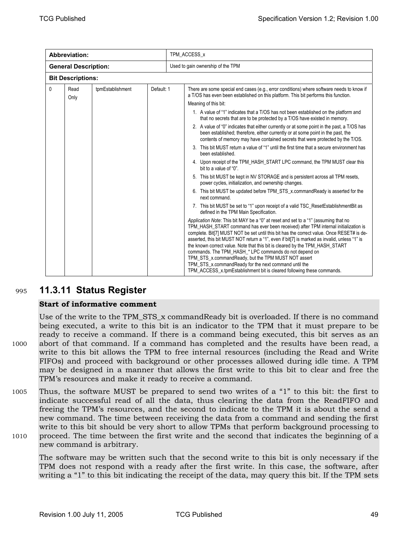| Abbreviation:               |              |                  |            | TPM ACCESS x                                                                                                                                                                                                                                                                                                                                                                                                                                                                                                                                                                                                                                                                                                                                                                                                                                                                                                                                                                                                                                                                                                                                                                                                                                                                                                                                                                                                                                                                                                                                                                                                                                                                                                                                                                                                                                                                                                                                                             |  |  |
|-----------------------------|--------------|------------------|------------|--------------------------------------------------------------------------------------------------------------------------------------------------------------------------------------------------------------------------------------------------------------------------------------------------------------------------------------------------------------------------------------------------------------------------------------------------------------------------------------------------------------------------------------------------------------------------------------------------------------------------------------------------------------------------------------------------------------------------------------------------------------------------------------------------------------------------------------------------------------------------------------------------------------------------------------------------------------------------------------------------------------------------------------------------------------------------------------------------------------------------------------------------------------------------------------------------------------------------------------------------------------------------------------------------------------------------------------------------------------------------------------------------------------------------------------------------------------------------------------------------------------------------------------------------------------------------------------------------------------------------------------------------------------------------------------------------------------------------------------------------------------------------------------------------------------------------------------------------------------------------------------------------------------------------------------------------------------------------|--|--|
| <b>General Description:</b> |              |                  |            | Used to gain ownership of the TPM                                                                                                                                                                                                                                                                                                                                                                                                                                                                                                                                                                                                                                                                                                                                                                                                                                                                                                                                                                                                                                                                                                                                                                                                                                                                                                                                                                                                                                                                                                                                                                                                                                                                                                                                                                                                                                                                                                                                        |  |  |
| <b>Bit Descriptions:</b>    |              |                  |            |                                                                                                                                                                                                                                                                                                                                                                                                                                                                                                                                                                                                                                                                                                                                                                                                                                                                                                                                                                                                                                                                                                                                                                                                                                                                                                                                                                                                                                                                                                                                                                                                                                                                                                                                                                                                                                                                                                                                                                          |  |  |
| 0                           | Read<br>Only | tpmEstablishment | Default: 1 | There are some special end cases (e.g., error conditions) where software needs to know if<br>a T/OS has even been established on this platform. This bit performs this function.<br>Meaning of this bit:<br>1. A value of "1" indicates that a T/OS has not been established on the platform and<br>that no secrets that are to be protected by a T/OS have existed in memory.<br>2. A value of "0" indicates that either currently or at some point in the past, a T/OS has<br>been established; therefore, either currently or at some point in the past, the<br>contents of memory may have contained secrets that were protected by the T/OS.<br>3. This bit MUST return a value of "1" until the first time that a secure environment has<br>been established.<br>4. Upon receipt of the TPM_HASH_START LPC command, the TPM MUST clear this<br>bit to a value of "0".<br>5. This bit MUST be kept in NV STORAGE and is persistent across all TPM resets,<br>power cycles, initialization, and ownership changes.<br>6. This bit MUST be updated before TPM_STS_x.commandReady is asserted for the<br>next command.<br>7. This bit MUST be set to "1" upon receipt of a valid TSC_ResetEstablishmentBit as<br>defined in the TPM Main Specification.<br>Application Note: This bit MAY be a "0" at reset and set to a "1" (assuming that no<br>TPM_HASH_START command has ever been received) after TPM internal initialization is<br>complete. Bit[7] MUST NOT be set until this bit has the correct value. Once RESET# is de-<br>asserted, this bit MUST NOT return a "1", even if bit[7] is marked as invalid, unless "1" is<br>the known correct value. Note that this bit is cleared by the TPM_HASH_START<br>commands. The TPM_HASH_* LPC commands do not depend on<br>TPM_STS_x.commandReady, but the TPM MUST NOT assert<br>TPM STS x.commandReady for the next command until the<br>TPM_ACCESS_x.tpmEstablishment bit is cleared following these commands. |  |  |

### <sup>995</sup>**11.3.11 Status Register**

### **Start of informative comment**

Use of the write to the TPM\_STS\_x commandReady bit is overloaded. If there is no command being executed, a write to this bit is an indicator to the TPM that it must prepare to be ready to receive a command. If there is a command being executed, this bit serves as an 1000 abort of that command. If a command has completed and the results have been read, a write to this bit allows the TPM to free internal resources (including the Read and Write FIFOs) and proceed with background or other processes allowed during idle time. A TPM may be designed in a manner that allows the first write to this bit to clear and free the TPM's resources and make it ready to receive a command.

1005 Thus, the software MUST be prepared to send two writes of a "1" to this bit: the first to indicate successful read of all the data, thus clearing the data from the ReadFIFO and freeing the TPM's resources, and the second to indicate to the TPM it is about the send a new command. The time between receiving the data from a command and sending the first write to this bit should be very short to allow TPMs that perform background processing to 1010 proceed. The time between the first write and the second that indicates the beginning of a new command is arbitrary.

The software may be written such that the second write to this bit is only necessary if the TPM does not respond with a ready after the first write. In this case, the software, after writing a "1" to this bit indicating the receipt of the data, may query this bit. If the TPM sets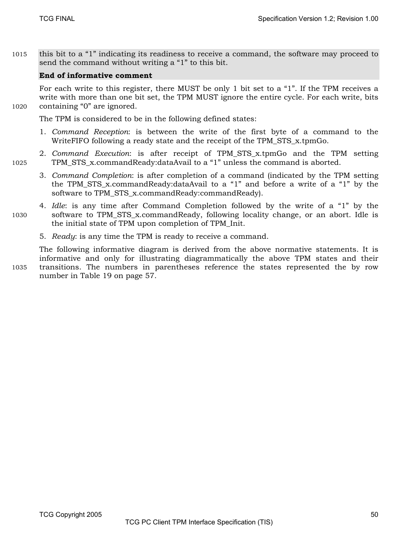1015 this bit to a "1" indicating its readiness to receive a command, the software may proceed to send the command without writing a "1" to this bit.

#### **End of informative comment**

For each write to this register, there MUST be only 1 bit set to a "1". If the TPM receives a write with more than one bit set, the TPM MUST ignore the entire cycle. For each write, bits 1020 containing "0" are ignored.

The TPM is considered to be in the following defined states:

- 1. *Command Reception*: is between the write of the first byte of a command to the WriteFIFO following a ready state and the receipt of the TPM\_STS\_x.tpmGo.
- 2. *Command Execution*: is after receipt of TPM\_STS\_x.tpmGo and the TPM setting 1025 TPM\_STS\_x.commandReady:dataAvail to a "1" unless the command is aborted.
	- 3. *Command Completion*: is after completion of a command (indicated by the TPM setting the TPM\_STS\_x.commandReady:dataAvail to a "1" and before a write of a "1" by the software to TPM\_STS\_x.commandReady:commandReady).
- 4. *Idle*: is any time after Command Completion followed by the write of a "1" by the 1030 software to TPM\_STS\_x.commandReady, following locality change, or an abort. Idle is the initial state of TPM upon completion of TPM\_Init.
	- 5. *Ready*: is any time the TPM is ready to receive a command.

The following informative diagram is derived from the above normative statements. It is informative and only for illustrating diagrammatically the above TPM states and their 1035 transitions. The numbers in parentheses reference the states represented the by row number in Table 19 on page 57.

TCG Copyright 2005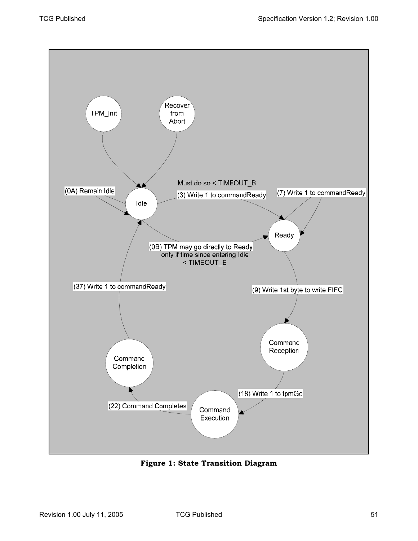

**Figure 1: State Transition Diagram**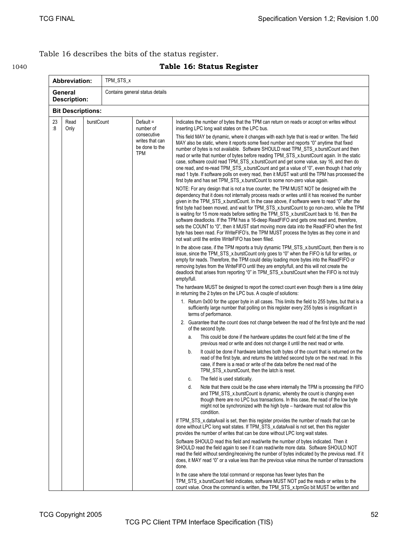### Table 16 describes the bits of the status register.

### 1040 **Table 16: Status Register**

|                          | Abbreviation:<br>TPM_STS_x     |            |  |                                                                                     |                                                                                                                                                                                                                                                                                                                                                                                                                                                                                                                                                                                                                                                                                                                                                                                                                                                                                                                |
|--------------------------|--------------------------------|------------|--|-------------------------------------------------------------------------------------|----------------------------------------------------------------------------------------------------------------------------------------------------------------------------------------------------------------------------------------------------------------------------------------------------------------------------------------------------------------------------------------------------------------------------------------------------------------------------------------------------------------------------------------------------------------------------------------------------------------------------------------------------------------------------------------------------------------------------------------------------------------------------------------------------------------------------------------------------------------------------------------------------------------|
|                          | General<br><b>Description:</b> |            |  | Contains general status details                                                     |                                                                                                                                                                                                                                                                                                                                                                                                                                                                                                                                                                                                                                                                                                                                                                                                                                                                                                                |
| <b>Bit Descriptions:</b> |                                |            |  |                                                                                     |                                                                                                                                                                                                                                                                                                                                                                                                                                                                                                                                                                                                                                                                                                                                                                                                                                                                                                                |
| 23<br>:8                 | Read<br>Only                   | burstCount |  | Default $=$<br>number of<br>consecutive<br>writes that can<br>be done to the<br>TPM | Indicates the number of bytes that the TPM can return on reads or accept on writes without<br>inserting LPC long wait states on the LPC bus.<br>This field MAY be dynamic, where it changes with each byte that is read or written. The field<br>MAY also be static, where it reports some fixed number and reports "0" anytime that fixed<br>number of bytes is not available. Software SHOULD read TPM_STS_x.burstCount and then<br>read or write that number of bytes before reading TPM STS x burstCount again. In the static<br>case, software could read TPM_STS_x.burstCount and get some value, say 16, and then do<br>one read, and re-read TPM_STS_x.burstCount and get a value of "0", even though it had only<br>read 1 byte. If software polls on every read, then it MUST wait until the TPM has processed the                                                                                   |
|                          |                                |            |  |                                                                                     | first byte and has set TPM_STS_x.burstCount to some non-zero value again.<br>NOTE: For any design that is not a true counter, the TPM MUST NOT be designed with the<br>dependency that it does not internally process reads or writes until it has received the number<br>given in the TPM_STS_x.burstCount. In the case above, if software were to read "0" after the<br>first byte had been moved, and wait for TPM_STS_x.burstCount to go non-zero, while the TPM<br>is waiting for 15 more reads before setting the TPM_STS_x.burstCount back to 16, then the<br>software deadlocks. If the TPM has a 16-deep ReadFIFO and gets one read and, therefore,<br>sets the COUNT to "0", then it MUST start moving more data into the ReadFIFO when the first<br>byte has been read. For WriteFIFO's, the TPM MUST process the bytes as they come in and<br>not wait until the entire WriteFIFO has been filled. |
|                          |                                |            |  |                                                                                     | In the above case, if the TPM reports a truly dynamic TPM_STS_x.burstCount, then there is no<br>issue, since the TPM_STS_x.burstCount only goes to "0" when the FIFO is full for writes, or<br>empty for reads. Therefore, the TPM could delay loading more bytes into the ReadFIFO or<br>removing bytes from the WriteFIFO until they are empty/full, and this will not create the<br>deadlock that arises from reporting "0" in TPM STS x burstCount when the FIFO is not truly<br>empty/full.                                                                                                                                                                                                                                                                                                                                                                                                               |
|                          |                                |            |  |                                                                                     | The hardware MUST be designed to report the correct count even though there is a time delay<br>in returning the 2 bytes on the LPC bus. A couple of solutions:                                                                                                                                                                                                                                                                                                                                                                                                                                                                                                                                                                                                                                                                                                                                                 |
|                          |                                |            |  |                                                                                     | 1. Return 0x00 for the upper byte in all cases. This limits the field to 255 bytes, but that is a<br>sufficiently large number that polling on this register every 255 bytes is insignificant in<br>terms of performance.                                                                                                                                                                                                                                                                                                                                                                                                                                                                                                                                                                                                                                                                                      |
|                          |                                |            |  |                                                                                     | 2. Guarantee that the count does not change between the read of the first byte and the read<br>of the second byte.                                                                                                                                                                                                                                                                                                                                                                                                                                                                                                                                                                                                                                                                                                                                                                                             |
|                          |                                |            |  |                                                                                     | This could be done if the hardware updates the count field at the time of the<br>a.<br>previous read or write and does not change it until the next read or write.                                                                                                                                                                                                                                                                                                                                                                                                                                                                                                                                                                                                                                                                                                                                             |
|                          |                                |            |  |                                                                                     | It could be done if hardware latches both bytes of the count that is returned on the<br>b.<br>read of the first byte, and returns the latched second byte on the next read. In this<br>case, if there is a read or write of the data before the next read of the<br>TPM STS x.burstCount, then the latch is reset.                                                                                                                                                                                                                                                                                                                                                                                                                                                                                                                                                                                             |
|                          |                                |            |  |                                                                                     | The field is used statically.<br>C.                                                                                                                                                                                                                                                                                                                                                                                                                                                                                                                                                                                                                                                                                                                                                                                                                                                                            |
|                          |                                |            |  |                                                                                     | d.<br>Note that there could be the case where internally the TPM is processing the FIFO<br>and TPM_STS_x.burstCount is dynamic, whereby the count is changing even<br>though there are no LPC bus transactions. In this case, the read of the low byte<br>might not be synchronized with the high byte - hardware must not allow this<br>condition.                                                                                                                                                                                                                                                                                                                                                                                                                                                                                                                                                            |
|                          |                                |            |  |                                                                                     | If TPM_STS_x.dataAvail is set, then this register provides the number of reads that can be<br>done without LPC long wait states. If TPM_STS_x.dataAvail is not set, then this register<br>provides the number of writes that can be done without LPC long wait states.                                                                                                                                                                                                                                                                                                                                                                                                                                                                                                                                                                                                                                         |
|                          |                                |            |  |                                                                                     | Software SHOULD read this field and read/write the number of bytes indicated. Then it<br>SHOULD read the field again to see if it can read/write more data. Software SHOULD NOT<br>read the field without sending/receiving the number of bytes indicated by the previous read. If it<br>does, it MAY read "0" or a value less than the previous value minus the number of transactions<br>done.                                                                                                                                                                                                                                                                                                                                                                                                                                                                                                               |
|                          |                                |            |  |                                                                                     | In the case where the total command or response has fewer bytes than the<br>TPM_STS_x.burstCount field indicates, software MUST NOT pad the reads or writes to the<br>count value. Once the command is written, the TPM_STS_x.tpmGo bit MUST be written and                                                                                                                                                                                                                                                                                                                                                                                                                                                                                                                                                                                                                                                    |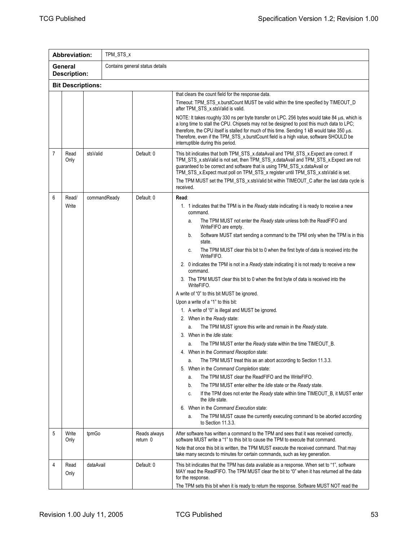| <b>Abbreviation:</b> |                                | TPM_STS_x |              |                                 |                                                                                                                                                                                                                                                                                                                                                                                                                                                                                                                                                                                                                                                                                                                                                                                                                                                                                                                                                                                                                                                                                                                                                                                                                                                                                                                                                                                                                                |
|----------------------|--------------------------------|-----------|--------------|---------------------------------|--------------------------------------------------------------------------------------------------------------------------------------------------------------------------------------------------------------------------------------------------------------------------------------------------------------------------------------------------------------------------------------------------------------------------------------------------------------------------------------------------------------------------------------------------------------------------------------------------------------------------------------------------------------------------------------------------------------------------------------------------------------------------------------------------------------------------------------------------------------------------------------------------------------------------------------------------------------------------------------------------------------------------------------------------------------------------------------------------------------------------------------------------------------------------------------------------------------------------------------------------------------------------------------------------------------------------------------------------------------------------------------------------------------------------------|
|                      | General<br><b>Description:</b> |           |              | Contains general status details |                                                                                                                                                                                                                                                                                                                                                                                                                                                                                                                                                                                                                                                                                                                                                                                                                                                                                                                                                                                                                                                                                                                                                                                                                                                                                                                                                                                                                                |
|                      | <b>Bit Descriptions:</b>       |           |              |                                 |                                                                                                                                                                                                                                                                                                                                                                                                                                                                                                                                                                                                                                                                                                                                                                                                                                                                                                                                                                                                                                                                                                                                                                                                                                                                                                                                                                                                                                |
|                      |                                |           |              |                                 | that clears the count field for the response data.                                                                                                                                                                                                                                                                                                                                                                                                                                                                                                                                                                                                                                                                                                                                                                                                                                                                                                                                                                                                                                                                                                                                                                                                                                                                                                                                                                             |
|                      |                                |           |              |                                 | Timeout: TPM_STS_x.burstCount MUST be valid within the time specified by TIMEOUT_D<br>after TPM_STS_x.stsValid is valid.                                                                                                                                                                                                                                                                                                                                                                                                                                                                                                                                                                                                                                                                                                                                                                                                                                                                                                                                                                                                                                                                                                                                                                                                                                                                                                       |
|                      |                                |           |              |                                 | NOTE: It takes roughly 330 ns per byte transfer on LPC. 256 bytes would take 84 µs, which is<br>a long time to stall the CPU. Chipsets may not be designed to post this much data to LPC;<br>therefore, the CPU itself is stalled for much of this time. Sending 1 kB would take 350 µs.<br>Therefore, even if the TPM_STS_x.burstCount field is a high value, software SHOULD be<br>interruptible during this period.                                                                                                                                                                                                                                                                                                                                                                                                                                                                                                                                                                                                                                                                                                                                                                                                                                                                                                                                                                                                         |
| 7                    | Read<br>Only                   | stsValid  |              | Default: 0                      | This bit indicates that both TPM_STS_x.dataAvail and TPM_STS_x.Expect are correct. If<br>TPM_STS_x.stsValid is not set, then TPM_STS_x.dataAvail and TPM_STS_x.Expect are not<br>guaranteed to be correct and software that is using TPM_STS_x.dataAvail or<br>TPM_STS_x.Expect must poll on TPM_STS_x register until TPM_STS_x.stsValid is set.<br>The TPM MUST set the TPM_STS_x.stsValid bit within TIMEOUT_C after the last data cycle is<br>received.                                                                                                                                                                                                                                                                                                                                                                                                                                                                                                                                                                                                                                                                                                                                                                                                                                                                                                                                                                     |
| 6                    | Read/<br>Write                 |           | commandReady | Default: 0                      | Read:<br>1. 1 indicates that the TPM is in the Ready state indicating it is ready to receive a new<br>command.<br>The TPM MUST not enter the Ready state unless both the ReadFIFO and<br>a.<br>WriteFIFO are empty.<br>Software MUST start sending a command to the TPM only when the TPM is in this<br>b.<br>state.<br>The TPM MUST clear this bit to 0 when the first byte of data is received into the<br>C.<br>WriteFIFO.<br>2. 0 indicates the TPM is not in a Ready state indicating it is not ready to receive a new<br>command.<br>3. The TPM MUST clear this bit to 0 when the first byte of data is received into the<br>WriteFIFO.<br>A write of "0" to this bit MUST be ignored.<br>Upon a write of a "1" to this bit:<br>1. A write of "0" is illegal and MUST be ignored.<br>2. When in the Ready state:<br>The TPM MUST ignore this write and remain in the Ready state.<br>a.<br>3. When in the Idle state:<br>The TPM MUST enter the Ready state within the time TIMEOUT_B.<br>a.<br>4. When in the Command Reception state:<br>The TPM MUST treat this as an abort according to Section 11.3.3.<br>a.<br>5. When in the Command Completion state:<br>The TPM MUST clear the ReadFIFO and the WriteFIFO.<br>a.<br>b.<br>The TPM MUST enter either the <i>Idle</i> state or the Ready state.<br>If the TPM does not enter the Ready state within time TIMEOUT_B, it MUST enter<br>C.<br>the <i>Idle</i> state. |
| 5                    | Write<br>Only                  | tpmGo     |              | Reads always<br>return 0        | 6. When in the Command Execution state:<br>The TPM MUST cause the currently executing command to be aborted according<br>a.<br>to Section 11.3.3.<br>After software has written a command to the TPM and sees that it was received correctly,<br>software MUST write a "1" to this bit to cause the TPM to execute that command.<br>Note that once this bit is written, the TPM MUST execute the received command. That may<br>take many seconds to minutes for certain commands, such as key generation.                                                                                                                                                                                                                                                                                                                                                                                                                                                                                                                                                                                                                                                                                                                                                                                                                                                                                                                      |
| 4                    | Read<br>Only                   | dataAvail |              | Default: 0                      | This bit indicates that the TPM has data available as a response. When set to "1", software<br>MAY read the ReadFIFO. The TPM MUST clear the bit to "0" when it has returned all the data<br>for the response.<br>The TPM sets this bit when it is ready to return the response. Software MUST NOT read the                                                                                                                                                                                                                                                                                                                                                                                                                                                                                                                                                                                                                                                                                                                                                                                                                                                                                                                                                                                                                                                                                                                    |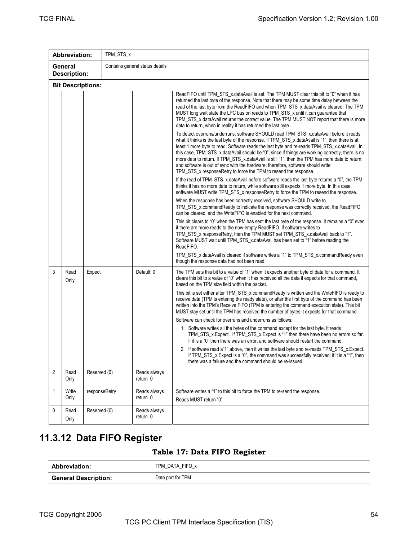| <b>Abbreviation:</b>                  |                          | TPM_STS_x    |                                 |                          |                                                                                                                                                                                                                                                                                                                                                                                                                                                                                                                                                                                                                                                          |  |  |  |
|---------------------------------------|--------------------------|--------------|---------------------------------|--------------------------|----------------------------------------------------------------------------------------------------------------------------------------------------------------------------------------------------------------------------------------------------------------------------------------------------------------------------------------------------------------------------------------------------------------------------------------------------------------------------------------------------------------------------------------------------------------------------------------------------------------------------------------------------------|--|--|--|
| <b>General</b><br><b>Description:</b> |                          |              | Contains general status details |                          |                                                                                                                                                                                                                                                                                                                                                                                                                                                                                                                                                                                                                                                          |  |  |  |
|                                       | <b>Bit Descriptions:</b> |              |                                 |                          |                                                                                                                                                                                                                                                                                                                                                                                                                                                                                                                                                                                                                                                          |  |  |  |
|                                       |                          |              |                                 |                          | ReadFIFO until TPM_STS_x.dataAvail is set. The TPM MUST clear this bit to "0" when it has<br>returned the last byte of the response. Note that there may be some time delay between the<br>read of the last byte from the ReadFIFO and when TPM_STS_x.dataAvail is cleared. The TPM<br>MUST long wait state the LPC bus on reads to TPM_STS_x until it can guarantee that<br>TPM STS x dataAvail returns the correct value. The TPM MUST NOT report that there is more<br>data to return, when in reality it has returned the last byte.                                                                                                                 |  |  |  |
|                                       |                          |              |                                 |                          | To detect overruns/underruns, software SHOULD read TPM_STS_x.dataAvail before it reads<br>what it thinks is the last byte of the response. If TPM_STS_x.dataAvail is "1", then there is at<br>least 1 more byte to read. Software reads the last byte and re-reads TPM_STS_x.dataAvail. In<br>this case, TPM_STS_x.dataAvail should be "0"; since if things are working correctly, there is no<br>more data to return. If TPM_STS_x.dataAvail is still "1", then the TPM has more data to return,<br>and software is out of sync with the hardware; therefore, software should write<br>TPM_STS_x.responseRetry to force the TPM to resend the response. |  |  |  |
|                                       |                          |              |                                 |                          | If the read of TPM_STS_x.dataAvail before software reads the last byte returns a "0", the TPM<br>thinks it has no more data to return, while software still expects 1 more byte. In this case,<br>software MUST write TPM_STS_x.responseRetry to force the TPM to resend the response.                                                                                                                                                                                                                                                                                                                                                                   |  |  |  |
|                                       |                          |              |                                 |                          | When the response has been correctly received, software SHOULD write to<br>TPM_STS_x.commandReady to indicate the response was correctly received, the ReadFIFO<br>can be cleared, and the WriteFIFO is enabled for the next command.                                                                                                                                                                                                                                                                                                                                                                                                                    |  |  |  |
|                                       |                          |              |                                 |                          | This bit clears to "0" when the TPM has sent the last byte of the response. It remains a "0" even<br>if there are more reads to the now-empty ReadFIFO. If software writes to<br>TPM_STS_x.responseRetry, then the TPM MUST set TPM_STS_x.dataAvail back to "1".<br>Software MUST wait until TPM_STS_x.dataAvail has been set to "1" before reading the<br>ReadFIFO.                                                                                                                                                                                                                                                                                     |  |  |  |
|                                       |                          |              |                                 |                          | TPM_STS_x.dataAvail is cleared if software writes a "1" to TPM_STS_x.commandReady even<br>though the response data had not been read.                                                                                                                                                                                                                                                                                                                                                                                                                                                                                                                    |  |  |  |
| 3                                     | Read<br>Only             | Expect       |                                 | Default: 0               | The TPM sets this bit to a value of "1" when it expects another byte of data for a command. It<br>clears this bit to a value of "0" when it has received all the data it expects for that command,<br>based on the TPM size field within the packet.                                                                                                                                                                                                                                                                                                                                                                                                     |  |  |  |
|                                       |                          |              |                                 |                          | This bit is set either after TPM_STS_x.commandReady is written and the WriteFIFO is ready to<br>receive data (TPM is entering the ready state), or after the first byte of the command has been<br>written into the TPM's Receive FIFO (TPM is entering the command execution state). This bit<br>MUST stay set until the TPM has received the number of bytes it expects for that command.                                                                                                                                                                                                                                                              |  |  |  |
|                                       |                          |              |                                 |                          | Software can check for overruns and underruns as follows:                                                                                                                                                                                                                                                                                                                                                                                                                                                                                                                                                                                                |  |  |  |
|                                       |                          |              |                                 |                          | 1. Software writes all the bytes of the command except for the last byte. It reads<br>TPM STS x. Expect. If TPM STS x. Expect is "1" then there have been no errors so far.<br>If it is a "0" then there was an error, and software should restart the command.                                                                                                                                                                                                                                                                                                                                                                                          |  |  |  |
|                                       |                          |              |                                 |                          | 2. If software read a"1" above, then it writes the last byte and re-reads TPM_STS_x.Expect.<br>If TPM_STS_x.Expect is a "0", the command was successfully received; if it is a "1", then<br>there was a failure and the command should be re-issued.                                                                                                                                                                                                                                                                                                                                                                                                     |  |  |  |
| $\overline{2}$                        | Read<br>Only             | Reserved (0) |                                 | Reads always<br>return 0 |                                                                                                                                                                                                                                                                                                                                                                                                                                                                                                                                                                                                                                                          |  |  |  |
| $\mathbf{1}$                          | Write<br>Only            |              | responseRetry                   | Reads always<br>return 0 | Software writes a "1" to this bit to force the TPM to re-send the response.<br>Reads MUST return "0"                                                                                                                                                                                                                                                                                                                                                                                                                                                                                                                                                     |  |  |  |
| 0                                     | Read<br>Only             | Reserved (0) |                                 | Reads always<br>return 0 |                                                                                                                                                                                                                                                                                                                                                                                                                                                                                                                                                                                                                                                          |  |  |  |

### **11.3.12 Data FIFO Register**

### **Table 17: Data FIFO Register**

| <b>Abbreviation:</b>        | TPM_DATA_FIFO_x   |
|-----------------------------|-------------------|
| <b>General Description:</b> | Data port for TPM |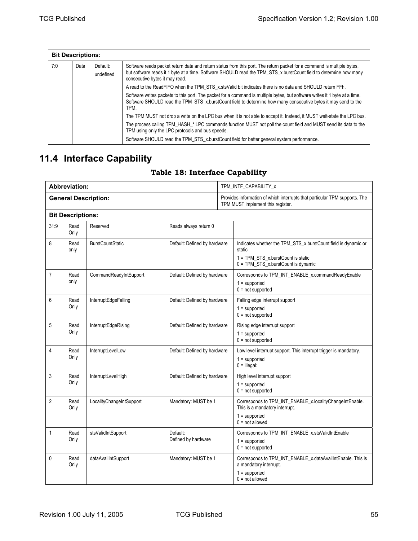|     | <b>Bit Descriptions:</b> |                       |                                                                                                                                                                                                                                                                               |  |  |  |  |  |  |  |
|-----|--------------------------|-----------------------|-------------------------------------------------------------------------------------------------------------------------------------------------------------------------------------------------------------------------------------------------------------------------------|--|--|--|--|--|--|--|
| 7:0 | Data                     | Default:<br>undefined | Software reads packet return data and return status from this port. The return packet for a command is multiple bytes,<br>but software reads it 1 byte at a time. Software SHOULD read the TPM_STS_x.burstCount field to determine how many<br>consecutive bytes it may read. |  |  |  |  |  |  |  |
|     |                          |                       | A read to the ReadFIFO when the TPM STS x stsValid bit indicates there is no data and SHOULD return FFh.                                                                                                                                                                      |  |  |  |  |  |  |  |
|     |                          |                       | Software writes packets to this port. The packet for a command is multiple bytes, but software writes it 1 byte at a time.<br>Software SHOULD read the TPM_STS_x.burstCount field to determine how many consecutive bytes it may send to the<br>TPM.                          |  |  |  |  |  |  |  |
|     |                          |                       | The TPM MUST not drop a write on the LPC bus when it is not able to accept it. Instead, it MUST wait-state the LPC bus.                                                                                                                                                       |  |  |  |  |  |  |  |
|     |                          |                       | The process calling TPM HASH * LPC commands function MUST not poll the count field and MUST send its data to the<br>TPM using only the LPC protocols and bus speeds.                                                                                                          |  |  |  |  |  |  |  |
|     |                          |                       | Software SHOULD read the TPM_STS_x.burstCount field for better general system performance.                                                                                                                                                                                    |  |  |  |  |  |  |  |

### **11.4 Interface Capability**

### **Table 18: Interface Capability**

|      | <b>Abbreviation:</b>     |                             |                                 | TPM_INTF_CAPABILITY_x                                                                                           |                                                                                                                                                       |  |  |  |  |  |
|------|--------------------------|-----------------------------|---------------------------------|-----------------------------------------------------------------------------------------------------------------|-------------------------------------------------------------------------------------------------------------------------------------------------------|--|--|--|--|--|
|      |                          | <b>General Description:</b> |                                 | Provides information of which interrupts that particular TPM supports. The<br>TPM MUST implement this register. |                                                                                                                                                       |  |  |  |  |  |
|      | <b>Bit Descriptions:</b> |                             |                                 |                                                                                                                 |                                                                                                                                                       |  |  |  |  |  |
| 31:9 | Read<br>Only             | Reserved                    | Reads always return 0           |                                                                                                                 |                                                                                                                                                       |  |  |  |  |  |
| 8    | Read<br>only             | <b>BurstCountStatic</b>     | Default: Defined by hardware    |                                                                                                                 | Indicates whether the TPM_STS_x.burstCount field is dynamic or<br>static<br>1 = TPM STS x.burstCount is static<br>0 = TPM_STS_x.burstCount is dynamic |  |  |  |  |  |
| 7    | Read<br>only             | CommandReadyIntSupport      | Default: Defined by hardware    |                                                                                                                 | Corresponds to TPM_INT_ENABLE_x.commandReadyEnable<br>$1 =$ supported<br>$0 = not supported$                                                          |  |  |  |  |  |
| 6    | Read<br>Only             | InterruptEdgeFalling        | Default: Defined by hardware    |                                                                                                                 | Falling edge interrupt support<br>$1 =$ supported<br>$0 = not supported$                                                                              |  |  |  |  |  |
| 5    | Read<br>Only             | InterruptEdgeRising         | Default: Defined by hardware    |                                                                                                                 | Rising edge interrupt support<br>$1 =$ supported<br>$0 = not supported$                                                                               |  |  |  |  |  |
| 4    | Read<br>Only             | InterruptLevelLow           | Default: Defined by hardware    |                                                                                                                 | Low level interrupt support. This interrupt trigger is mandatory.<br>$1 =$ supported<br>$0 =$ illegal:                                                |  |  |  |  |  |
| 3    | Read<br>Only             | InterruptLevelHigh          | Default: Defined by hardware    |                                                                                                                 | High level interrupt support<br>$1 = supported$<br>$0 = not supported$                                                                                |  |  |  |  |  |
| 2    | Read<br>Only             | LocalityChangeIntSupport    | Mandatory: MUST be 1            |                                                                                                                 | Corresponds to TPM_INT_ENABLE_x.localityChangeIntEnable.<br>This is a mandatory interrupt.<br>$1 =$ supported<br>$0 = not allowed$                    |  |  |  |  |  |
| 1    | Read<br>Only             | stsValidIntSupport          | Default:<br>Defined by hardware |                                                                                                                 | Corresponds to TPM_INT_ENABLE_x.stsValidIntEnable<br>$1 =$ supported<br>$0 = not supported$                                                           |  |  |  |  |  |
| 0    | Read<br>Only             | dataAvailIntSupport         | Mandatory: MUST be 1            |                                                                                                                 | Corresponds to TPM_INT_ENABLE_x.dataAvailIntEnable. This is<br>a mandatory interrupt.<br>$1 =$ supported<br>$0 = not allowed$                         |  |  |  |  |  |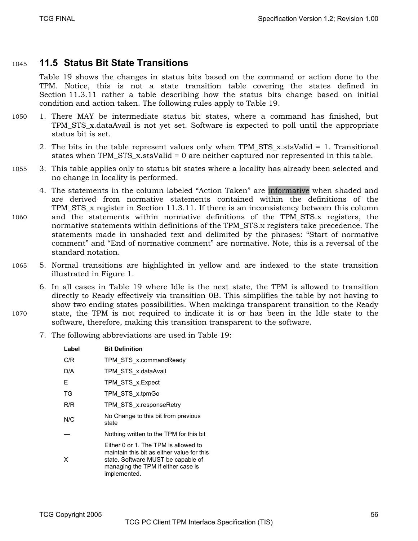### <sup>1045</sup>**11.5 Status Bit State Transitions**

Table 19 shows the changes in status bits based on the command or action done to the TPM. Notice, this is not a state transition table covering the states defined in Section 11.3.11 rather a table describing how the status bits change based on initial condition and action taken. The following rules apply to Table 19.

- 1050 1. There MAY be intermediate status bit states, where a command has finished, but TPM\_STS\_x.dataAvail is not yet set. Software is expected to poll until the appropriate status bit is set.
	- 2. The bits in the table represent values only when TPM STS x, stsValid = 1. Transitional states when TPM\_STS\_x.stsValid = 0 are neither captured nor represented in this table.
- 1055 3. This table applies only to status bit states where a locality has already been selected and no change in locality is performed.
- 4. The statements in the column labeled "Action Taken" are informative when shaded and are derived from normative statements contained within the definitions of the TPM STS x register in Section 11.3.11. If there is an inconsistency between this column 1060 and the statements within normative definitions of the TPM\_STS.x registers, the normative statements within definitions of the TPM\_STS.x registers take precedence. The statements made in unshaded text and delimited by the phrases: "Start of normative comment" and "End of normative comment" are normative. Note, this is a reversal of the standard notation.
- 1065 5. Normal transitions are highlighted in yellow and are indexed to the state transition illustrated in Figure 1.
- 6. In all cases in Table 19 where Idle is the next state, the TPM is allowed to transition directly to Ready effectively via transition 0B. This simplifies the table by not having to show two ending states possibilities. When makinga transparent transition to the Ready 1070 state, the TPM is not required to indicate it is or has been in the Idle state to the
	- software, therefore, making this transition transparent to the software.
		- 7. The following abbreviations are used in Table 19:

| Label | <b>Bit Definition</b>                                                                                                                                                          |
|-------|--------------------------------------------------------------------------------------------------------------------------------------------------------------------------------|
| C/R   | TPM STS x.commandReady                                                                                                                                                         |
| D/A   | TPM STS x.dataAvail                                                                                                                                                            |
| F     | TPM STS x.Expect                                                                                                                                                               |
| TG    | TPM STS x.tpmGo                                                                                                                                                                |
| R/R   | TPM STS x.responseRetry                                                                                                                                                        |
| N/C   | No Change to this bit from previous<br>state                                                                                                                                   |
|       | Nothing written to the TPM for this bit                                                                                                                                        |
| x     | Either 0 or 1. The TPM is allowed to<br>maintain this bit as either value for this<br>state. Software MUST be capable of<br>managing the TPM if either case is<br>implemented. |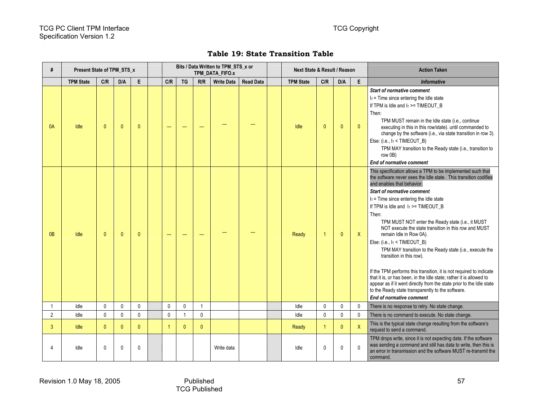| #              | Present State of TPM STS x |              |              |              |             |              |              | Bits / Data Written to TPM_STS_x or<br>TPM DATA FIFO.x |                  | Next State & Result / Reason |              |              |              | <b>Action Taken</b>                                                                                                                                                                                                                                                                                                                                                                                                                                                                                                                                                                                                                                                                                                                                                                                                                                                          |
|----------------|----------------------------|--------------|--------------|--------------|-------------|--------------|--------------|--------------------------------------------------------|------------------|------------------------------|--------------|--------------|--------------|------------------------------------------------------------------------------------------------------------------------------------------------------------------------------------------------------------------------------------------------------------------------------------------------------------------------------------------------------------------------------------------------------------------------------------------------------------------------------------------------------------------------------------------------------------------------------------------------------------------------------------------------------------------------------------------------------------------------------------------------------------------------------------------------------------------------------------------------------------------------------|
|                | <b>TPM State</b>           | C/R          | D/A          | E            | C/R         | <b>TG</b>    | R/R          | <b>Write Data</b>                                      | <b>Read Data</b> | <b>TPM State</b>             | C/R          | D/A          | E.           | <b>Informative</b>                                                                                                                                                                                                                                                                                                                                                                                                                                                                                                                                                                                                                                                                                                                                                                                                                                                           |
| 0A             | Idle                       | $\mathbf{0}$ | $\mathbf{0}$ | $\mathbf{0}$ |             |              |              |                                                        |                  | Idle                         | $\mathbf{0}$ | $\mathbf{0}$ | $\mathbf{0}$ | <b>Start of normative comment</b><br>$IT$ = Time since entering the Idle state<br>If TPM is Idle and $I_T$ >= TIMEOUT_B<br>Then:<br>TPM MUST remain in the Idle state (i.e., continue<br>executing in this in this row/state). until commanded to<br>change by the software (i.e., via state transition in row 3).<br>Else: (i.e., IT < TIMEOUT_B)<br>TPM MAY transition to the Ready state (i.e., transition to<br>row 0B)<br>End of normative comment                                                                                                                                                                                                                                                                                                                                                                                                                      |
| 0 <sub>B</sub> | Idle                       | $\mathbf{0}$ | $\mathbf{0}$ | $\mathbf{0}$ |             |              |              |                                                        |                  | Ready                        | $\mathbf{1}$ | $\mathbf{0}$ | $\mathsf{X}$ | This specification allows a TPM to be implemented such that<br>the software never sees the Idle state. This transition codifies<br>and enables that behavior.<br><b>Start of normative comment</b><br>$IT$ = Time since entering the Idle state<br>If TPM is Idle and $I_T$ >= TIMEOUT B<br>Then:<br>TPM MUST NOT enter the Ready state (i.e., it MUST<br>NOT execute the state transition in this row and MUST<br>remain Idle in Row 0A).<br>Else: (i.e., $I_T$ < TIMEOUT_B)<br>TPM MAY transition to the Ready state (i.e., execute the<br>transition in this row).<br>If the TPM performs this transition, it is not required to indicate<br>that it is, or has been, in the Idle state; rather it is allowed to<br>appear as if it went directly from the state prior to the Idle state<br>to the Ready state transparently to the software.<br>End of normative comment |
| 1              | Idle                       | $\mathbf 0$  | $\mathbf 0$  | 0            | 0           | $\mathbf 0$  | $\mathbf{1}$ |                                                        |                  | Idle                         | $\mathbf 0$  | $\mathbf 0$  | $\mathbf 0$  | There is no response to retry. No state change.                                                                                                                                                                                                                                                                                                                                                                                                                                                                                                                                                                                                                                                                                                                                                                                                                              |
| $\overline{2}$ | Idle                       | $\mathbf 0$  | $\mathbf 0$  | 0            | $\mathbf 0$ | $\mathbf{1}$ | $\mathbf 0$  |                                                        |                  | Idle                         | $\mathbf 0$  | $\mathbf 0$  | $\mathbf 0$  | There is no command to execute. No state change.                                                                                                                                                                                                                                                                                                                                                                                                                                                                                                                                                                                                                                                                                                                                                                                                                             |
| 3              | Idle                       | $\mathbf{0}$ | $\mathbf{0}$ | $\mathbf{0}$ | 1           | $\mathbf{0}$ | $\mathbf{0}$ |                                                        |                  | Ready                        | $\mathbf{1}$ | $\mathbf{0}$ | $\mathsf{X}$ | This is the typical state change resulting from the software's<br>request to send a command.                                                                                                                                                                                                                                                                                                                                                                                                                                                                                                                                                                                                                                                                                                                                                                                 |
| 4              | Idle                       | 0            | $\mathbf{0}$ | $\mathbf{0}$ |             |              |              | Write data                                             |                  | Idle                         | $\mathbf 0$  | $\mathbf{0}$ | $\mathbf{0}$ | TPM drops write, since it is not expecting data. If the software<br>was sending a command and still has data to write, then this is<br>an error in transmission and the software MUST re-transmit the<br>command.                                                                                                                                                                                                                                                                                                                                                                                                                                                                                                                                                                                                                                                            |

#### **Table 19: State Transition Table**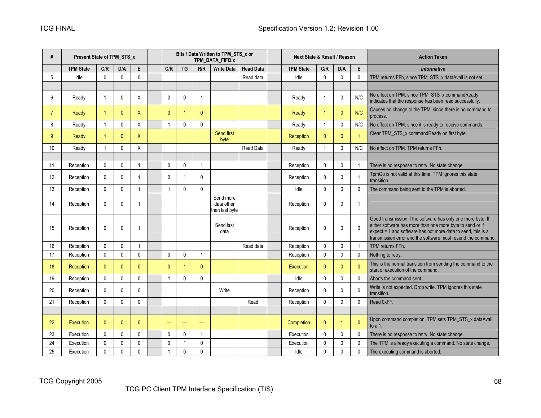| #              | Present State of TPM STS x |                |              |              | Bits / Data Written to TPM STS x or<br>TPM_DATA_FIFO.x |              |                |                                           |                  | <b>Next State &amp; Result / Reason</b> |                |              |              | <b>Action Taken</b>                                                                                                                                                                                                                                       |
|----------------|----------------------------|----------------|--------------|--------------|--------------------------------------------------------|--------------|----------------|-------------------------------------------|------------------|-----------------------------------------|----------------|--------------|--------------|-----------------------------------------------------------------------------------------------------------------------------------------------------------------------------------------------------------------------------------------------------------|
|                | <b>TPM State</b>           | C/R            | D/A          | E.           | C/R                                                    | <b>TG</b>    | R/R            | <b>Write Data</b>                         | <b>Read Data</b> | <b>TPM State</b>                        | C/R            | D/A          | E.           | <b>Informative</b>                                                                                                                                                                                                                                        |
| 5              | Idle                       | $\mathbf{0}$   | $\mathbf{0}$ | $\mathbf{0}$ |                                                        |              |                |                                           | Read data        | Idle                                    | $\Omega$       | $\mathbf{0}$ | $\mathbf{0}$ | TPM returns FFh, since TPM_STS_x.dataAvail is not set.                                                                                                                                                                                                    |
|                |                            |                |              |              |                                                        |              |                |                                           |                  |                                         |                |              |              |                                                                                                                                                                                                                                                           |
| 6              | Ready                      | $\overline{1}$ | $\mathbf{0}$ | X            | $\mathbf{0}$                                           | $\mathbf{0}$ | $\overline{1}$ |                                           |                  | Ready                                   | $\mathbf{1}$   | $\mathbf 0$  | N/C          | No effect on TPM, since TPM_STS_x.commandReady<br>indicates that the response has been read successfully.                                                                                                                                                 |
| $\overline{7}$ | Ready                      | $\overline{1}$ | $\mathbf{0}$ | X            | $\mathbf{0}$                                           |              | $\mathbf{0}$   |                                           |                  | Ready                                   | $\overline{1}$ | $\mathbf{0}$ | N/C          | Causes no change to the TPM, since there is no command to<br>process.                                                                                                                                                                                     |
| 8              | Ready                      | $\mathbf{1}$   | $\mathbf 0$  | X            | 1                                                      | $\Omega$     | $\mathbf 0$    |                                           |                  | Ready                                   | $\mathbf{1}$   | $\mathbf 0$  | N/C          | No effect on TPM, since it is ready to receive commands.                                                                                                                                                                                                  |
| 9              | Ready                      | $\overline{1}$ | $\mathbf{0}$ | X            |                                                        |              |                | Send first<br>byte                        |                  | Reception                               | $\mathbf{0}$   | $\mathbf{0}$ |              | Clear TPM_STS_x.commandReady on first byte.                                                                                                                                                                                                               |
| 10             | Ready                      | $\overline{1}$ | $\mathbf{0}$ | X            |                                                        |              |                |                                           | <b>Read Data</b> | Ready                                   | $\mathbf{1}$   | $\mathbf 0$  | N/C          | No effect on TPM. TPM returns FFh.                                                                                                                                                                                                                        |
|                |                            |                |              |              |                                                        |              |                |                                           |                  |                                         |                |              |              |                                                                                                                                                                                                                                                           |
| 11             | Reception                  | $\mathbf{0}$   | $\mathbf{0}$ |              | $\mathbf{0}$                                           | $\mathbf{0}$ | $\mathbf{1}$   |                                           |                  | Reception                               | $\mathbf{0}$   | $\mathbf 0$  | -1           | There is no response to retry. No state change.                                                                                                                                                                                                           |
| 12             | Reception                  | 0              | $\mathbf 0$  |              | $\mathbf{0}$                                           | -1           | $\mathbf 0$    |                                           |                  | Reception                               | $\mathbf{0}$   | $\mathbf{0}$ |              | TpmGo is not valid at this time. TPM ignores this state<br>transition.                                                                                                                                                                                    |
| 13             | Reception                  | $\mathbf{0}$   | $\mathbf{0}$ |              | $\mathbf{1}$                                           | $\Omega$     | $\mathbf 0$    |                                           |                  | Idle                                    | $\mathbf{0}$   | $\mathbf{0}$ | 0            | The command being sent to the TPM is aborted.                                                                                                                                                                                                             |
| 14             | Reception                  | $\mathbf 0$    | $\mathbf 0$  |              |                                                        |              |                | Send more<br>data other<br>than last byte |                  | Reception                               | $\mathbf 0$    | $\mathbf 0$  | $\mathbf{1}$ |                                                                                                                                                                                                                                                           |
| 15             | Reception                  | $\mathbf{0}$   | $\mathbf{0}$ | -1           |                                                        |              |                | Send last<br>data                         |                  | Reception                               | $\mathbf 0$    | 0            | $\mathbf{0}$ | Good transmission if the software has only one more byte. If<br>either software has more than one more byte to send or if<br>expect = 1 and software has not more data to send, this is a<br>transmission error and the software must resend the command. |
| 16             | Reception                  | 0              | $\mathbf{0}$ |              |                                                        |              |                |                                           | Read data        | Reception                               | $\mathbf{0}$   | 0            |              | TPM returns FFh.                                                                                                                                                                                                                                          |
| 17             | Reception                  | 0              | $\mathbf 0$  | 0            | $\mathbf 0$                                            | $\mathbf{0}$ | $\mathbf 1$    |                                           |                  | Reception                               | 0              | $\mathbf 0$  | 0            | Nothing to retry.                                                                                                                                                                                                                                         |
| 18             | Reception                  | $\mathbf{0}$   | $\mathbf{0}$ | $\mathbf{0}$ | $\mathbf{0}$                                           | -1           | $\mathbf{0}$   |                                           |                  | Execution                               | $\mathbf{0}$   | $\mathbf{0}$ | $\Omega$     | This is the normal transition from sending the command to the<br>start of execution of the command.                                                                                                                                                       |
| 19             | Reception                  | 0              | $\mathbf{0}$ | $\mathbf{0}$ | 1                                                      | $\Omega$     | $\mathbf 0$    |                                           |                  | Idle                                    | $\mathbf{0}$   | $\mathbf{0}$ | $\mathbf{0}$ | Aborts the command sent.                                                                                                                                                                                                                                  |
| 20             | Reception                  | 0              | $\mathbf{0}$ | $\mathbf{0}$ |                                                        |              |                | Write                                     |                  | Reception                               | $\mathbf{0}$   | $\mathbf{0}$ | $\mathbf{0}$ | Write is not expected. Drop write. TPM ignores this state<br>transition.                                                                                                                                                                                  |
| 21             | Reception                  | $\mathbf{0}$   | $\mathbf 0$  | 0            |                                                        |              |                |                                           | Read             | Reception                               | $\mathbf{0}$   | $\mathbf{0}$ | 0            | Read 0xFF.                                                                                                                                                                                                                                                |
|                |                            |                |              |              |                                                        |              |                |                                           |                  |                                         |                |              |              |                                                                                                                                                                                                                                                           |
| 22             | <b>Execution</b>           | $\mathbf{0}$   | $\mathbf{0}$ | $\mathbf{0}$ |                                                        | —            | -              |                                           |                  | Completion                              | $\mathbf{0}$   | -1           | $\mathbf{0}$ | Upon command completion, TPM sets TPM_STS_x.dataAvail<br>to $a1$ .                                                                                                                                                                                        |
| 23             | Execution                  | 0              | $\mathbf{0}$ | 0            | $\mathbf 0$                                            | $\mathbf{0}$ | $\mathbf{1}$   |                                           |                  | Execution                               | $\mathbf{0}$   | $\mathbf 0$  | 0            | There is no response to retry. No state change.                                                                                                                                                                                                           |
| 24             | Execution                  | 0              | $\mathbf 0$  | 0            | 0                                                      | -1           | $\mathbf 0$    |                                           |                  | Execution                               | $\mathbf{0}$   | 0            | $\mathbf{0}$ | The TPM is already executing a command. No state change.                                                                                                                                                                                                  |
| 25             | Execution                  | $\mathbf{0}$   | $\mathbf{0}$ | 0            | $\overline{1}$                                         | $\mathbf{0}$ | $\mathbf 0$    |                                           |                  | Idle                                    | $\mathbf{0}$   | $\mathbf 0$  | $\mathbf{0}$ | The executing command is aborted.                                                                                                                                                                                                                         |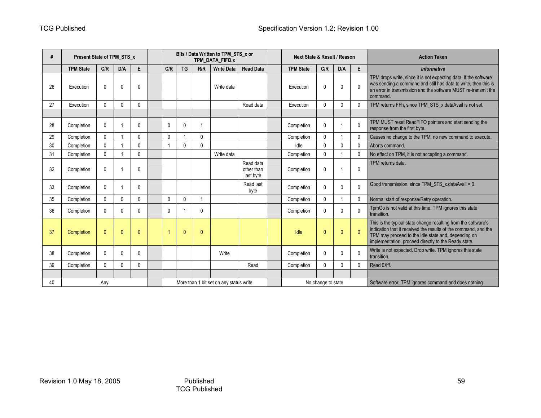| #  | Present State of TPM STS x |              |                          |              | Bits / Data Written to TPM_STS_x or<br>TPM DATA FIFO.x |              |              | <b>Next State &amp; Result / Reason</b> |                                      |                  |                    | <b>Action Taken</b> |              |                                                                                                                                                                                                                                                  |
|----|----------------------------|--------------|--------------------------|--------------|--------------------------------------------------------|--------------|--------------|-----------------------------------------|--------------------------------------|------------------|--------------------|---------------------|--------------|--------------------------------------------------------------------------------------------------------------------------------------------------------------------------------------------------------------------------------------------------|
|    | <b>TPM State</b>           | C/R          | <b>D/A</b>               | E            | C/R                                                    | <b>TG</b>    | R/R          | <b>Write Data</b>                       | <b>Read Data</b>                     | <b>TPM State</b> | C/R                | D/A                 | E            | <b>Informative</b>                                                                                                                                                                                                                               |
| 26 | Execution                  | $\mathbf{0}$ | $\Omega$                 | $\Omega$     |                                                        |              |              | Write data                              |                                      | Execution        | $\mathbf{0}$       | $\mathbf{0}$        | $\Omega$     | TPM drops write, since it is not expecting data. If the software<br>was sending a command and still has data to write, then this is<br>an error in transmission and the software MUST re-transmit the<br>command.                                |
| 27 | Execution                  | $\mathbf{0}$ | $\Omega$                 | $\mathbf{0}$ |                                                        |              |              |                                         | Read data                            | Execution        | $\mathbf{0}$       | $\mathbf{0}$        | $\mathbf{0}$ | TPM returns FFh, since TPM_STS_x.dataAvail is not set.                                                                                                                                                                                           |
|    |                            |              |                          |              |                                                        |              |              |                                         |                                      |                  |                    |                     |              |                                                                                                                                                                                                                                                  |
| 28 | Completion                 | $\mathbf{0}$ |                          | $\mathbf{0}$ | $\mathbf{0}$                                           | $\mathbf{0}$ | 1            |                                         |                                      | Completion       | $\mathbf{0}$       |                     | $\Omega$     | TPM MUST reset ReadFIFO pointers and start sending the<br>response from the first byte.                                                                                                                                                          |
| 29 | Completion                 | $\mathbf{0}$ | $\overline{\phantom{a}}$ | $\mathbf{0}$ | $\mathbf{0}$                                           |              | $\mathbf{0}$ |                                         |                                      | Completion       | $\mathbf{0}$       | $\overline{1}$      | 0            | Causes no change to the TPM, no new command to execute.                                                                                                                                                                                          |
| 30 | Completion                 | $\Omega$     |                          | $\Omega$     |                                                        | $\Omega$     | $\mathbf{0}$ |                                         |                                      | Idle             | $\mathbf{0}$       | $\mathbf{0}$        | 0            | Aborts command.                                                                                                                                                                                                                                  |
| 31 | Completion                 | $\mathbf{0}$ |                          | $\mathbf{0}$ |                                                        |              |              | Write data                              |                                      | Completion       | $\mathbf{0}$       |                     | $\mathbf{0}$ | No effect on TPM, it is not accepting a command.                                                                                                                                                                                                 |
| 32 | Completion                 | $\mathbf{0}$ |                          | 0            |                                                        |              |              |                                         | Read data<br>other than<br>last byte | Completion       | $\mathbf{0}$       |                     | $\mathbf{0}$ | TPM returns data.                                                                                                                                                                                                                                |
| 33 | Completion                 | $\mathbf{0}$ |                          | $\mathbf{0}$ |                                                        |              |              |                                         | Read last<br>byte                    | Completion       | $\mathbf{0}$       | $\mathbf{0}$        | 0            | Good transmission, since TPM STS x.dataAvail = 0.                                                                                                                                                                                                |
| 35 | Completion                 | $\mathbf{0}$ | $\Omega$                 | $\Omega$     | $\Omega$                                               | $\Omega$     | ٠            |                                         |                                      | Completion       | $\mathbf{0}$       |                     | 0            | Normal start of response/Retry operation.                                                                                                                                                                                                        |
| 36 | Completion                 | $\mathbf{0}$ | $\mathbf{0}$             | 0            | $\mathbf{0}$                                           |              | $\mathbf{0}$ |                                         |                                      | Completion       | $\mathbf{0}$       | $\mathbf{0}$        | $\Omega$     | TpmGo is not valid at this time. TPM ignores this state<br>transition.                                                                                                                                                                           |
| 37 | Completion                 | $\mathbf{0}$ | $\mathbf{0}$             | $\mathbf{0}$ | -1                                                     | $\mathbf{0}$ | $\mathbf{0}$ |                                         |                                      | Idle             | $\mathbf{0}$       | $\mathbf{0}$        | $\mathbf{0}$ | This is the typical state change resulting from the software's<br>indication that it received the results of the command, and the<br>TPM may proceed to the Idle state and, depending on<br>implementation, proceed directly to the Ready state. |
| 38 | Completion                 | $\mathbf{0}$ | $\mathbf{0}$             | 0            |                                                        |              |              | Write                                   |                                      | Completion       | $\mathbf{0}$       | $\mathbf{0}$        | $\Omega$     | Write is not expected. Drop write. TPM ignores this state<br>transition.                                                                                                                                                                         |
| 39 | Completion                 | $\mathbf{0}$ | 0                        | 0            |                                                        |              |              |                                         | Read                                 | Completion       | $\mathbf{0}$       | $\mathbf{0}$        | 0            | Read 0Xff.                                                                                                                                                                                                                                       |
|    |                            |              |                          |              |                                                        |              |              |                                         |                                      |                  |                    |                     |              |                                                                                                                                                                                                                                                  |
| 40 |                            | Any          |                          |              |                                                        |              |              | More than 1 bit set on any status write |                                      |                  | No change to state |                     |              | Software error, TPM ignores command and does nothing                                                                                                                                                                                             |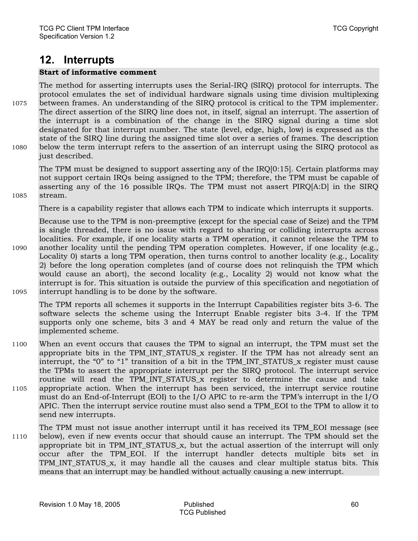### **12. Interrupts**

#### **Start of informative comment**

The method for asserting interrupts uses the Serial-IRQ (SIRQ) protocol for interrupts. The protocol emulates the set of individual hardware signals using time division multiplexing 1075 between frames. An understanding of the SIRQ protocol is critical to the TPM implementer. The direct assertion of the SIRQ line does not, in itself, signal an interrupt. The assertion of the interrupt is a combination of the change in the SIRQ signal during a time slot designated for that interrupt number. The state (level, edge, high, low) is expressed as the state of the SIRQ line during the assigned time slot over a series of frames. The description 1080 below the term interrupt refers to the assertion of an interrupt using the SIRQ protocol as just described.

The TPM must be designed to support asserting any of the IRQ[0:15]. Certain platforms may not support certain IRQs being assigned to the TPM; therefore, the TPM must be capable of asserting any of the 16 possible IRQs. The TPM must not assert PIRQ[A:D] in the SIRQ 1085 stream.

There is a capability register that allows each TPM to indicate which interrupts it supports.

Because use to the TPM is non-preemptive (except for the special case of Seize) and the TPM is single threaded, there is no issue with regard to sharing or colliding interrupts across localities. For example, if one locality starts a TPM operation, it cannot release the TPM to 1090 another locality until the pending TPM operation completes. However, if one locality (e.g., Locality 0) starts a long TPM operation, then turns control to another locality (e.g., Locality 2) before the long operation completes (and of course does not relinquish the TPM which would cause an abort), the second locality (e.g., Locality 2) would not know what the interrupt is for. This situation is outside the purview of this specification and negotiation of 1095 interrupt handling is to be done by the software.

The TPM reports all schemes it supports in the Interrupt Capabilities register bits 3-6. The software selects the scheme using the Interrupt Enable register bits 3-4. If the TPM supports only one scheme, bits 3 and 4 MAY be read only and return the value of the implemented scheme.

- 1100 When an event occurs that causes the TPM to signal an interrupt, the TPM must set the appropriate bits in the TPM\_INT\_STATUS\_x register. If the TPM has not already sent an interrupt, the "0" to "1" transition of a bit in the TPM INT STATUS  $x$  register must cause the TPMs to assert the appropriate interrupt per the SIRQ protocol. The interrupt service routine will read the TPM\_INT\_STATUS\_x register to determine the cause and take 1105 appropriate action. When the interrupt has been serviced, the interrupt service routine must do an End-of-Interrupt (EOI) to the I/O APIC to re-arm the TPM's interrupt in the I/O APIC. Then the interrupt service routine must also send a TPM\_EOI to the TPM to allow it to send new interrupts.
- The TPM must not issue another interrupt until it has received its TPM\_EOI message (see 1110 below), even if new events occur that should cause an interrupt. The TPM should set the appropriate bit in TPM\_INT\_STATUS\_x, but the actual assertion of the interrupt will only occur after the TPM\_EOI. If the interrupt handler detects multiple bits set in TPM INT STATUS x, it may handle all the causes and clear multiple status bits. This means that an interrupt may be handled without actually causing a new interrupt.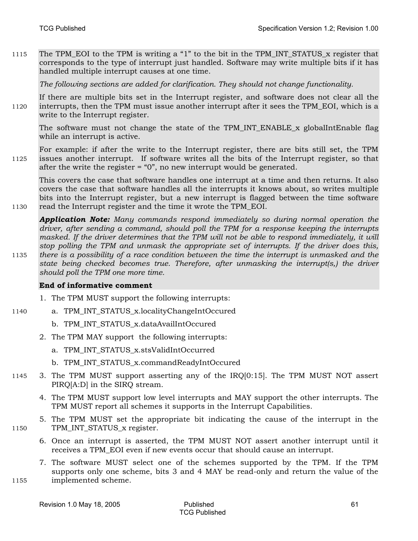1115 The TPM\_EOI to the TPM is writing a "1" to the bit in the TPM\_INT\_STATUS\_x register that corresponds to the type of interrupt just handled. Software may write multiple bits if it has handled multiple interrupt causes at one time.

*The following sections are added for clarification. They should not change functionality.* 

If there are multiple bits set in the Interrupt register, and software does not clear all the 1120 interrupts, then the TPM must issue another interrupt after it sees the TPM\_EOI, which is a write to the Interrupt register.

The software must not change the state of the TPM\_INT\_ENABLE\_x globalIntEnable flag while an interrupt is active.

For example: if after the write to the Interrupt register, there are bits still set, the TPM 1125 issues another interrupt. If software writes all the bits of the Interrupt register, so that after the write the register  $=$  "0", no new interrupt would be generated.

This covers the case that software handles one interrupt at a time and then returns. It also covers the case that software handles all the interrupts it knows about, so writes multiple bits into the Interrupt register, but a new interrupt is flagged between the time software 1130 read the Interrupt register and the time it wrote the TPM\_EOI.

*Application Note: Many commands respond immediately so during normal operation the driver, after sending a command, should poll the TPM for a response keeping the interrupts*  masked. If the driver determines that the TPM will not be able to respond immediately, it will *stop polling the TPM and unmask the appropriate set of interrupts. If the driver does this,*  1135 *there is a possibility of a race condition between the time the interrupt is unmasked and the state being checked becomes true. Therefore, after unmasking the interrupt(s,) the driver should poll the TPM one more time.* 

- 1. The TPM MUST support the following interrupts:
- 1140 a. TPM\_INT\_STATUS\_x.localityChangeIntOccured
	- b. TPM\_INT\_STATUS\_x.dataAvailIntOccured
	- 2. The TPM MAY support the following interrupts:
		- a. TPM\_INT\_STATUS\_x.stsValidIntOccurred
		- b. TPM\_INT\_STATUS\_x.commandReadyIntOccured
- 1145 3. The TPM MUST support asserting any of the IRQ[0:15]. The TPM MUST NOT assert PIRQ[A:D] in the SIRQ stream.
	- 4. The TPM MUST support low level interrupts and MAY support the other interrupts. The TPM MUST report all schemes it supports in the Interrupt Capabilities.
- 5. The TPM MUST set the appropriate bit indicating the cause of the interrupt in the 1150 TPM\_INT\_STATUS\_x register.
	- 6. Once an interrupt is asserted, the TPM MUST NOT assert another interrupt until it receives a TPM\_EOI even if new events occur that should cause an interrupt.
- 7. The software MUST select one of the schemes supported by the TPM. If the TPM supports only one scheme, bits 3 and 4 MAY be read-only and return the value of the 1155 implemented scheme.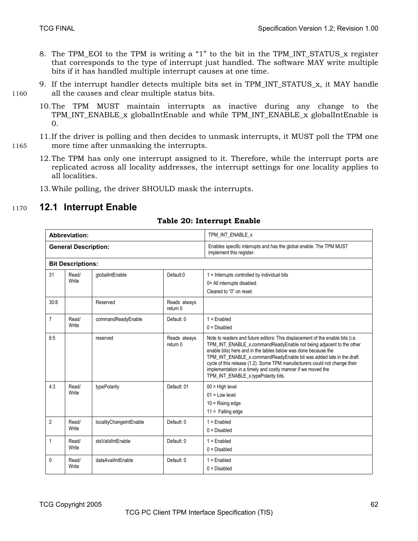- 8. The TPM\_EOI to the TPM is writing a "1" to the bit in the TPM\_INT\_STATUS\_x register that corresponds to the type of interrupt just handled. The software MAY write multiple bits if it has handled multiple interrupt causes at one time.
- 9. If the interrupt handler detects multiple bits set in TPM\_INT\_STATUS\_x, it MAY handle 1160 all the causes and clear multiple status bits.
	- 10.The TPM MUST maintain interrupts as inactive during any change to the TPM INT ENABLE x globalIntEnable and while TPM INT ENABLE x globalIntEnable is 0.
- 11.If the driver is polling and then decides to unmask interrupts, it MUST poll the TPM one 1165 more time after unmasking the interrupts.
	- 12.The TPM has only one interrupt assigned to it. Therefore, while the interrupt ports are replicated across all locality addresses, the interrupt settings for one locality applies to all localities.
	- 13.While polling, the driver SHOULD mask the interrupts.

### <sup>1170</sup>**12.1 Interrupt Enable**

|                | Abbreviation:               |                         |                          | TPM_INT_ENABLE_x                                                                                                                                                                                                                                                                                                                                                                                                                                                                    |  |  |  |  |
|----------------|-----------------------------|-------------------------|--------------------------|-------------------------------------------------------------------------------------------------------------------------------------------------------------------------------------------------------------------------------------------------------------------------------------------------------------------------------------------------------------------------------------------------------------------------------------------------------------------------------------|--|--|--|--|
|                | <b>General Description:</b> |                         |                          | Enables specific interrupts and has the global enable. The TPM MUST<br>implement this register.                                                                                                                                                                                                                                                                                                                                                                                     |  |  |  |  |
|                | <b>Bit Descriptions:</b>    |                         |                          |                                                                                                                                                                                                                                                                                                                                                                                                                                                                                     |  |  |  |  |
| 31             | Read/<br>Write              | qlobalIntEnable         | Default:0                | $1 =$ Interrupts controlled by individual bits<br>0= All interrupts disabled.<br>Cleared to "0" on reset.                                                                                                                                                                                                                                                                                                                                                                           |  |  |  |  |
| 30:8           |                             | Reserved                | Reads always<br>return 0 |                                                                                                                                                                                                                                                                                                                                                                                                                                                                                     |  |  |  |  |
| $\overline{7}$ | Read/<br>Write              | commandReadyEnable      | Default: 0               | $1 =$ Enabled<br>$0 = Disable$                                                                                                                                                                                                                                                                                                                                                                                                                                                      |  |  |  |  |
| 6:5            |                             | reserved                | Reads always<br>return 0 | Note to readers and future editors: This displacement of the enable bits (i.e.<br>TPM_INT_ENABLE_x.commandReadyEnable not being adjacent to the other<br>enable bits) here and in the tables below was done because the<br>TPM_INT_ENABLE_x.commandReadyEnable bit was added late in the draft<br>cycle of this release (1.2). Some TPM manufacturers could not change their<br>implementation in a timely and costly manner if we moved the<br>TPM INT ENABLE x.typePolarity bits. |  |  |  |  |
| 4:3            | Read/<br>Write              | typePolarity            | Default: 01              | $00 =$ High level<br>$01 =$ Low level<br>$10 =$ Rising edge<br>$11 =$ Falling edge                                                                                                                                                                                                                                                                                                                                                                                                  |  |  |  |  |
| $\overline{2}$ | Read/<br>Write              | localityChangeIntEnable | Default: 0               | $1 =$ Enabled<br>$0 = Disable$                                                                                                                                                                                                                                                                                                                                                                                                                                                      |  |  |  |  |
| $\mathbf{1}$   | Read/<br>Write              | stsValidIntEnable       | Default: 0               | $1 =$ Enabled<br>$0 = Disable$                                                                                                                                                                                                                                                                                                                                                                                                                                                      |  |  |  |  |
| 0              | Read/<br>Write              | dataAvailIntEnable      | Default: 0               | $1 =$ Enabled<br>$0 = Disable$                                                                                                                                                                                                                                                                                                                                                                                                                                                      |  |  |  |  |

### **Table 20: Interrupt Enable**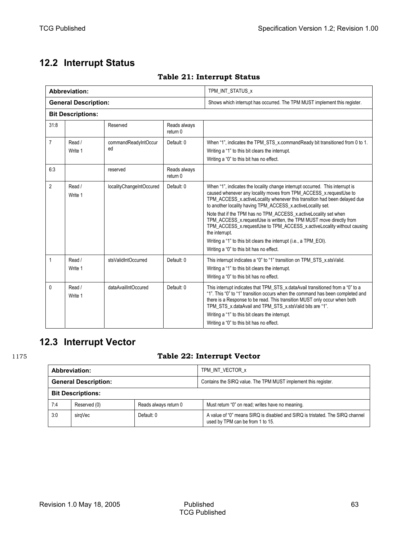### **12.2 Interrupt Status**

|                | Abbreviation:               |                            |                          | TPM_INT_STATUS_x                                                                                                                                                                                                                                                                                                                                                                                                                                                                                                                                                                                                                                        |
|----------------|-----------------------------|----------------------------|--------------------------|---------------------------------------------------------------------------------------------------------------------------------------------------------------------------------------------------------------------------------------------------------------------------------------------------------------------------------------------------------------------------------------------------------------------------------------------------------------------------------------------------------------------------------------------------------------------------------------------------------------------------------------------------------|
|                | <b>General Description:</b> |                            |                          | Shows which interrupt has occurred. The TPM MUST implement this register.                                                                                                                                                                                                                                                                                                                                                                                                                                                                                                                                                                               |
|                | <b>Bit Descriptions:</b>    |                            |                          |                                                                                                                                                                                                                                                                                                                                                                                                                                                                                                                                                                                                                                                         |
| 31:8           |                             | Reserved                   | Reads always<br>return 0 |                                                                                                                                                                                                                                                                                                                                                                                                                                                                                                                                                                                                                                                         |
| $\overline{7}$ | Read /<br>Write 1           | commandReadyIntOccur<br>ed | Default: 0               | When "1", indicates the TPM_STS_x.commandReady bit transitioned from 0 to 1.<br>Writing a "1" to this bit clears the interrupt.<br>Writing a "0" to this bit has no effect.                                                                                                                                                                                                                                                                                                                                                                                                                                                                             |
| 6:3            |                             | reserved                   | Reads always<br>return 0 |                                                                                                                                                                                                                                                                                                                                                                                                                                                                                                                                                                                                                                                         |
| 2              | Read /<br>Write 1           | localityChangeIntOccured   | Default: 0               | When "1", indicates the locality change interrupt occurred. This interrupt is<br>caused whenever any locality moves from TPM_ACCESS_x.requestUse to<br>TPM_ACCESS_x.activeLocality whenever this transition had been delayed due<br>to another locality having TPM ACCESS x.activeLocality set.<br>Note that if the TPM has no TPM ACCESS x.activeLocality set when<br>TPM ACCESS x.requestUse is written, the TPM MUST move directly from<br>TPM ACCESS x.requestUse to TPM ACCESS x.activeLocality without causing<br>the interrupt.<br>Writing a "1" to this bit clears the interrupt (i.e., a TPM_EOI).<br>Writing a "0" to this bit has no effect. |
| $\mathbf{1}$   | Read /<br>Write 1           | stsValidIntOccurred        | Default: 0               | This interrupt indicates a "0" to "1" transition on TPM_STS_x.stsValid.<br>Writing a "1" to this bit clears the interrupt.<br>Writing a "0" to this bit has no effect.                                                                                                                                                                                                                                                                                                                                                                                                                                                                                  |
| $\mathbf{0}$   | Read /<br>Write 1           | dataAvailIntOccured        | Default: 0               | This interrupt indicates that TPM STS x.dataAvail transitioned from a "0" to a<br>"1". This "0" to "1" transition occurs when the command has been completed and<br>there is a Response to be read. This transition MUST only occur when both<br>TPM STS x dataAvail and TPM STS x stsValid bits are "1".<br>Writing a "1" to this bit clears the interrupt.<br>Writing a "0" to this bit has no effect.                                                                                                                                                                                                                                                |

### **Table 21: Interrupt Status**

### **12.3 Interrupt Vector**

### 1175 **Table 22: Interrupt Vector**

|                          | <b>Abbreviation:</b>        |                       | TPM INT VECTOR x                                                                                                  |  |  |  |  |  |
|--------------------------|-----------------------------|-----------------------|-------------------------------------------------------------------------------------------------------------------|--|--|--|--|--|
|                          | <b>General Description:</b> |                       | Contains the SIRQ value. The TPM MUST implement this register.                                                    |  |  |  |  |  |
| <b>Bit Descriptions:</b> |                             |                       |                                                                                                                   |  |  |  |  |  |
| 7:4                      | Reserved (0)                | Reads always return 0 | Must return "0" on read; writes have no meaning.                                                                  |  |  |  |  |  |
| 3:0                      | sirgVec                     | Default: 0            | A value of "0" means SIRQ is disabled and SIRQ is tristated. The SIRQ channel<br>used by TPM can be from 1 to 15. |  |  |  |  |  |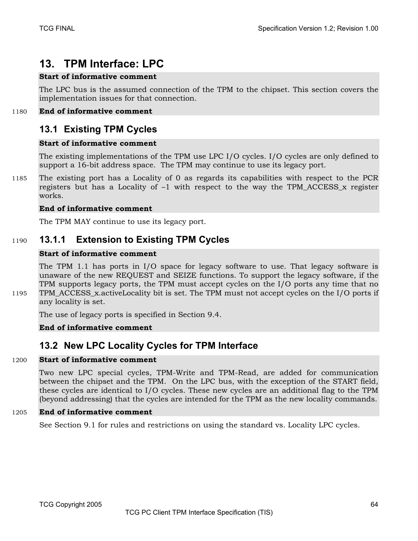### **13. TPM Interface: LPC**

### **Start of informative comment**

The LPC bus is the assumed connection of the TPM to the chipset. This section covers the implementation issues for that connection.

### 1180 **End of informative comment**

### **13.1 Existing TPM Cycles**

### **Start of informative comment**

The existing implementations of the TPM use LPC I/O cycles. I/O cycles are only defined to support a 16-bit address space. The TPM may continue to use its legacy port.

1185 The existing port has a Locality of 0 as regards its capabilities with respect to the PCR registers but has a Locality of  $-1$  with respect to the way the TPM\_ACCESS\_x register works.

### **End of informative comment**

The TPM MAY continue to use its legacy port.

### <sup>1190</sup>**13.1.1 Extension to Existing TPM Cycles**

### **Start of informative comment**

The TPM 1.1 has ports in I/O space for legacy software to use. That legacy software is unaware of the new REQUEST and SEIZE functions. To support the legacy software, if the TPM supports legacy ports, the TPM must accept cycles on the I/O ports any time that no 1195 TPM\_ACCESS\_x.activeLocality bit is set. The TPM must not accept cycles on the I/O ports if any locality is set.

The use of legacy ports is specified in Section 9.4.

### **End of informative comment**

### **13.2 New LPC Locality Cycles for TPM Interface**

#### 1200 **Start of informative comment**

Two new LPC special cycles, TPM-Write and TPM-Read, are added for communication between the chipset and the TPM. On the LPC bus, with the exception of the START field, these cycles are identical to I/O cycles. These new cycles are an additional flag to the TPM (beyond addressing) that the cycles are intended for the TPM as the new locality commands.

#### 1205 **End of informative comment**

See Section 9.1 for rules and restrictions on using the standard vs. Locality LPC cycles.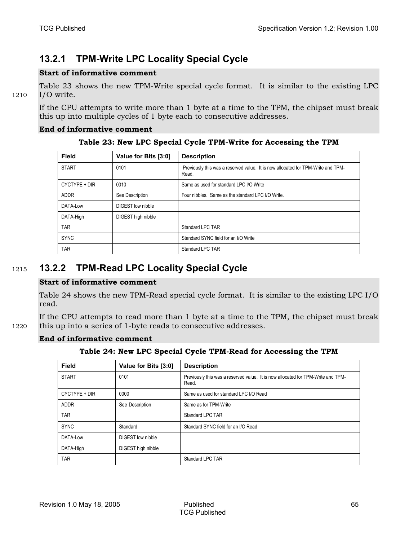### **13.2.1 TPM-Write LPC Locality Special Cycle**

### **Start of informative comment**

Table 23 shows the new TPM-Write special cycle format. It is similar to the existing LPC 1210 I/O write.

If the CPU attempts to write more than 1 byte at a time to the TPM, the chipset must break this up into multiple cycles of 1 byte each to consecutive addresses.

### **End of informative comment**

### **Table 23: New LPC Special Cycle TPM-Write for Accessing the TPM**

| <b>Field</b>  | Value for Bits [3:0] | <b>Description</b>                                                                        |
|---------------|----------------------|-------------------------------------------------------------------------------------------|
| <b>START</b>  | 0101                 | Previously this was a reserved value. It is now allocated for TPM-Write and TPM-<br>Read. |
| CYCTYPE + DIR | 0010                 | Same as used for standard LPC I/O Write                                                   |
| <b>ADDR</b>   | See Description      | Four nibbles. Same as the standard LPC I/O Write.                                         |
| DATA-Low      | DIGEST low nibble    |                                                                                           |
| DATA-High     | DIGEST high nibble   |                                                                                           |
| <b>TAR</b>    |                      | Standard LPC TAR                                                                          |
| <b>SYNC</b>   |                      | Standard SYNC field for an I/O Write                                                      |
| <b>TAR</b>    |                      | Standard LPC TAR                                                                          |

### <sup>1215</sup>**13.2.2 TPM-Read LPC Locality Special Cycle**

### **Start of informative comment**

Table 24 shows the new TPM-Read special cycle format. It is similar to the existing LPC I/O read.

If the CPU attempts to read more than 1 byte at a time to the TPM, the chipset must break 1220 this up into a series of 1-byte reads to consecutive addresses.

**Table 24: New LPC Special Cycle TPM-Read for Accessing the TPM** 

| Field         | Value for Bits [3:0] | <b>Description</b>                                                                        |
|---------------|----------------------|-------------------------------------------------------------------------------------------|
| <b>START</b>  | 0101                 | Previously this was a reserved value. It is now allocated for TPM-Write and TPM-<br>Read. |
| CYCTYPE + DIR | 0000                 | Same as used for standard LPC I/O Read                                                    |
| ADDR          | See Description      | Same as for TPM-Write                                                                     |
| <b>TAR</b>    |                      | Standard LPC TAR                                                                          |
| <b>SYNC</b>   | Standard             | Standard SYNC field for an I/O Read                                                       |
| DATA-Low      | DIGEST low nibble    |                                                                                           |
| DATA-High     | DIGEST high nibble   |                                                                                           |
| <b>TAR</b>    |                      | Standard LPC TAR                                                                          |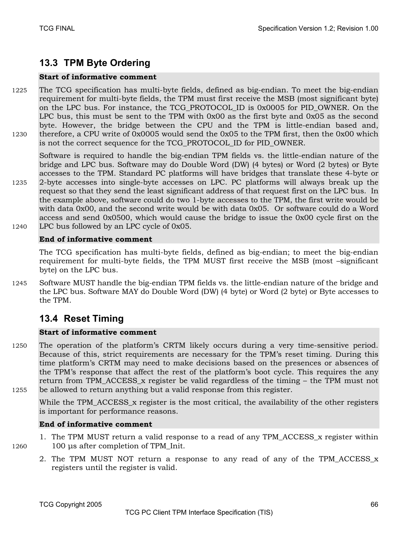### **13.3 TPM Byte Ordering**

### **Start of informative comment**

1225 The TCG specification has multi-byte fields, defined as big-endian. To meet the big-endian requirement for multi-byte fields, the TPM must first receive the MSB (most significant byte) on the LPC bus. For instance, the TCG\_PROTOCOL\_ID is 0x0005 for PID\_OWNER. On the LPC bus, this must be sent to the TPM with 0x00 as the first byte and 0x05 as the second byte. However, the bridge between the CPU and the TPM is little-endian based and, 1230 therefore, a CPU write of 0x0005 would send the 0x05 to the TPM first, then the 0x00 which is not the correct sequence for the TCG\_PROTOCOL\_ID for PID\_OWNER.

Software is required to handle the big-endian TPM fields vs. the little-endian nature of the bridge and LPC bus. Software may do Double Word (DW) (4 bytes) or Word (2 bytes) or Byte accesses to the TPM. Standard PC platforms will have bridges that translate these 4-byte or 1235 2-byte accesses into single-byte accesses on LPC. PC platforms will always break up the request so that they send the least significant address of that request first on the LPC bus. In the example above, software could do two 1-byte accesses to the TPM, the first write would be with data 0x00, and the second write would be with data 0x05. Or software could do a Word access and send 0x0500, which would cause the bridge to issue the 0x00 cycle first on the 1240 LPC bus followed by an LPC cycle of 0x05.

### **End of informative comment**

The TCG specification has multi-byte fields, defined as big-endian; to meet the big-endian requirement for multi-byte fields, the TPM MUST first receive the MSB (most –significant byte) on the LPC bus.

1245 Software MUST handle the big-endian TPM fields vs. the little-endian nature of the bridge and the LPC bus. Software MAY do Double Word (DW) (4 byte) or Word (2 byte) or Byte accesses to the TPM.

### **13.4 Reset Timing**

### **Start of informative comment**

1250 The operation of the platform's CRTM likely occurs during a very time-sensitive period. Because of this, strict requirements are necessary for the TPM's reset timing. During this time platform's CRTM may need to make decisions based on the presences or absences of the TPM's response that affect the rest of the platform's boot cycle. This requires the any return from TPM\_ACCESS\_x register be valid regardless of the timing – the TPM must not 1255 be allowed to return anything but a valid response from this register.

While the TPM\_ACCESS\_x register is the most critical, the availability of the other registers is important for performance reasons.

- 1. The TPM MUST return a valid response to a read of any TPM\_ACCESS\_x register within 1260 100 µs after completion of TPM\_Init.
	- 2. The TPM MUST NOT return a response to any read of any of the TPM\_ACCESS\_x registers until the register is valid.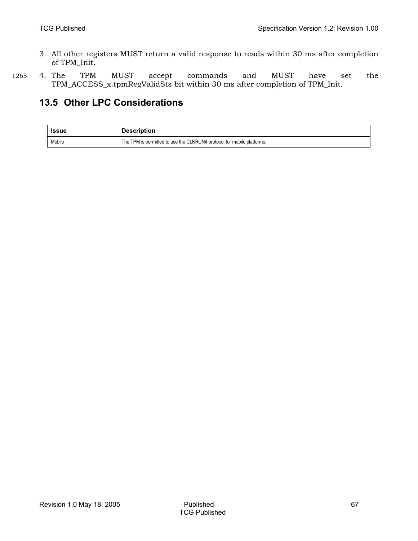- 3. All other registers MUST return a valid response to reads within 30 ms after completion of TPM\_Init.
- 1265 4. The TPM MUST accept commands and MUST have set the TPM\_ACCESS\_x.tpmRegValidSts bit within 30 ms after completion of TPM\_Init.

### **13.5 Other LPC Considerations**

| <b>Issue</b> | <b>Description</b>                                                     |
|--------------|------------------------------------------------------------------------|
| Mobile       | The TPM is permitted to use the CLKRUN# protocol for mobile platforms. |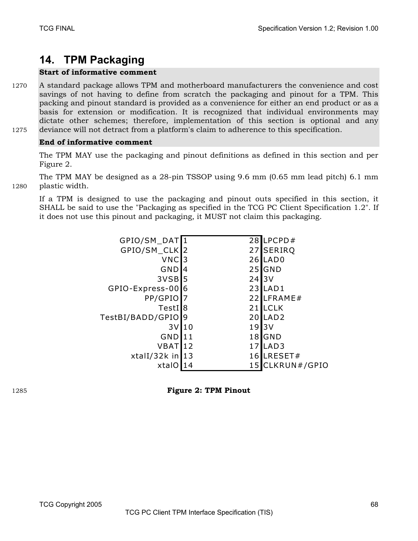### **14. TPM Packaging**

### **Start of informative comment**

1270 A standard package allows TPM and motherboard manufacturers the convenience and cost savings of not having to define from scratch the packaging and pinout for a TPM. This packing and pinout standard is provided as a convenience for either an end product or as a basis for extension or modification. It is recognized that individual environments may dictate other schemes; therefore, implementation of this section is optional and any 1275 deviance will not detract from a platform's claim to adherence to this specification.

#### **End of informative comment**

The TPM MAY use the packaging and pinout definitions as defined in this section and per Figure 2.

The TPM MAY be designed as a 28-pin TSSOP using 9.6 mm (0.65 mm lead pitch) 6.1 mm 1280 plastic width.

If a TPM is designed to use the packaging and pinout outs specified in this section, it SHALL be said to use the "Packaging as specified in the TCG PC Client Specification 1.2". If it does not use this pinout and packaging, it MUST not claim this packaging.

| GPIO/SM_DAT              |          | 28 LPCPD#             |
|--------------------------|----------|-----------------------|
| GPIO/SM_CLK <sup>2</sup> |          | 27 SERIRQ             |
| VNC <sub>3</sub>         |          | $26$ LADO             |
| GND                      | Ι4       | $25$ GND              |
| 3VSB <sub>15</sub>       |          | 2413V                 |
| GPIO-Express-006         |          | $23$ LAD1             |
| PP/GPIO <sup>7</sup>     |          | 22 LFRAME#            |
| TestI <sup>18</sup>      | 211      | <b>LCLK</b>           |
| TestBI/BADD/GPIO 9       |          | $20$ LAD <sub>2</sub> |
| 3V                       | 110      | 19 <sub>3</sub> V     |
| <b>GND</b>               | l 11     | 18GND                 |
| VBAT <b>I</b> 12         | 17I      | LAD3                  |
| xtall/32k in 13          | 161      | LRESET#               |
| xtalO                    | 14<br>15 | CLKRUN#/GPIO          |
|                          |          |                       |

1285 **Figure 2: TPM Pinout**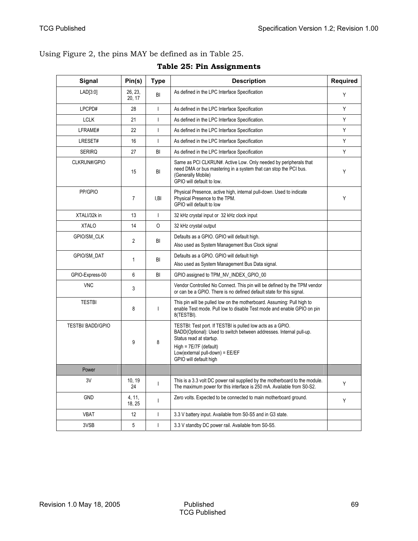### Using Figure 2, the pins MAY be defined as in Table 25.

|  |  | Table 25: Pin Assignments |
|--|--|---------------------------|
|--|--|---------------------------|

| Signal                   | Pin(s)           | <b>Type</b>              | <b>Description</b>                                                                                                                                                                                                                                    | <b>Required</b> |
|--------------------------|------------------|--------------------------|-------------------------------------------------------------------------------------------------------------------------------------------------------------------------------------------------------------------------------------------------------|-----------------|
| LAD[3:0]                 | 26.23.<br>20, 17 | BI                       | As defined in the LPC Interface Specification                                                                                                                                                                                                         | Υ               |
| LPCPD#                   | 28               | $\mathbf{I}$             | As defined in the LPC Interface Specification                                                                                                                                                                                                         | Υ               |
| <b>LCLK</b>              | 21               | $\mathbf{I}$             | As defined in the LPC Interface Specification.                                                                                                                                                                                                        | Υ               |
| LFRAME#                  | 22               | $\mathbf{I}$             | As defined in the LPC Interface Specification                                                                                                                                                                                                         | Y               |
| LRESET#                  | 16               | $\mathbf{I}$             | As defined in the LPC Interface Specification                                                                                                                                                                                                         | Y               |
| <b>SERIRQ</b>            | 27               | BI                       | As defined in the LPC Interface Specification                                                                                                                                                                                                         | Υ               |
| CLKRUN#/GPIO             | 15               | BI                       | Same as PCI CLKRUN#. Active Low. Only needed by peripherals that<br>need DMA or bus mastering in a system that can stop the PCI bus.<br>(Generally Mobile)<br>GPIO will default to low.                                                               | Υ               |
| PP/GPIO                  | $\overline{7}$   | I,BI                     | Physical Presence, active high, internal pull-down. Used to indicate<br>Physical Presence to the TPM.<br>GPIO will default to low                                                                                                                     | Υ               |
| XTALI/32k in             | 13               | $\mathbf{I}$             | 32 kHz crystal input or 32 kHz clock input                                                                                                                                                                                                            |                 |
| <b>XTALO</b>             | 14               | $\circ$                  | 32 kHz crystal output                                                                                                                                                                                                                                 |                 |
| <b>GPIO/SM CLK</b>       | $\overline{2}$   | BI                       | Defaults as a GPIO. GPIO will default high.<br>Also used as System Management Bus Clock signal                                                                                                                                                        |                 |
| <b>GPIO/SM DAT</b>       | $\mathbf{1}$     | BI                       | Defaults as a GPIO. GPIO will default high<br>Also used as System Management Bus Data signal.                                                                                                                                                         |                 |
| GPIO-Express-00          | 6                | BI                       | GPIO assigned to TPM_NV_INDEX_GPIO_00                                                                                                                                                                                                                 |                 |
| <b>VNC</b>               | 3                |                          | Vendor Controlled No Connect. This pin will be defined by the TPM vendor<br>or can be a GPIO. There is no defined default state for this signal.                                                                                                      |                 |
| <b>TESTBI</b>            | 8                | $\mathbf{I}$             | This pin will be pulled low on the motherboard. Assuming: Pull high to<br>enable Test mode. Pull low to disable Test mode and enable GPIO on pin<br>8(TESTBI).                                                                                        |                 |
| <b>TESTBI/ BADD/GPIO</b> | 9                | 8                        | TESTBI: Test port. If TESTBI is pulled low acts as a GPIO.<br>BADD(Optional): Used to switch between addresses. Internal pull-up.<br>Status read at startup.<br>$High = 7E/7F$ (default)<br>Low(external pull-down) = EE/EF<br>GPIO will default high |                 |
| Power                    |                  |                          |                                                                                                                                                                                                                                                       |                 |
| 3V                       | 10, 19<br>24     | $\overline{\phantom{a}}$ | This is a 3.3 volt DC power rail supplied by the motherboard to the module.<br>The maximum power for this interface is 250 mA. Available from S0-S2.                                                                                                  | Υ               |
| <b>GND</b>               | 4, 11,<br>18, 25 | $\overline{\phantom{a}}$ | Zero volts. Expected to be connected to main motherboard ground.                                                                                                                                                                                      | Y               |
| <b>VBAT</b>              | 12               | $\mathbf{I}$             | 3.3 V battery input. Available from S0-S5 and in G3 state.                                                                                                                                                                                            |                 |
| 3VSB                     | 5                | $\mathbf{I}$             | 3.3 V standby DC power rail. Available from S0-S5.                                                                                                                                                                                                    |                 |